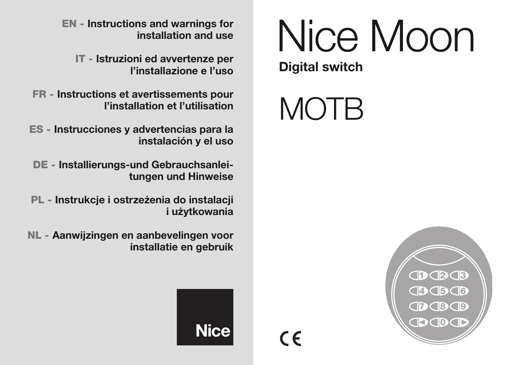# EN - Instructions and warnings for<br>
installation and use<br>
NICE MOON

**Digital switch**

## **MOTB**

**installation and use**

**IT - Istruzioni ed avvertenze per l'installazione e l'uso**

**FR - Instructions et avertissements pour l'installation et l'utilisation**

**ES - Instrucciones y advertencias para la instalación y el uso**

**DE - Installierungs-und Gebrauchsanleitungen und Hinweise**

**PL - Instrukcje i ostrzeżenia do instalacji i użytkowania**

**NL - Aanwijzingen en aanbevelingen voor installatie en gebruik**





 $\epsilon$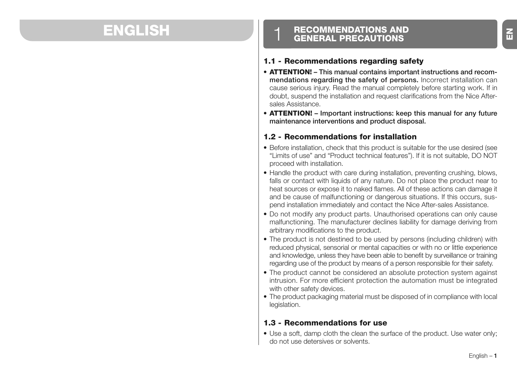## **ENGLISH**

## **RECOMMENDATIONS AND GENERAL PRECAUTIONS**

#### **1.1 - Recommendations regarding safety**

- **ATTENTION! This manual contains important instructions and recommendations regarding the safety of persons.** Incorrect installation can cause serious injury. Read the manual completely before starting work. If in doubt, suspend the installation and request clarifications from the Nice Aftersales Assistance.
- **ATTENTION! Important instructions: keep this manual for any future maintenance interventions and product disposal.**

#### **1.2 - Recommendations for installation**

- Before installation, check that this product is suitable for the use desired (see "Limits of use" and "Product technical features"). If it is not suitable, DO NOT proceed with installation.
- Handle the product with care during installation, preventing crushing, blows, falls or contact with liquids of any nature. Do not place the product near to heat sources or expose it to naked flames. All of these actions can damage it and be cause of malfunctioning or dangerous situations. If this occurs, suspend installation immediately and contact the Nice After-sales Assistance.
- Do not modify any product parts. Unauthorised operations can only cause malfunctioning. The manufacturer declines liability for damage deriving from arbitrary modifications to the product.
- The product is not destined to be used by persons (including children) with reduced physical, sensorial or mental capacities or with no or little experience and knowledge, unless they have been able to benefit by surveillance or training regarding use of the product by means of a person responsible for their safety.
- The product cannot be considered an absolute protection system against intrusion. For more efficient protection the automation must be integrated with other safety devices.
- The product packaging material must be disposed of in compliance with local legislation.

#### **1.3 - Recommendations for use**

• Use a soft, damp cloth the clean the surface of the product. Use water only; do not use detersives or solvents.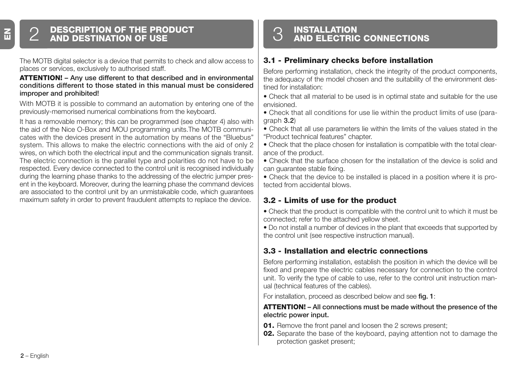## **DESCRIPTION OF THE PRODUCT** 2 **AND DESTINATION OF USE**

The MOTB digital selector is a device that permits to check and allow access to places or services, exclusively to authorised staff.

#### **AT TENTION! – Any use different to that described and in environmental conditions different to those stated in this manual must be considered improper and prohibited!**

With MOTB it is possible to command an automation by entering one of the previously-memorised numerical combinations from the keyboard.

It has a removable memory; this can be programmed (see chapter 4) also with the aid of the Nice O-Box and MOU programming units.The MOTB communicates with the devices present in the automation by means of the "Bluebus" system. This allows to make the electric connections with the aid of only 2 wires, on which both the electrical input and the communication signals transit. The electric connection is the parallel type and polarities do not have to be respected. Every device connected to the control unit is recognised individually during the learning phase thanks to the addressing of the electric jumper present in the keyboard. Moreover, during the learning phase the command devices are associated to the control unit by an unmistakable code, which guarantees maximum safety in order to prevent fraudulent attempts to replace the device.

## **INSTALLATION** 3 **AND ELECTRIC CONNECTIONS**

#### **3.1 - Preliminary checks before installation**

Before performing installation, check the integrity of the product components, the adequacy of the model chosen and the suitability of the environment destined for installation:

- Check that all material to be used is in optimal state and suitable for the use envisioned.
- Check that all conditions for use lie within the product limits of use (paragraph **3.2**)
- Check that all use parameters lie within the limits of the values stated in the "Product technical features" chapter.
- Check that the place chosen for installation is compatible with the total clearance of the product.
- Check that the surface chosen for the installation of the device is solid and can guarantee stable fixing.

• Check that the device to be installed is placed in a position where it is protected from accidental blows.

#### **3.2 - Limits of use for the product**

• Check that the product is compatible with the control unit to which it must be connected; refer to the attached yellow sheet.

• Do not install a number of devices in the plant that exceeds that supported by the control unit (see respective instruction manual).

#### **3.3 - Installation and electric connections**

Before performing installation, establish the position in which the device will be fixed and prepare the electric cables necessary for connection to the control unit. To verify the type of cable to use, refer to the control unit instruction manual (technical features of the cables).

For installation, proceed as described below and see **fig. 1**:

#### **ATTENTION! – All connections must be made without the presence of the electric power input.**

- **01.** Remove the front panel and loosen the 2 screws present;
- **02.** Separate the base of the keyboard, paying attention not to damage the protection gasket present;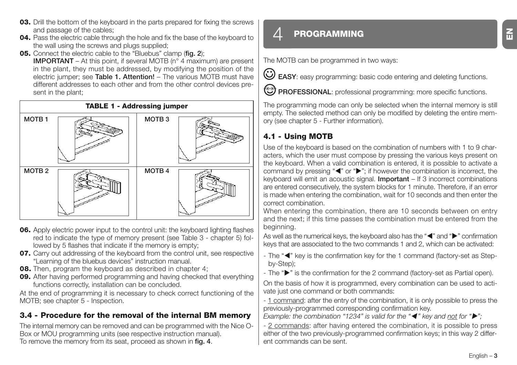- **03.** Drill the bottom of the keyboard in the parts prepared for fixing the screws and passage of the cables;
- **04.** Pass the electric cable through the hole and fix the base of the keyboard to the wall using the screws and plugs supplied;
- **05.** Connect the electric cable to the "Bluebus" clamp (**fig. 2**);

**IMPORTANT** – At this point, if several MOTB (n° 4 maximum) are present in the plant, they must be addressed, by modifying the position of the electric jumper; see **Table 1. Attention!** – The various MOTB must have different addresses to each other and from the other control devices present in the plant:



- **06.** Apply electric power input to the control unit: the keyboard lighting flashes red to indicate the type of memory present (see Table 3 - chapter 5) followed by 5 flashes that indicate if the memory is empty;
- **07.** Carry out addressing of the keyboard from the control unit, see respective "Learning of the bluebus devices" instruction manual.
- **08.** Then, program the keyboard as described in chapter 4:
- **09.** After having performed programming and having checked that everything functions correctly, installation can be concluded.

At the end of programming it is necessary to check correct functioning of the MOTB; see chapter 5 - Inspection.

#### **3.4 - Procedure for the removal of the internal BM memory**

The internal memory can be removed and can be programmed with the Nice O-Box or MOU programming units (see respective instruction manual). To remove the memory from its seat, proceed as shown in **fig. 4**.

## 4 **PROGRAMMING**

The MOTB can be programmed in two ways:

EASY: easy programming: basic code entering and deleting functions.

**PROFESSIONAL:** professional programming: more specific functions.

The programming mode can only be selected when the internal memory is still empty. The selected method can only be modified by deleting the entire memory (see chapter 5 - Further information).

#### **4.1 - Using MOTB**

Use of the keyboard is based on the combination of numbers with 1 to 9 characters, which the user must compose by pressing the various keys present on the keyboard. When a valid combination is entered, it is possible to activate a command by pressing "<" or ">"; if however the combination is incorrect, the keyboard will emit an acoustic signal. **Important** – If 3 incorrect combinations are entered consecutively, the system blocks for 1 minute. Therefore, if an error is made when entering the combination, wait for 10 seconds and then enter the correct combination.

When entering the combination, there are 10 seconds between on entry and the next; if this time passes the combination must be entered from the beginning.

As well as the numerical keys, the keyboard also has the "(" and ">" confirmation keys that are associated to the two commands 1 and 2, which can be activated:

- The "<" key is the confirmation key for the 1 command (factory-set as Stepby-Step);
- The " $\blacktriangleright$ " is the confirmation for the 2 command (factory-set as Partial open).

On the basis of how it is programmed, every combination can be used to activate just one command or both commands:

- 1 command: after the entry of the combination, it is only possible to press the previously-programmed corresponding confirmation key.

*Example: the combination "1234" is valid for the "* $\blacktriangleleft$ *" key and not for "* $\blacktriangleright$ *";* 

- 2 commands: after having entered the combination, it is possible to press either of the two previously-programmed confirmation keys; in this way 2 different commands can be sent.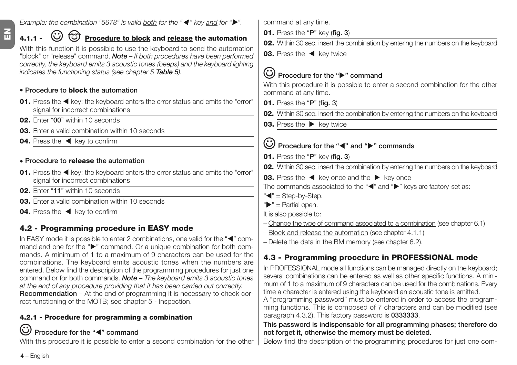#### *Example: the combination "5678" is valid both for the "*- *" key and for "".*

## **4.1.1 -**  $\bigodot$  $\bigodot$  **Procedure to block** and release the automation

With this function it is possible to use the keyboard to send the automation "block" or "release" command. *Note – If both procedures have been performed correctly, the keyboard emits 3 acoustic tones (beeps) and the keyboard lighting indicates the functioning status (see chapter 5 Table 5).*

#### **• Procedure to block the automation**

- **01.** Press the < key: the keyboard enters the error status and emits the "error" signal for incorrect combinations
- **02.** Enter "**00**" within 10 seconds
- **03.** Enter a valid combination within 10 seconds
- **04.** Press the  $\blacktriangleleft$  key to confirm

#### **• Procedure to release the automation**

- **01.** Press the < key: the keyboard enters the error status and emits the "error" signal for incorrect combinations
- **02.** Enter "**11**" within 10 seconds
- **03.** Enter a valid combination within 10 seconds
- **04.** Press the  $\blacktriangleleft$  key to confirm

## **4.2 - Programming procedure in EASY mode**

In EASY mode it is possible to enter 2 combinations, one valid for the "<" command and one for the " $\blacktriangleright$ " command. Or a unique combination for both commands. A minimum of 1 to a maximum of 9 characters can be used for the combinations. The keyboard emits acoustic tones when the numbers are entered. Below find the description of the programming procedures for just one command or for both commands. *Note – The keyboard emits 3 acoustic tones at the end of any procedure providing that it has been carried out correctly.* **Recommendation** – At the end of programming it is necessary to check correct functioning of the MOTB; see chapter 5 - Inspection.

## **4.2.1 - Procedure for programming a combination**

## Procedure for the "<" command

With this procedure it is possible to enter a second combination for the other

command at any time.

- **01.** Press the "**P**" key (**fig. 3**)
- **02.** Within 30 sec. insert the combination by entering the numbers on the keyboard
- **03.** Press the  $\blacktriangleleft$  key twice

## **Procedure for the "" command**

With this procedure it is possible to enter a second combination for the other command at any time.

- **01.** Press the "**P**" (**fig. 3**)
- **02.** Within 30 sec. insert the combination by entering the numbers on the keyboard
- **03.** Press the  $\blacktriangleright$  key twice

## Procedure for the "<" and "<sup>\*</sup> commands

- **01.** Press the "**P**" key (**fig. 3**)
- **02.** Within 30 sec. insert the combination by entering the numbers on the keyboard
- **03.** Press the  $\blacktriangleleft$  key once and the  $\blacktriangleright$  key once
- The commands associated to the "(" and ">" keys are factory-set as:
- "<" = Step-by-Step.
- " $\blacktriangleright$ " = Partial open.
- It is also possible to:
- Change the type of command associated to a combination (see chapter 6.1)
- Block and release the automation (see chapter 4.1.1)
- Delete the data in the BM memory (see chapter 6.2).

## **4.3 - Programming procedure in PROFESSIONAL mode**

In PROFESSIONAL mode all functions can be managed directly on the keyboard; several combinations can be entered as well as other specific functions. A minimum of 1 to a maximum of 9 characters can be used for the combinations. Every time a character is entered using the keyboard an acoustic tone is emitted.

A "programming password" must be entered in order to access the programming functions. This is composed of 7 characters and can be modified (see paragraph 4.3.2). This factory password is **0333333**.

#### **This password is indispensable for all programming phases; therefore do not forget it, otherwise the memory must be deleted.**

Below find the description of the programming procedures for just one com-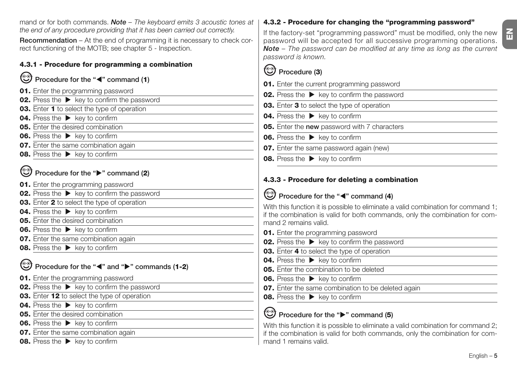mand or for both commands. *Note – The keyboard emits 3 acoustic tones at the end of any procedure providing that it has been carried out correctly.*

**Recommendation** – At the end of programming it is necessary to check correct functioning of the MOTB; see chapter 5 - Inspection.

#### **4.3.1 - Procedure for programming a combination**

### **Procedure for the "**-**" command (1)**

- **01.** Enter the programming password
- **02.** Press the  $\blacktriangleright$  key to confirm the password
- **03.** Enter **1** to select the type of operation
- **04.** Press the **E** key to confirm
- **05.** Enter the desired combination
- **06.** Press the  $\blacktriangleright$  key to confirm
- **07.** Enter the same combination again
- **08.** Press the  $\blacktriangleright$  key to confirm

## **Procedure for the "" command (2)**

- **01.** Enter the programming password
- **02.** Press the  $\triangleright$  key to confirm the password
- **03.** Enter **2** to select the type of operation
- **04.** Press the  $\blacktriangleright$  key to confirm
- **05.** Enter the desired combination
- **06.** Press the  $\triangleright$  key to confirm
- **07.** Enter the same combination again
- **08.** Press the **E** key to confirm

## Procedure for the " $\blacktriangle$ " and " $\blacktriangleright$ " commands (1-2)

- **01.** Enter the programming password
- **02.** Press the  $\blacktriangleright$  key to confirm the password
- **03.** Enter **12** to select the type of operation
- **04.** Press the  $\blacktriangleright$  key to confirm
- **05.** Enter the desired combination
- **06.** Press the  $\triangleright$  key to confirm
- **07.** Enter the same combination again
- **08.** Press the  $\blacktriangleright$  key to confirm

### **4.3.2 - Procedure for changing the "programming password"**

If the factory-set "programming password" must be modified, only the new password will be accepted for all successive programming operations. *Note – The password can be modified at any time as long as the current password is known.*

## **Procedure (3)**

- **01.** Enter the current programming password
- **02.** Press the  $\blacktriangleright$  key to confirm the password
- **03.** Enter **3** to select the type of operation
- **04.** Press the **E** key to confirm
- **05.** Enter the **new** password with 7 characters
- **06.** Press the  $\blacktriangleright$  key to confirm
- **07.** Enter the same password again (new)
- **08.** Press the  $\blacktriangleright$  key to confirm

#### **4.3.3 - Procedure for deleting a combination**

## Procedure for the "<" command (4)

With this function it is possible to eliminate a valid combination for command 1: if the combination is valid for both commands, only the combination for command 2 remains valid.

- **01.** Enter the programming password
- **02.** Press the  $\blacktriangleright$  key to confirm the password
- **03.** Enter **4** to select the type of operation
- **04.** Press the  $\blacktriangleright$  key to confirm
- **05.** Enter the combination to be deleted
- **06.** Press the  $\blacktriangleright$  key to confirm
- **07.** Enter the same combination to be deleted again
- **08.** Press the **E** key to confirm

## **Procedure for the "" command (5)**

With this function it is possible to eliminate a valid combination for command 2: if the combination is valid for both commands, only the combination for command 1 remains valid.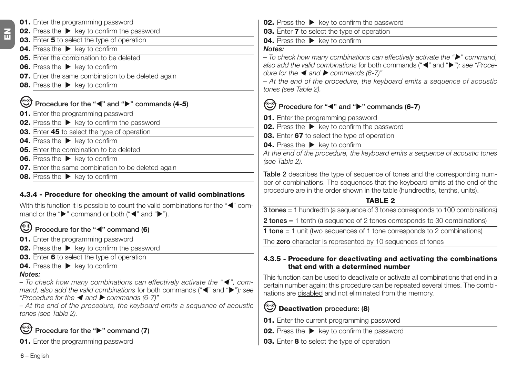- **01.** Enter the programming password **02.** Press the  $\blacktriangleright$  key to confirm the password **03.** Enter **5** to select the type of operation **04.** Press the **E** key to confirm **05.** Enter the combination to be deleted **06.** Press the  $\blacktriangleright$  key to confirm **07.** Enter the same combination to be deleted again **08.** Press the  $\blacktriangleright$  key to confirm **Procedure for the "**<sup>\*</sup> and "<sup>•</sup> commands (4-5) **01.** Enter the programming password **02.** Press the  $\blacktriangleright$  key to confirm the password **03.** Enter **45** to select the type of operation **04.** Press the **key to confirm** 
	- **05.** Enter the combination to be deleted
	- **06.** Press the key to confirm
	- **07.** Enter the same combination to be deleted again
	- **08.** Press the  $\triangleright$  key to confirm

#### **4.3.4 - Procedure for checking the amount of valid combinations**

With this function it is possible to count the valid combinations for the " $\P$ " command or the " $\blacktriangleright$ " command or both (" $\blacktriangleleft$ " and " $\blacktriangleright$ ").

#### **Procedure for the "**-**" command (6)**

- **01.** Enter the programming password
- **02.** Press the  $\triangleright$  key to confirm the password
- **03.** Enter **6** to select the type of operation
- **04.** Press the **E** key to confirm

#### *Notes:*

*– To check how many combinations can effectively activate the "*- *", com*mand, also add the valid combinations for both commands (" $\blacktriangleleft$ " and " $\blacktriangleright$ "): see *"Procedure for the* - *and commands (6-7)"*

*– At the end of the procedure, the keyboard emits a sequence of acoustic tones (see Table 2).*

## **Procedure for the "" command (7)**

**01.** Enter the programming password

**02.** Press the  $\blacktriangleright$  key to confirm the password

**03.** Enter **7** to select the type of operation

**04.** Press the **E** key to confirm

#### *Notes:*

*– To check how many combinations can effectively activate the "" command,* also add the valid combinations for both commands (" $\blacktriangleleft$ " and " $\blacktriangleright$ "): see "Proce*dure for the* ◀ and ▶ *commands* (6-7)"

*– At the end of the procedure, the keyboard emits a sequence of acoustic tones (see Table 2).*

## **Procedure for "**-**" and "" commands (6-7)**

- **01.** Enter the programming password
- **02.** Press the  $\blacktriangleright$  key to confirm the password
- **03.** Enter **67** to select the type of operation
- **04.** Press the  $\blacktriangleright$  key to confirm

*At the end of the procedure, the keyboard emits a sequence of acoustic tones (see Table 2).*

**Table 2** describes the type of sequence of tones and the corresponding number of combinations. The sequences that the keyboard emits at the end of the procedure are in the order shown in the table (hundredths, tenths, units).

#### **TABLE 2**

**3 tones** = 1 hundredth (a sequence of 3 tones corresponds to 100 combinations)

**2 tones** = 1 tenth (a sequence of 2 tones corresponds to 30 combinations)

**1 tone** = 1 unit (two sequences of 1 tone corresponds to 2 combinations)

The **zero** character is represented by 10 sequences of tones

#### **4.3.5 - Procedure for deactivating and activating the combinations that end with a determined number**

This function can be used to deactivate or activate all combinations that end in a certain number again; this procedure can be repeated several times. The combinations are disabled and not eliminated from the memory.

## **Deactivation procedure: (8)**

- **01.** Enter the current programming password
- **02.** Press the  $\blacktriangleright$  key to confirm the password

**03.** Enter **8** to select the type of operation

**6** – English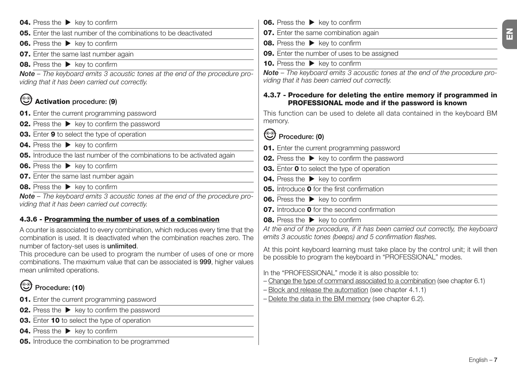- **04.** Press the  $\blacktriangleright$  key to confirm **05.** Enter the last number of the combinations to be deactivated **06.** Press the  $\blacktriangleright$  key to confirm **07.** Enter the same last number again **08.** Press the  $\blacktriangleright$  key to confirm *Note – The keyboard emits 3 acoustic tones at the end of the procedure providing that it has been carried out correctly.* **Activation procedure: (9) 01.** Enter the current programming password **02.** Press the  $\blacktriangleright$  key to confirm the password **03.** Enter **9** to select the type of operation **04.** Press the  $\blacktriangleright$  key to confirm **05.** Introduce the last number of the combinations to be activated again **06.** Press the  $\blacktriangleright$  key to confirm **07.** Enter the same last number again **08.** Press the  $\blacktriangleright$  key to confirm *Note – The keyboard emits 3 acoustic tones at the end of the procedure providing that it has been carried out correctly.* **4.3.6 - Programming the number of uses of a combination** A counter is associated to every combination, which reduces every time that the combination is used. It is deactivated when the combination reaches zero. The number of factory-set uses is **unlimited**. This procedure can be used to program the number of uses of one or more combinations. The maximum value that can be associated is **999**, higher values mean unlimited operations. **Procedure: (10) 01.** Enter the current programming password
	- **02.** Press the  $\blacktriangleright$  key to confirm the password
	- **03.** Enter **10** to select the type of operation
	- **04.** Press the  $\triangleright$  key to confirm
	- **05.** Introduce the combination to be programmed
- **06.** Press the  $\blacktriangleright$  key to confirm **07.** Enter the same combination again **08.** Press the **E** key to confirm **09.** Enter the number of uses to be assigned
- **10.** Press the  $\blacktriangleright$  key to confirm

*Note – The keyboard emits 3 acoustic tones at the end of the procedure providing that it has been carried out correctly.*

#### **4.3.7 - Procedure for deleting the entire memory if programmed in PROFESSIONAL mode and if the password is known**

This function can be used to delete all data contained in the keyboard BM memory.

## **Procedure: (0)**

- **01.** Enter the current programming password
- **02.** Press the  $\triangleright$  key to confirm the password
- **03.** Enter **0** to select the type of operation
- **04.** Press the **E** key to confirm
- **05.** Introduce **0** for the first confirmation
- **06.** Press the  $\triangleright$  key to confirm
- **07.** Introduce **0** for the second confirmation
- **08.** Press the  $\blacktriangleright$  key to confirm

*At the end of the procedure, if it has been carried out correctly, the keyboard emits 3 acoustic tones (beeps) and 5 confirmation flashes.*

At this point keyboard learning must take place by the control unit; it will then be possible to program the keyboard in "PROFESSIONAL" modes.

In the "PROFESSIONAL" mode it is also possible to:

- Change the type of command associated to a combination (see chapter 6.1)
- Block and release the automation (see chapter 4.1.1)
- Delete the data in the BM memory (see chapter 6.2).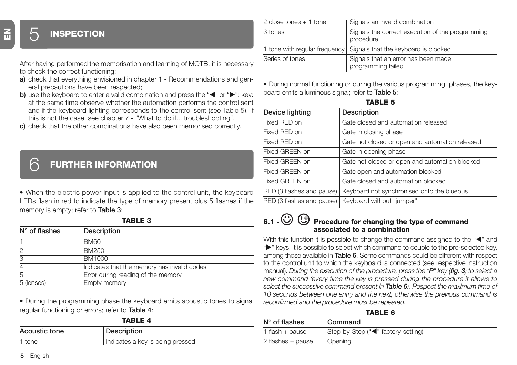## 5 **INSPECTION**

After having performed the memorisation and learning of MOTB, it is necessary to check the correct functioning:

- **a)** check that everything envisioned in chapter 1 Recommendations and general precautions have been respected;
- **b)** use the keyboard to enter a valid combination and press the "<" or " $\blacktriangleright$ ": key: at the same time observe whether the automation performs the control sent and if the keyboard lighting corresponds to the control sent (see Table 5). If this is not the case, see chapter 7 - "What to do if....troubleshooting".
- **c)** check that the other combinations have also been memorised correctly.

### 6 **FURTHER INFORMATION**

• When the electric power input is applied to the control unit, the keyboard LEDs flash in red to indicate the type of memory present plus 5 flashes if the memory is empty; refer to **Table 3**:

**TABLE 3**

| $N^{\circ}$ of flashes | Description                                 |
|------------------------|---------------------------------------------|
|                        | <b>BM60</b>                                 |
| 2                      | BM250                                       |
| 3                      | BM1000                                      |
| 4                      | Indicates that the memory has invalid codes |
| 5                      | Error during reading of the memory          |
| 5 (lenses)             | Empty memory                                |

• During the programming phase the keyboard emits acoustic tones to signal regular functioning or errors; refer to **Table 4**:

|--|--|

| Acoustic tone | Description                      |
|---------------|----------------------------------|
| 1 tone        | Indicates a key is being pressed |

| 2 close tones $+1$ tone | Signals an invalid combination                                     |
|-------------------------|--------------------------------------------------------------------|
| 3 tones                 | Signals the correct execution of the programming<br>procedure      |
|                         | 1 tone with regular frequency Signals that the keyboard is blocked |
| Series of tones         | Signals that an error has been made;<br>programming failed         |

• During normal functioning or during the various programming phases, the keyboard emits a luminous signal; refer to **Table 5**:

|--|--|

| Device lighting           | Description                                           |
|---------------------------|-------------------------------------------------------|
| Fixed RED on              | Gate closed and automation released                   |
| Fixed RED on              | Gate in closing phase                                 |
| Fixed RED on              | Gate not closed or open and automation released       |
| Fixed GREEN on            | Gate in opening phase                                 |
| Fixed GREEN on            | Gate not closed or open and automation blocked        |
| Fixed GREEN on            | Gate open and automation blocked                      |
| Fixed GREEN on            | Gate closed and automation blocked                    |
| RED (3 flashes and pause) | Keyboard not synchronised onto the bluebus            |
|                           | RED (3 flashes and pause)   Keyboard without "jumper" |

#### **6.1 - Procedure for changing the type of command associated to a combination**

With this function it is possible to change the command assigned to the "<" and " $\blacktriangleright$ " keys. It is possible to select which command to couple to the pre-selected key, among those available in **Table 6**. Some commands could be different with respect to the control unit to which the keyboard is connected (see respective instruction manual). *During the execution of the procedure, press the "P" key (fig. 3) to select a new command (every time the key is pressed during the procedure it allows to select the successive command present in Table 6). Respect the maximum time of 10 seconds between one entry and the next, otherwise the previous command is reconfirmed and the procedure must be repeated.*

#### **TABLE 6**

| $N^{\circ}$ of flashes | Command                            |
|------------------------|------------------------------------|
| 1 flash + pause        | Step-by-Step ("<" factory-setting) |
| 2 flashes + pause      | Opening                            |

**EN**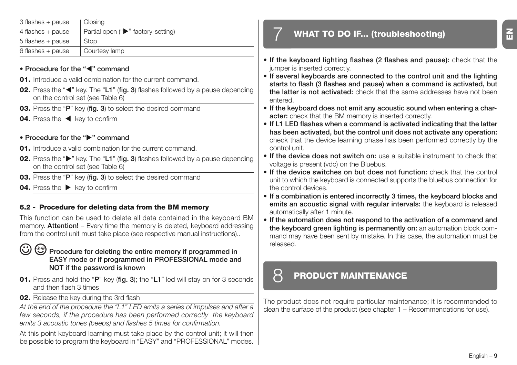| 3 flashes + pause   | Closina                            |
|---------------------|------------------------------------|
| 4 flashes + pause   | Partial open ("▶" factory-setting) |
| 5 flashes + pause   | Stop                               |
| $6$ flashes + pause | Courtesy lamp                      |

#### • Procedure for the "<" command

- **01.** Introduce a valid combination for the current command.
- **02.** Press the "<" key. The "L1" (fig. 3) flashes followed by a pause depending on the control set (see Table 6)
- **03.** Press the "**P**" key (**fig. 3**) to select the desired command
- **04.** Press the  $\blacktriangleleft$  key to confirm

#### **• Procedure for the "" command**

- **01.** Introduce a valid combination for the current command.
- **02.** Press the " $\blacktriangleright$ " key. The "L1" (fig. 3) flashes followed by a pause depending on the control set (see Table 6)
- **03.** Press the "**P**" key (**fig. 3**) to select the desired command
- **04.** Press the  $\blacktriangleright$  key to confirm

#### **6.2 - Procedure for deleting data from the BM memory**

This function can be used to delete all data contained in the keyboard BM memory. **Attention!** – Every time the memory is deleted, keyboard addressing from the control unit must take place (see respective manual instructions)..

#### Procedure for deleting the entire memory if programmed in **EASY mode or if programmed in PROFESSIONAL mode and NOT if the password is known**

- **01.** Press and hold the "**P**" key (**fig. 3**); the "**L1**" led will stay on for 3 seconds and then flash 3 times
- **02.** Release the key during the 3rd flash

*At the end of the procedure the "L1" LED emits a series of impulses and after a few seconds, if the procedure has been performed correctly the keyboard emits 3 acoustic tones (beeps) and flashes 5 times for confirmation.*

At this point keyboard learning must take place by the control unit; it will then be possible to program the keyboard in "EASY" and "PROFESSIONAL" modes.

## 7 **WHAT TO DO IF... (troubleshooting)**

- **If the keyboard lighting flashes (2 flashes and pause):** check that the jumper is inserted correctly.
- **If several keyboards are connected to the control unit and the lighting starts to flash (3 flashes and pause) when a command is activated, but the latter is not activated:** check that the same addresses have not been entered.
- **If the keyboard does not emit any acoustic sound when entering a character:** check that the BM memory is inserted correctly.
- **If L1 LED flashes when a command is activated indicating that the latter has been activated, but the control unit does not activate any operation:** check that the device learning phase has been performed correctly by the control unit.
- **If the device does not switch on:** use a suitable instrument to check that voltage is present (vdc) on the Bluebus.
- **If the device switches on but does not function:** check that the control unit to which the keyboard is connected supports the bluebus connection for the control devices.
- **If a combination is entered incorrectly 3 times, the keyboard blocks and emits an acoustic signal with regular intervals:** the keyboard is released automatically after 1 minute.
- **If the automation does not respond to the activation of a command and the keyboard green lighting is permanently on:** an automation block command may have been sent by mistake. In this case, the automation must be released.

## 8 **PRODUCT MAINTENANCE**

The product does not require particular maintenance; it is recommended to clean the surface of the product (see chapter 1 – Recommendations for use).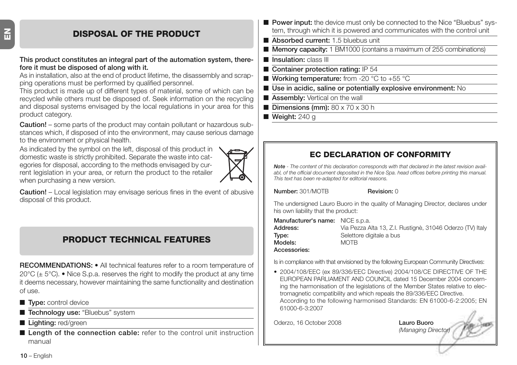## **DISPOSAL OF THE PRODUCT**

#### **This product constitutes an integral part of the automation system, therefore it must be disposed of along with it.**

As in installation, also at the end of product lifetime, the disassembly and scrapping operations must be performed by qualified personnel.

This product is made up of different types of material, some of which can be recycled while others must be disposed of. Seek information on the recycling and disposal systems envisaged by the local regulations in your area for this product category.

**Caution!** – some parts of the product may contain pollutant or hazardous substances which, if disposed of into the environment, may cause serious damage to the environment or physical health.

As indicated by the symbol on the left, disposal of this product in domestic waste is strictly prohibited. Separate the waste into categories for disposal, according to the methods envisaged by current legislation in your area, or return the product to the retailer when purchasing a new version.



**Caution!** – Local legislation may envisage serious fines in the event of abusive disposal of this product.

## **PRODUCT TECHNICAL FEATURES**

**RECOMMENDATIONS: •** All technical features refer to a room temperature of 20 $\degree$ C ( $\pm$  5 $\degree$ C). • Nice S.p.a. reserves the right to modify the product at any time it deems necessary, however maintaining the same functionality and destination of use.

- **Type:** control device
- **Technology use:** "Bluebus" system
- **Lighting:** red/green
- **Length of the connection cable:** refer to the control unit instruction manual
- **Power input:** the device must only be connected to the Nice "Bluebus" system, through which it is powered and communicates with the control unit
- **Absorbed current:** 1.5 bluebus unit
- **Memory capacity:** 1 BM1000 (contains a maximum of 255 combinations)
- **Insulation:** class III
- **Container protection rating: IP 54**
- **Working temperature:** from -20 °C to +55 °C
- Use in acidic, saline or potentially explosive environment: No
- **Assembly:** Vertical on the wall
- **Dimensions (mm):** 80 x 70 x 30 h
- **Weight: 240 g**

### **EC DECLARATION OF CONFORMITY**

*Note - The content of this declaration corresponds with that declared in the latest revision availabl, of the official document deposited in the Nice Spa. head offices before printing this manual. This text has been re-adapted for editorial reasons.*

**Number:** 301/MOTB **Revision:** 0

The undersigned Lauro Buoro in the quality of Managing Director, declares under his own liability that the product:

| <b>Manufacturer's name:</b> NICE s.p.a. |                                                           |
|-----------------------------------------|-----------------------------------------------------------|
| Address:                                | Via Pezza Alta 13, Z.I. Rustignè, 31046 Oderzo (TV) Italy |
| Tvpe:                                   | Selettore digitale a bus                                  |
| Models:                                 | <b>MOTB</b>                                               |
| Accessories:                            |                                                           |

Is in compliance with that envisioned by the following European Community Directives:

• 2004/108/EEC (ex 89/336/EEC Directive) 2004/108/CE DIRECTIVE OF THE EUROPEAN PARLIAMENT AND COUNCIL dated 15 December 2004 concerning the harmonisation of the legislations of the Member States relative to electromagnetic compatibility and which repeals the 89/336/EEC Directive. According to the following harmonised Standards: EN 61000-6-2:2005; EN 61000-6-3:2007

Oderzo, 16 October 2008 **Lauro Buoro**

*(Managing Director)*

**10** – English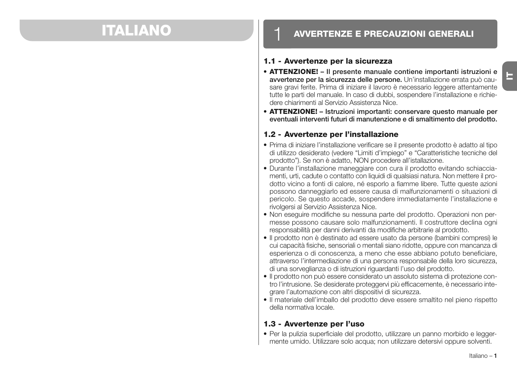## **ITALIANO**

### **AVVERTENZE E PRECAUZIONI GENERALI**

#### **1.1 - Avvertenze per la sicurezza**

- **ATTENZIONE! Il presente manuale contiene importanti istruzioni e avvertenze per la sicurezza delle persone.** Un'installazione errata può causare gravi ferite. Prima di iniziare il lavoro è necessario leggere attentamente tutte le parti del manuale. In caso di dubbi, sospendere l'installazione e richiedere chiarimenti al Servizio Assistenza Nice.
- **ATTENZIONE! Istruzioni importanti: conservare questo manuale per eventuali interventi futuri di manutenzione e di smaltimento del prodotto.**

#### **1.2 - Avvertenze per l'installazione**

- Prima di iniziare l'installazione verificare se il presente prodotto è adatto al tipo di utilizzo desiderato (vedere "Limiti d'impiego" e "Caratteristiche tecniche del prodotto"). Se non è adatto, NON procedere all'istallazione.
- Durante l'installazione maneggiare con cura il prodotto evitando schiacciamenti, urti, cadute o contatto con liquidi di qualsiasi natura. Non mettere il prodotto vicino a fonti di calore, né esporlo a fiamme libere. Tutte queste azioni possono danneggiarlo ed essere causa di malfunzionamenti o situazioni di pericolo. Se questo accade, sospendere immediatamente l'installazione e rivolgersi al Servizio Assistenza Nice.
- Non eseguire modifiche su nessuna parte del prodotto. Operazioni non permesse possono causare solo malfunzionamenti. Il costruttore declina ogni responsabilità per danni derivanti da modifiche arbitrarie al prodotto.
- Il prodotto non è destinato ad essere usato da persone (bambini compresi) le cui capacità fisiche, sensoriali o mentali siano ridotte, oppure con mancanza di esperienza o di conoscenza, a meno che esse abbiano potuto beneficiare, attraverso l'intermediazione di una persona responsabile della loro sicurezza, di una sorveglianza o di istruzioni riguardanti l'uso del prodotto.
- Il prodotto non può essere considerato un assoluto sistema di protezione contro l'intrusione. Se desiderate proteggervi più efficacemente, è necessario integrare l'automazione con altri dispositivi di sicurezza.
- Il materiale dell'imballo del prodotto deve essere smaltito nel pieno rispetto della normativa locale.

#### **1.3 - Avvertenze per l'uso**

• Per la pulizia superficiale del prodotto, utilizzare un panno morbido e leggermente umido. Utilizzare solo acqua; non utilizzare detersivi oppure solventi.

**IT**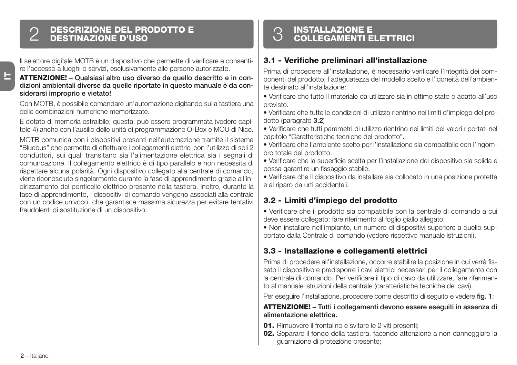## **DESCRIZIONE DEL PRODOTTO E** 2 **DESTINAZIONE D'USO**

Il selettore digitale MOTB è un dispositivo che permette di verificare e consentire l'accesso a luoghi o servizi, esclusivamente alle persone autorizzate.

#### **AT TENZIONE! – Qualsiasi altro uso diverso da quello descritto e in condizioni am bientali diverse da quelle riportate in questo manuale è da considerarsi improprio e vietato!**

Con MOTB, è possibile comandare un'automazione digitando sulla tastiera una delle combinazioni numeriche memorizzate.

È dotato di memoria estraibile; questa, può essere programmata (vedere capitolo 4) anche con l'ausilio delle unità di programmazione O-Box e MOU di Nice.

MOTB comunica con i dispositivi presenti nell'automazione tramite il sistema "Bluebus" che permette di effettuare i collegamenti elettrici con l'utilizzo di soli 2 conduttori, sui quali transitano sia l'alimentazione elettrica sia i segnali di comuncazione. Il collegamento elettrico è di tipo parallelo e non necessita di rispettare alcuna polarità. Ogni dispositivo collegato alla centrale di comando, viene riconosciuto singolarmente durante la fase di apprendimento grazie all'indirizzamento del ponticello elettrico presente nella tastiera. Inoltre, durante la fase di apprendimento, i dispositivi di comando vengono associati alla centrale con un codice univoco, che garantisce massima sicurezza per evitare tentativi fraudolenti di sostituzione di un dispositivo.

## **INSTALLAZIONE E** 3 **COLLEGAMENTI ELETTRICI**

#### **3.1 - Verifiche preliminari all'installazione**

Prima di procedere all'installazione, è necessario verificare l'integrità dei componenti del prodotto, l'adeguatezza del modello scelto e l'idoneità dell'ambiente destinato all'installazione:

- Verificare che tutto il materiale da utilizzare sia in ottimo stato e adatto all'uso previsto.
- Verificare che tutte le condizioni di utilizzo rientrino nei limiti d'impiego del prodotto (paragrafo **3.2**)
- Verificare che tutti parametri di utilizzo rientrino nei limiti dei valori riportati nel capitolo "Caratteristiche tecniche del prodotto".
- Verificare che l'ambiente scelto per l'installazione sia compatibile con l'ingombro totale del prodotto.
- Verificare che la superficie scelta per l'installazione del dispositivo sia solida e possa garantire un fissaggio stabile.
- Verificare che il dispositivo da installare sia collocato in una posizione protetta e al riparo da urti accidentali.

#### **3.2 - Limiti d'impiego del prodotto**

• Verificare che il prodotto sia compatibile con la centrale di comando a cui deve essere collegato; fare riferimento al foglio giallo allegato.

• Non installare nell'impianto, un numero di dispositivi superiore a quello supportato dalla Centrale di comando (vedere rispettivo manuale istruzioni).

#### **3.3 - Installazione e collegamenti elettrici**

Prima di procedere all'installazione, occorre stabilire la posizione in cui verrà fissato il dispositivo e predisporre i cavi elettrici necessari per il collegamento con la centrale di comando. Per verificare il tipo di cavo da utilizzare, fare riferimento al manuale istruzioni della centrale (caratteristiche tecniche dei cavi).

Per eseguire l'installazione, procedere come descritto di seguito e vedere **fig. 1**:

#### **ATTENZIONE! – Tutti i collegamenti devono essere eseguiti in assenza di alimentazione elettrica.**

- **01.** Rimuovere il frontalino e svitare le 2 viti presenti;
- **02.** Separare il fondo della tastiera, facendo attenzione a non danneggiare la guarnizione di protezione presente;

**IT**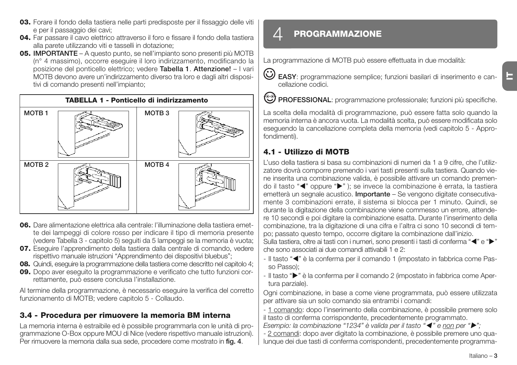- **03.** Forare il fondo della tastiera nelle parti predisposte per il fissaggio delle viti e per il passaggio dei cavi;
- **04.** Far passare il cavo elettrico attraverso il foro e fissare il fondo della tastiera alla parete utilizzando viti e tasselli in dotazione;
- **05. IMPORTANTE** A questo punto, se nell'impianto sono presenti più MOTB (n° 4 massimo), occorre eseguire il loro indirizzamento, modificando la posizione del ponticello elettrico; vedere **Ta bella 1**. **Attenzione!** – I vari MOTB devono avere un'indirizzamento diverso tra loro e dagli altri dispositivi di comando presenti nell'impianto;



- **06.** Dare alimentazione elettrica alla centrale: l'illuminazione della tastiera emette dei lampeggi di colore rosso per indicare il tipo di memoria presente (vedere Tabella 3 - capitolo 5) seguiti da 5 lampeggi se la memoria è vuota;
- **07.** Eseguire l'apprendimento della tastiera dalla centrale di comando, vedere rispettivo manuale istruzioni "Apprendimento dei dispositivi bluebus";
- **08.** Quindi, eseguire la programmazione della tastiera come descritto nel capitolo 4;
- **09.** Dopo aver eseguito la programmazione e verificato che tutto funzioni correttamente, può essere conclusa l'installazione.

Al termine della programmazione, è necessario eseguire la verifica del corretto funzionamento di MOTB; vedere capitolo 5 - Collaudo.

#### **3.4 - Procedura per rimuovere la memoria BM interna**

La memoria interna è estraibile ed è possibile programmarla con le unità di programmazione O-Box oppure MOU di Nice (vedere rispettivo manuale istruzioni). Per rimuovere la memoria dalla sua sede, procedere come mostrato in **fig. 4**.

## 4 **PROGRAMMAZIONE**

La programmazione di MOTB può essere effettuata in due modalità:

**EASY**: programmazione semplice; funzioni basilari di inserimento e cancellazione codici.

**PROFESSIONAL:** programmazione professionale; funzioni più specifiche.

La scelta della modalità di programmazione, può essere fatta solo quando la memoria interna è ancora vuota. La modalità scelta, può essere modificata solo eseguendo la cancellazione completa della memoria (vedi capitolo 5 - Approfondimenti).

#### **4.1 - Utilizzo di MOTB**

L'uso della tastiera si basa su combinazioni di numeri da 1 a 9 cifre, che l'utilizzatore dovrà comporre premendo i vari tasti presenti sulla tastiera. Quando viene inserita una combinazione valida, è possibile attivare un comando premendo il tasto "<" oppure ">"); se invece la combinazione è errata, la tastiera emetterà un segnale acustico. **Importante** – Se vengono digitate consecutivamente 3 combinazioni errate, il sistema si blocca per 1 minuto. Quindi, se durante la digitazione della combinazione viene commesso un errore, attendere 10 secondi e poi digitare la combinazione esatta. Durante l'inserimento della combinazione, tra la digitazione di una cifra e l'altra ci sono 10 secondi di tempo; passato questo tempo, occorre digitare la combinazione dall'inizio.

Sulla tastiera, oltre ai tasti con i numeri, sono presenti i tasti di conferma " $\P'$ e " $\blacktriangleright$ " che sono associati ai due comandi attivabili 1 e 2:

- Il tasto "<" è la conferma per il comando 1 (impostato in fabbrica come Passo Passo);
- Il tasto "" è la conferma per il comando 2 (impostato in fabbrica come Apertura parziale).

Ogni combinazione, in base a come viene programmata, può essere utilizzata per attivare sia un solo comando sia entrambi i comandi:

- 1 comando: dopo l'inserimento della combinazione, è possibile premere solo il tasto di conferma corrispondente, precedentemente programmato.

*Esempio: la combinazione "1234" è valida per il tasto "* $\blacktriangleleft$ *" e non per "* $\blacktriangleright$ *";* 

- 2 comandi: dopo aver digitato la combinazione, è possibile premere uno qualunque dei due tasti di conferma corrispondenti, precedentemente programma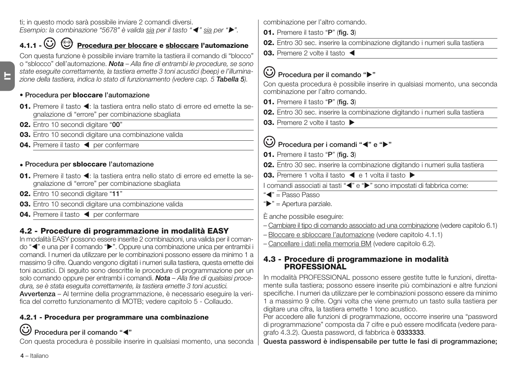ti; in questo modo sarà possibile inviare 2 comandi diversi. *Esempio: la combinazione "5678" è valida sia per il tasto "*- *" sia per "".*

## **4.1.1 - Procedura per bloccare e sbloccare l'automazione**

Con questa funzione è possibile inviare tramite la tastiera il comando di "blocco" o "sblocco" dell'automazione. *Nota – Alla fine di entrambi le procedure, se sono state eseguite correttamente, la tastiera emette 3 toni acustici (beep) e l'illuminazione della tastiera, indica lo stato di funzionamento (vedere cap. 5 Tabella 5).*

#### **• Procedura per bloccare l'automazione**

- 01. Premere il tasto < : la tastiera entra nello stato di errore ed emette la segnalazione di "errore" per combinazione sbagliata
- **02.** Entro 10 secondi digitare "**00**"
- **03.** Entro 10 secondi digitare una combinazione valida
- 04. Premere il tasto < per confermare

#### **• Procedura per sbloccare l'automazione**

- 01. Premere il tasto < : la tastiera entra nello stato di errore ed emette la segnalazione di "errore" per combinazione sbagliata
- **02.** Entro 10 secondi digitare "**11**"
- **03.** Entro 10 secondi digitare una combinazione valida
- 04. Premere il tasto < per confermare

## **4.2 - Procedure di programmazione in modalità EASY**

In modalità EASY possono essere inserite 2 combinazioni, una valida per il comando "<" e una per il comando ">". Oppure una combinazione unica per entrambi i comandi. I numeri da utilizzare per le combinazioni possono essere da minimo 1 a massimo 9 cifre. Quando vengono digitati i numeri sulla tastiera, questa emette dei toni acustici. Di seguito sono descritte le procedure di programmazione per un solo comando oppure per entrambi i comandi. *Nota – Alla fine di qualsiasi procedura, se è stata eseguita correttamente, la tastiera emette 3 toni acustici.* **Avvertenza** – Al termine della programmazione, è necessario eseguire la verifica del corretto funzionamento di MOTB; vedere capitolo 5 - Collaudo.

#### **4.2.1 - Procedura per programmare una combinazione**

## **Procedura per il comando "**-**"**

Con questa procedura è possibile inserire in qualsiasi momento, una seconda

combinazione per l'altro comando.

- **01.** Premere il tasto "**P**" (**fig. 3**)
- **02.** Entro 30 sec. inserire la combinazione digitando i numeri sulla tastiera
- **03.** Premere 2 volte il tasto

## **Procedura per il comando ""**

Con questa procedura è possibile inserire in qualsiasi momento, una seconda combinazione per l'altro comando.

- **01.** Premere il tasto "**P**" (**fig. 3**)
- **02.** Entro 30 sec. inserire la combinazione digitando i numeri sulla tastiera
- **03.** Premere 2 volte il tasto ▶

## Procedura per i comandi "<" e "

- **01.** Premere il tasto "**P**" (**fig. 3**)
- **02.** Entro 30 sec. inserire la combinazione digitando i numeri sulla tastiera
- 03. Premere 1 volta il tasto < e 1 volta il tasto  $\triangleright$

I comandi associati ai tasti "<" e ">" sono impostati di fabbrica come:

- " $\blacktriangleleft$ " = Passo Passo
- $"$  = Apertura parziale.
- È anche possibile eseguire:
- Cambiare il tipo di comando associato ad una combinazione (vedere capitolo 6.1)
- Bloccare e sbloccare l'automazione (vedere capitolo 4.1.1)
- Cancellare i dati nella memoria BM (vedere capitolo 6.2).

#### **4.3 - Procedure di programmazione in modalità PROFESSIONAL**

In modalità PROFESSIONAL possono essere gestite tutte le funzioni, direttamente sulla tastiera; possono essere inserite più combinazioni e altre funzioni specifiche. I numeri da utilizzare per le combinazioni possono essere da minimo 1 a massimo 9 cifre. Ogni volta che viene premuto un tasto sulla tastiera per digitare una cifra, la tastiera emette 1 tono acustico.

Per accedere alle funzioni di programmazione, occorre inserire una "password di programmazione" composta da 7 cifre e può essere modificata (vedere paragrafo 4.3.2). Questa password, di fabbrica è **0333333**.

**Questa password è indispensabile per tutte le fasi di programmazione;**

**4** – Italiano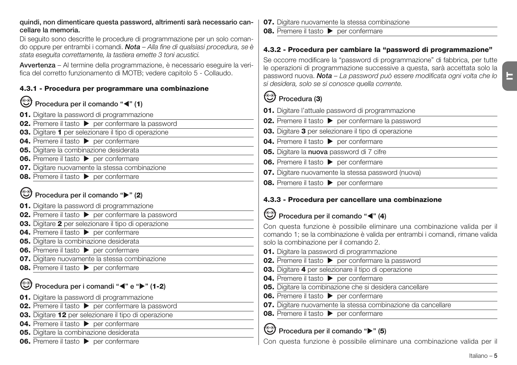#### **quindi, non dimenticare questa password, altrimenti sarà necessario cancellare la memoria.**

Di seguito sono descritte le procedure di programmazione per un solo comando oppure per entrambi i comandi. *Nota – Alla fine di qualsiasi procedura, se è stata eseguita correttamente, la tastiera emette 3 toni acustici.*

**Avvertenza** – Al termine della programmazione, è necessario eseguire la verifica del corretto funzionamento di MOTB; vedere capitolo 5 - Collaudo.

#### **4.3.1 - Procedura per programmare una combinazione**

#### **Procedura per il comando "**-**" (1)**

- **01.** Digitare la password di programmazione
- **02.** Premere il tasto  $\rightarrow$  per confermare la password
- **03.** Digitare **1** per selezionare il tipo di operazione
- **04.** Premere il tasto **Della per confermare**
- **05.** Digitare la combinazione desiderata
- **06.** Premere il tasto **Della per confermare**
- **07.** Digitare nuovamente la stessa combinazione
- **08.** Premere il tasto **Delayer Premere**

## **Procedura per il comando "" (2)**

- **01.** Digitare la password di programmazione
- **02.** Premere il tasto  $\rightarrow$  per confermare la password
- **03.** Digitare **2** per selezionare il tipo di operazione
- **04.** Premere il tasto **Delache per confermare**
- **05.** Digitare la combinazione desiderata
- **06.** Premere il tasto **Della per confermare**
- **07.** Digitare nuovamente la stessa combinazione
- **08.** Premere il tasto **Della per confermare**

#### **Procedura per i comandi "**<sup>2</sup> e " $\blacktriangleright$ " (1-2)

- **01.** Digitare la password di programmazione
- **02.** Premere il tasto  $\triangleright$  per confermare la password
- **03.** Digitare **12** per selezionare il tipo di operazione
- **04.** Premere il tasto **Della per confermare**
- **05.** Digitare la combinazione desiderata
- **06.** Premere il tasto **Delacher Premere**
- **07.** Digitare nuovamente la stessa combinazione
- **08.** Premere il tasto **Delayer per confermare**

#### **4.3.2 - Procedura per cambiare la "password di programmazione"**

Se occorre modificare la "password di programmazione" di fabbrica, per tutte le operazioni di programmazione successive a questa, sarà accettata solo la password nuova. *Nota – La password può essere modificata ogni volta che lo si desidera, solo se si conosce quella corrente.*

## **Procedura (3)**

- **01.** Digitare l'attuale password di programmazione
- **02.** Premere il tasto  $\triangleright$  per confermare la password
- **03.** Digitare **3** per selezionare il tipo di operazione
- **04.** Premere il tasto **b** per confermare
- **05.** Digitare la **nuova** password di 7 cifre
- **06.** Premere il tasto **b** per confermare
- **07.** Digitare nuovamente la stessa password (nuova)
- **08.** Premere il tasto **Della per confermare**

#### **4.3.3 - Procedura per cancellare una combinazione**

#### Procedura per il comando "<" (4)

Con questa funzione è possibile eliminare una combinazione valida per il comando 1; se la combinazione è valida per entrambi i comandi, rimane valida solo la combinazione per il comando 2.

- **01.** Digitare la password di programmazione
- **02.** Premere il tasto  $\triangleright$  per confermare la password
- **03.** Digitare **4** per selezionare il tipo di operazione
- **04.** Premere il tasto **Departs** ner confermare
- **05.** Digitare la combinazione che si desidera cancellare
- **06.** Premere il tasto **Delacher Premier Premiere**
- **07.** Digitare nuovamente la stessa combinazione da cancellare
- **08.** Premere il tasto **Della per confermare**

### **Procedura per il comando "" (5)**

Con questa funzione è possibile eliminare una combinazione valida per il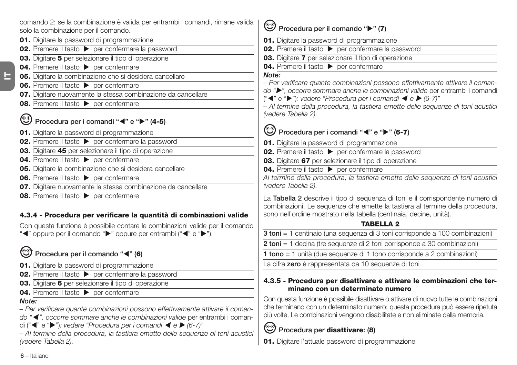comando 2; se la combinazione è valida per entrambi i comandi, rimane valida solo la combinazione per il comando.

- **01.** Digitare la password di programmazione
- **02.** Premere il tasto  $\rightarrow$  per confermare la password
- **03.** Digitare **5** per selezionare il tipo di operazione
- **04.** Premere il tasto **Departs** per confermare
- **05.** Digitare la combinazione che si desidera cancellare
- **06.** Premere il tasto **Derivato** per confermare
- **07.** Digitare nuovamente la stessa combinazione da cancellare
- **08.** Premere il tasto **Della per confermare**

#### **Procedura per i comandi "**-**" e "" (4-5)**

- **01.** Digitare la password di programmazione
- **02.** Premere il tasto  $\triangleright$  per confermare la password
- **03.** Digitare **45** per selezionare il tipo di operazione
- **04.** Premere il tasto **Departs** per confermare
- **05.** Digitare la combinazione che si desidera cancellare
- **06.** Premere il tasto **b** per confermare
- **07.** Digitare nuovamente la stessa combinazione da cancellare
- **08.** Premere il tasto **b** per confermare

#### **4.3.4 - Procedura per verificare la quantità di combinazioni valide**

Con questa funzione è possibile contare le combinazioni valide per il comando

"<" oppure per il comando ">" oppure per entrambi ("<" e ">").

### **Procedura per il comando "**-**" (6)**

- **01.** Digitare la password di programmazione
- **02.** Premere il tasto  $\triangleright$  per confermare la password
- **03.** Digitare **6** per selezionare il tipo di operazione
- **04.** Premere il tasto **Della per confermare**

#### *Note:*

 $\blacksquare$ 

*– Per verificare quante combinazioni possono effettivamente attivare il coman-*

*do "*- *", occorre sommare anche le combinazioni valide* per entrambi i coman-

di ("◀" e "▶"): vedere "Procedura per i comandi ◀ e ▶ (6-7)"

*– Al termine della procedura, la tastiera emette delle sequenze di toni acustici (vedere Tabella 2).*

## **Procedura per il comando "" (7)**

- **01.** Digitare la password di programmazione
- **02.** Premere il tasto  $\rightarrow$  per confermare la password
- **03.** Digitare **7** per selezionare il tipo di operazione
- **04.** Premere il tasto **per confermare**

#### *Note:*

*– Per verificare quante combinazioni possono effettivamente attivare il coman-*

*do "", occorre sommare anche le combinazioni valide* per entrambi i comandi

("◀" e "▶"): vedere "Procedura per i comandi ◀ e ▶ (6-7)"

*– Al termine della procedura, la tastiera emette delle sequenze di toni acustici (vedere Tabella 2).*

#### **Procedura per i comandi "**<sup>2</sup>" e "<sup>2</sup>" (6-7)

- **01.** Digitare la password di programmazione
- **02.** Premere il tasto  $\triangleright$  per confermare la password
- **03.** Digitare **67** per selezionare il tipo di operazione
- **04.** Premere il tasto  $\triangleright$  per confermare

*Al termine della procedura, la tastiera emette delle sequenze di toni acustici (vedere Tabella 2).*

La **Tabella 2** descrive il tipo di sequenza di toni e il corrispondente numero di combinazioni. Le sequenze che emette la tastiera al termine della procedura, sono nell'ordine mostrato nella tabella (centinaia, decine, unità).

#### **TABELLA 2**

**3 toni** = 1 centinaio (una sequenza di 3 toni corrisponde a 100 combinazioni)

**2 toni** = 1 decina (tre sequenze di 2 toni corrisponde a 30 combinazioni)

**1 tono** = 1 unità (due sequenze di 1 tono corrisponde a 2 combinazioni)

La cifra **zero** è rappresentata da 10 sequenze di toni

#### **4.3.5 - Procedura per disattivare e attivare le combinazioni che ter**minano con un determinato numero

Con questa funzione è possibile disattivare o attivare di nuovo tutte le combinazioni che terminano con un determinato numero; questa procedura può essere ripetuta più volte. Le combinazioni vengono disabilitate e non eliminate dalla memoria.

## **Procedura per disattivare: (8)**

**01.** Digitare l'attuale password di programmazione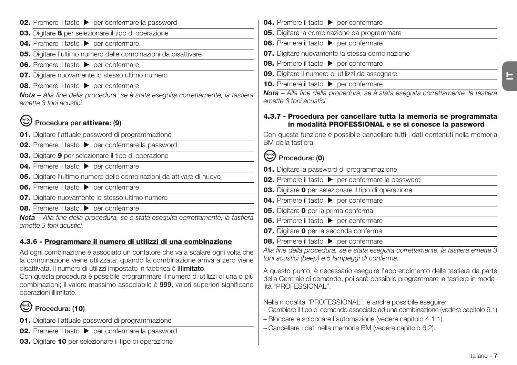| <b>02.</b> Premere il tasto $\triangleright$ per confermare la password                                                                                                                                                                                                | <b>04.</b> Premere il tasto <b>&gt;</b> per confermare                                                                                                                                  |
|------------------------------------------------------------------------------------------------------------------------------------------------------------------------------------------------------------------------------------------------------------------------|-----------------------------------------------------------------------------------------------------------------------------------------------------------------------------------------|
| 03. Digitare 8 per selezionare il tipo di operazione                                                                                                                                                                                                                   | 05. Digitare la combinazione da programmare                                                                                                                                             |
| 04. Premere il tasto > per confermare                                                                                                                                                                                                                                  | <b>06.</b> Premere il tasto > per confermare                                                                                                                                            |
| 05. Digitare l'ultimo numero delle combinazioni da disattivare                                                                                                                                                                                                         | 07. Digitare nuovamente la stessa combinazione                                                                                                                                          |
| 06. Premere il tasto > per confermare                                                                                                                                                                                                                                  | 08. Premere il tasto > per confermare                                                                                                                                                   |
| 07. Digitare nuovamente lo stesso ultimo numero                                                                                                                                                                                                                        | 09. Digitare il numero di utilizzi da assegnare                                                                                                                                         |
| <b>08.</b> Premere il tasto > per confermare                                                                                                                                                                                                                           | <b>10.</b> Premere il tasto > per confermare                                                                                                                                            |
| Nota - Alla fine della procedura, se è stata eseguita correttamente, la tastiera<br>emette 3 toni acustici.                                                                                                                                                            | Nota - Alla fine della procedura, se è stata eseguita correttamente, la tastiera<br>emette 3 toni acustici.                                                                             |
| Procedura per attivare: (9)                                                                                                                                                                                                                                            | 4.3.7 - Procedura per cancellare tutta la memoria se programmata<br>in modalità PROFESSIONAL e se si conosce la password                                                                |
| 01. Digitare l'attuale password di programmazione                                                                                                                                                                                                                      | Con questa funzione è possibile cancellare tutti i dati contenuti nella memoria                                                                                                         |
| 02. Premere il tasto > per confermare la password                                                                                                                                                                                                                      | BM della tastiera.                                                                                                                                                                      |
| 03. Digitare 9 per selezionare il tipo di operazione                                                                                                                                                                                                                   | Procedura: (0)                                                                                                                                                                          |
| 04. Premere il tasto > per confermare                                                                                                                                                                                                                                  | 01. Digitare la password di programmazione                                                                                                                                              |
| 05. Digitare l'ultimo numero delle combinazioni da attivare di nuovo                                                                                                                                                                                                   | 02. Premere il tasto > per confermare la password                                                                                                                                       |
| 06. Premere il tasto > per confermare                                                                                                                                                                                                                                  | 03. Digitare 0 per selezionare il tipo di operazione                                                                                                                                    |
| 07. Digitare nuovamente lo stesso ultimo numero                                                                                                                                                                                                                        | 04. Premere il tasto > per confermare                                                                                                                                                   |
| 08. Premere il tasto > per confermare                                                                                                                                                                                                                                  | 05. Digitare 0 per la prima conferma                                                                                                                                                    |
| Nota - Alla fine della procedura, se è stata eseguita correttamente, la tastiera                                                                                                                                                                                       | <b>06.</b> Premere il tasto > per confermare                                                                                                                                            |
| emette 3 toni acustici.                                                                                                                                                                                                                                                | 07. Digitare 0 per la seconda conferma                                                                                                                                                  |
| 4.3.6 - Programmare il numero di utilizzi di una combinazione                                                                                                                                                                                                          | 08. Premere il tasto > per confermare                                                                                                                                                   |
| Ad ogni combinazione è associato un contatore che va a scalare ogni volta che<br>la combinazione viene utilizzata; quando la combinazione arriva a zero viene                                                                                                          | Alla fine della procedura, se è stata eseguita correttamente, la tastiera emette 3<br>toni acustici (beep) e 5 lampeggi di conferma.                                                    |
| disattivata. Il numero di utilizzi impostato in fabbrica è illimitato.<br>Con questa procedura è possibile programmare il numero di utilizzi di una o più<br>combinazioni; il valore massimo associabile è 999, valori superiori significano<br>operazioni illimitate. | A questo punto, è necessario eseguire l'apprendimento della tastiera da parte<br>della Centrale di comando; poi sarà possibile programmare la tastiera in moda-<br>lità "PROFESSIONAL". |
| Procedura: (10)                                                                                                                                                                                                                                                        | Nella modalità "PROFESSIONAL", è anche possibile eseguire:<br>- Cambiare il tipo di comando associato ad una combinazione (vedere capitolo 6.1)                                         |
| 01. Digitare l'attuale password di programmazione                                                                                                                                                                                                                      | - Bloccare e sbloccare l'automazione (vedere capitolo 4.1.1)                                                                                                                            |
| 02. Premere il tasto > per confermare la password                                                                                                                                                                                                                      | - Cancellare i dati nella memoria BM (vedere capitolo 6.2).                                                                                                                             |
| 03. Digitare 10 per selezionare il tipo di operazione                                                                                                                                                                                                                  |                                                                                                                                                                                         |

Italiano – **7**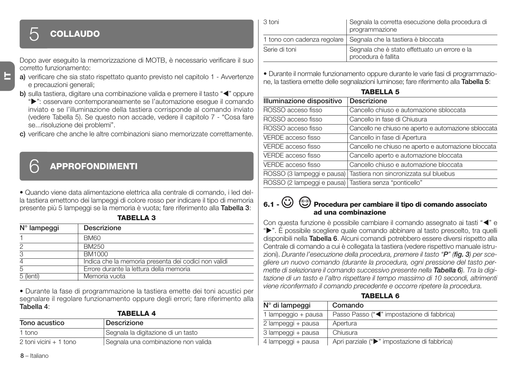## 5 **COLLAUDO**

Dopo aver eseguito la memorizzazione di MOTB, è necessario verificare il suo corretto funzionamento:

- **a)** verificare che sia stato rispettato quanto previsto nel capitolo 1 Avvertenze e precauzioni generali;
- **b)** sulla tastiera, digitare una combinazione valida e premere il tasto "<" oppure

"": osservare contemporaneamente se l'automazione esegue il comando inviato e se l'illuminazione della tastiera corrisponde al comando inviato (vedere Tabella 5). Se questo non accade, vedere il capitolo 7 - "Cosa fare se...risoluzione dei problemi".

**c)** verificare che anche le altre combinazioni siano memorizzate correttamente.

## 6 **APPROFONDIMENTI**

• Quando viene data alimentazione elettrica alla centrale di comando, i led della tastiera emettono dei lampeggi di colore rosso per indicare il tipo di memoria presente più 5 lampeggi se la memoria è vuota; fare riferimento alla **Tabella 3**: **TABELLA 3**

| $N^{\circ}$ lampeggi | Descrizione                                          |  |
|----------------------|------------------------------------------------------|--|
|                      | <b>BM60</b>                                          |  |
| 2                    | BM250                                                |  |
| 3                    | BM1000                                               |  |
| 4                    | Indica che la memoria presenta dei codici non validi |  |
| 5                    | Errore durante la lettura della memoria              |  |
| 5 (lenti)            | Memoria vuota                                        |  |

• Durante la fase di programmazione la tastiera emette dei toni acustici per segnalare il regolare funzionamento oppure degli errori; fare riferimento alla **Tabella 4**: **TABELLA 4**

| IADELLA T              |                                     |
|------------------------|-------------------------------------|
| Tono acustico          | Descrizione                         |
| 1 tono                 | Segnala la digitazione di un tasto  |
| 2 toni vicini + 1 tono | Segnala una combinazione non valida |

| -3 toni       | Segnala la corretta esecuzione della procedura di<br>programmazione  |
|---------------|----------------------------------------------------------------------|
|               | 1 tono con cadenza regolare   Segnala che la tastiera è bloccata     |
| Serie di toni | Segnala che è stato effettuato un errore e la<br>procedura è fallita |

• Durante il normale funzionamento oppure durante le varie fasi di programmazione, la tastiera emette delle segnalazioni luminose; fare riferimento alla **Tabella 5**:

| <b>TABELLA 5</b>           |                                                      |  |
|----------------------------|------------------------------------------------------|--|
| Illuminazione dispositivo  | Descrizione                                          |  |
| ROSSO acceso fisso         | Cancello chiuso e automazione sbloccata              |  |
| ROSSO acceso fisso         | Cancello in fase di Chiusura                         |  |
| ROSSO acceso fisso         | Cancello ne chiuso ne aperto e automazione sbloccata |  |
| VERDE acceso fisso         | Cancello in fase di Apertura                         |  |
| VERDE acceso fisso         | Cancello ne chiuso ne aperto e automazione bloccata  |  |
| VERDE acceso fisso         | Cancello aperto e automazione bloccata               |  |
| VERDE acceso fisso         | Cancello chiuso e automazione bloccata               |  |
| ROSSO (3 lampeggi e pausa) | Tastiera non sincronizzata sul bluebus               |  |
| ROSSO (2 lampeggi e pausa) | Tastiera senza "ponticello"                          |  |

#### **6.1 - Procedura per cambiare il tipo di comando associato ad una combinazione**

Con questa funzione è possibile cambiare il comando assegnato ai tasti "<" e " $\blacktriangleright$ ". È possibile scegliere quale comando abbinare al tasto prescelto, tra quelli disponibili nella **Tabella 6**. Alcuni comandi potrebbero essere diversi rispetto alla Centrale di comando a cui è collegata la tastiera (vedere rispettivo manuale istruzioni). *Durante l'esecuzione della procedura, premere il tasto "P" (fig. 3) per scegliere un nuovo comando (durante la procedura, ogni pressione del tasto permette di selezionare il comando successivo presente nella Tabella 6). Tra la digitazione di un tasto e l'altro rispettare il tempo massimo di 10 secondi, altrimenti viene riconfermato il comando precedente e occorre ripetere la procedura.*

**TABELLA 6**

| N° di lampeggi      | Comando                                      |
|---------------------|----------------------------------------------|
| 1 lampeggio + pausa | Passo Passo (" "impostazione di fabbrica">   |
| 2 lampeggi + pausa  | Apertura                                     |
| 3 lampeggi + pausa  | Chiusura                                     |
| 4 lampeggi + pausa  | Apri parziale (">" impostazione di fabbrica) |

**IT**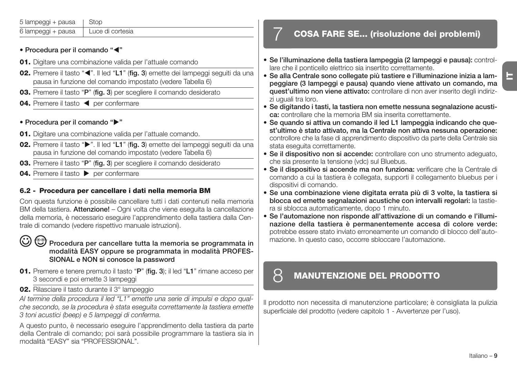| 5 lampeggi + pausa   Stop |                  |
|---------------------------|------------------|
| 6 lampeggi + pausa        | Luce di cortesia |

#### **• Procedura per il comando "**-**"**

- **01.** Digitare una combinazione valida per l'attuale comando
- 02. Premere il tasto "<". Il led "L1" (fig. 3) emette dei lampeggi seguiti da una pausa in funzione del comando impostato (vedere Tabella 6)
- **03.** Premere il tasto "**P**" (**fig. 3**) per scegliere il comando desiderato
- 04. Premere il tasto < per confermare

#### **• Procedura per il comando ""**

- **01.** Digitare una combinazione valida per l'attuale comando.
- **02.** Premere il tasto " $\blacktriangleright$ ". Il led "L1" (fig. 3) emette dei lampeggi seguiti da una pausa in funzione del comando impostato (vedere Tabella 6)
- **03.** Premere il tasto "**P**" (**fig. 3**) per scegliere il comando desiderato
- **04.** Premere il tasto **b** per confermare

#### **6.2 - Procedura per cancellare i dati nella memoria BM**

Con questa funzione è possibile cancellare tutti i dati contenuti nella memoria BM della tastiera. **Attenzione!** – Ogni volta che viene eseguita la cancellazione della memoria, è necessario eseguire l'apprendimento della tastiera dalla Centrale di comando (vedere rispettivo manuale istruzioni).

#### Procedura per cancellare tutta la memoria se programmata in **mo dalità EASY oppure se programmata in modalità PROFES-SIONAL e NON si conosce la password**

- **01.** Premere e tenere premuto il tasto "**P**" (**fig. 3**); il led "**L1**" rimane acceso per 3 secondi e poi emette 3 lampeggi
- **02.** Rilasciare il tasto durante il 3<sup>°</sup> lampeggio

*Al termine della procedura il led "L1" emette una serie di impulsi e dopo qualche secondo, se la procedura è stata eseguita correttamente la tastiera emette 3 toni acustici (beep) e 5 lampeggi di conferma.*

A questo punto, è necessario eseguire l'apprendimento della tastiera da parte della Centrale di comando; poi sarà possibile programmare la tastiera sia in modalità "EASY" sia "PROFESSIONAL".

## 7 **COSA FARE SE... (risoluzione dei problemi)**

- **Se l'illuminazione della tastiera lampeggia (2 lampeggi e pausa):** controllare che il ponticello elettrico sia insertito correttamente.
- **Se alla Centrale sono collegate più tastiere e l'illuminazione inizia a lampeggiare (3 lampeggi e pausa) quando viene attivato un comando, ma quest'ultimo non viene attivato:** controllare di non aver inserito degli indirizzi uguali tra loro.
- **Se digitando i tasti, la tastiera non emette nessuna segnalazione acustica:** controllare che la memoria BM sia inserita correttamente.
- **Se quando si attiva un comando il led L1 lampeggia indicando che quest'ultimo è stato attivato, ma la Centrale non attiva nessuna operazione:** controllore che la fase di apprendimento dispositivo da parte della Centrale sia stata eseguita correttamente.
- **Se il dispositivo non si accende:** controllare con uno strumento adeguato, che sia presente la tensione (vdc) sul Bluebus.
- **Se il dispositivo si accende ma non funziona:** verificare che la Centrale di comando a cui la tastiera è collegata, supporti il collegamento bluebus per i dispositivi di comando.
- **Se una combinazione viene digitata errata più di 3 volte, la tastiera si blocca ed emette segnalazioni acustiche con intervalli regolari:** la tastiera si sblocca automaticamente, dopo 1 minuto.
- **Se l'automazione non risponde all'attivazione di un comando e l'illumina zione della tastiera è permanentemente accesa di colore verde:** potrebbe es sere stato inviato erroneamente un comando di blocco dell'automazione. In questo caso, occorre sbloccare l'automazione.

## 8 **MANUTENZIONE DEL PRODOTTO**

Il prodotto non necessita di manutenzione particolare; è consigliata la pulizia superficiale del prodotto (vedere capitolo 1 - Avvertenze per l'uso).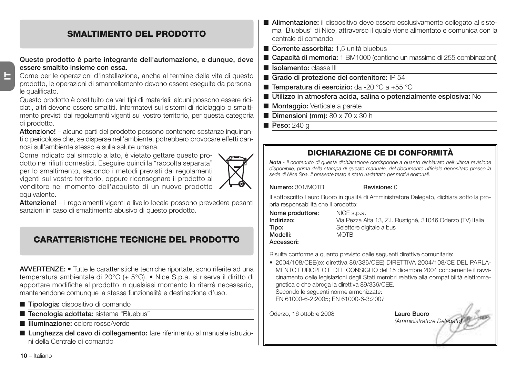#### **SMALTIMENTO DEL PRODOTTO**

#### **Questo prodotto è parte integrante dell'automazione, e dunque, deve essere smaltito insieme con essa.**

Come per le operazioni d'installazione, anche al termine della vita di questo prodotto, le operazioni di smantellamento devono essere eseguite da personale qualificato.

Questo prodotto è costituito da vari tipi di materiali: alcuni possono essere riciclati, altri devono essere smaltiti. Informatevi sui sistemi di riciclaggio o smaltimento previsti dai regolamenti vigenti sul vostro territorio, per questa categoria di prodotto.

**Attenzione!** – alcune parti del prodotto possono contenere sostanze inquinanti o pericolose che, se disperse nell'ambiente, potrebbero provocare effetti dannosi sull'ambiente stesso e sulla salute umana.

Come indicato dal simbolo a lato, è vietato gettare questo prodotto nei rifiuti domestici. Eseguire quindi la "raccolta separata" per lo smaltimento, secondo i metodi previsti dai regolamenti vigenti sul vostro territorio, oppure riconsegnare il prodotto al venditore nel momento dell'acquisto di un nuovo prodotto equivalente.



**Attenzione!** – i regolamenti vigenti a livello locale possono prevedere pesanti sanzioni in caso di smaltimento abusivo di questo prodotto.

## **CARATTERISTICHE TECNICHE DEL PRODOTTO**

**AVVERTENZE: •** Tutte le caratteristiche tecniche riportate, sono riferite ad una temperatura ambientale di 20°C (± 5°C). • Nice S.p.a. si riserva il diritto di apportare modifiche al prodotto in qualsiasi momento lo riterrà necessario, mantenendone comunque la stessa funzionalità e destinazione d'uso.

- **Tipologia:** dispositivo di comando
- **Tecnologia adottata:** sistema "Bluebus"
- **Illuminazione:** colore rosso/verde
- **Lunghezza del cavo di collegamento:** fare riferimento al manuale istruzioni della Centrale di comando
- **Alimentazione:** il dispositivo deve essere esclusivamente collegato al sistema "Bluebus" di Nice, attraverso il quale viene alimentato e comunica con la centrale di comando
- **Corrente assorbita:** 1,5 unità bluebus
- **Capacità di memoria:** 1 BM1000 (contiene un massimo di 255 combinazioni
- **Isolamento:** classe III
- **Grado di protezione del contenitore:** IP 54
- **Temperatura di esercizio:** da -20 °C a +55 °C
- **Utilizzo in atmosfera acida, salina o potenzialmente esplosiva:** No
- **Montaggio:** Verticale a parete
- **Dimensioni (mm):** 80 x 70 x 30 h
- **Peso:** 240 g

## **DICHIARAZIONE CE DI CONFORMITÀ**

*Nota - Il contenuto di questa dichiarazione corrisponde a quanto dichiarato nell'ultima revisione disponibile, prima della stampa di questo manuale, del documento ufficiale depositato presso la sede di Nice Spa. Il presente testo è stato riadattato per motivi editoriali.*

**Numero:** 301/MOTB **Revisione:** 0

Il sottoscritto Lauro Buoro in qualità di Amministratore Delegato, dichiara sotto la propria responsabilità che il prodotto:

| Nome produttore: | NICE s.p.a.               |
|------------------|---------------------------|
| Indirizzo:       | Via Pezza Alta 13, Z.I. F |
| Tipo:            | Selettore digitale a bus  |
| Modelli:         | <b>MOTB</b>               |
| Accessori:       |                           |

**Indirizzo:** Via Pezza Alta 13, Z.I. Rustignè, 31046 Oderzo (TV) Italia

**Accessori:**

Risulta conforme a quanto previsto dalle seguenti direttive comunitarie:

• 2004/108/CEE(ex direttiva 89/336/CEE) DIRETTIVA 2004/108/CE DEL PARLA-MENTO EUROPEO E DEL CONSIGLIO del 15 dicembre 2004 concernente il ravvicinamento delle legislazioni degli Stati membri relative alla compatibilità elettromagnetica e che abroga la direttiva 89/336/CEE. Secondo le seguenti norme armonizzate: EN 61000-6-2:2005; EN 61000-6-3:2007

Oderzo, 16 ottobre 2008 **Lauro Buoro**

*(Amministratore Delegato)*

**10** – Italiano

**IT**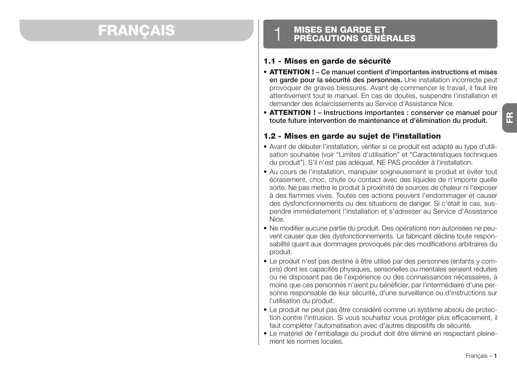## **FRANCAIS**

## **MISES EN GARDE ET<br>PRÉCAUTIONS GÉNÉRALES**

#### **1.1 - Mises en garde de sécurité**

- **ATTENTION ! Ce manuel contient d'importantes instructions et mises en garde pour la sécurité des personnes.** Une installation incorrecte peut provoquer de graves blessures. Avant de commencer le travail, il faut lire attentivement tout le manuel. En cas de doutes, suspendre l'installation et demander des éclaircissements au Service d'Assistance Nice.
- **ATTENTION ! Instructions importantes : conserver ce manuel pour toute future intervention de maintenance et d'élimination du produit.**

#### **1.2 - Mises en garde au sujet de l'installation**

- Avant de débuter l'installation, vérifier si ce produit est adapté au type d'utilisation souhaitée (voir "Limites d'utilisation" et "Caractéristiques techniques du produit"). S'il n'est pas adéquat, NE PAS procéder à l'installation.
- Au cours de l'installation, manipuler soigneusement le produit et éviter tout écrasement, choc, chute ou contact avec des liquides de n'importe quelle sorte. Ne pas mettre le produit à proximité de sources de chaleur ni l'exposer à des flammes vives. Toutes ces actions peuvent l'endommager et causer des dysfonctionnements ou des situations de danger. Si c'était le cas, suspendre immédiatement l'installation et s'adresser au Service d'Assistance Nice.
- Ne modifier aucune partie du produit. Des opérations non autorisées ne peuvent causer que des dysfonctionnements. Le fabricant décline toute responsabilité quant aux dommages provoqués par des modifications arbitraires du produit.
- Le produit n'est pas destiné à être utilisé par des personnes (enfants y compris) dont les capacités physiques, sensorielles ou mentales seraient réduites ou ne disposant pas de l'expérience ou des connaissances nécessaires, à moins que ces personnes n'aient pu bénéficier, par l'intermédiaire d'une personne responsable de leur sécurité, d'une surveillance ou d'instructions sur l'utilisation du produit.
- Le produit ne peut pas être considéré comme un système absolu de protection contre l'intrusion. Si vous souhaitez vous protéger plus efficacement, il faut compléter l'automatisation avec d'autres dispositifs de sécurité.
- Le matériel de l'emballage du produit doit être éliminé en respectant pleinement les normes locales.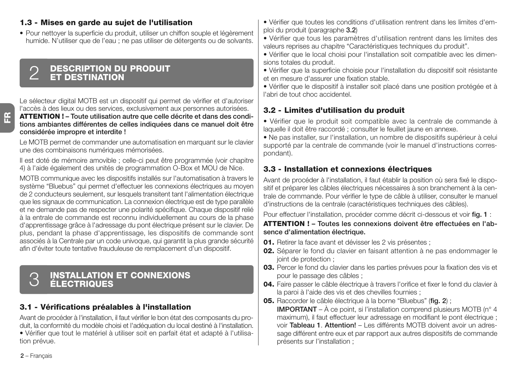#### **1.3 - Mises en garde au sujet de l'utilisation**

• Pour nettoyer la superficie du produit, utiliser un chiffon souple et légèrement humide. N'utiliser que de l'eau ; ne pas utiliser de détergents ou de solvants.

## **DESCRIPTION DU PRODUIT** 2 **ET DESTINATION**

Le sélecteur digital MOTB est un dispositif qui permet de vérifier et d'autoriser l'accès à des lieux ou des services, exclusivement aux personnes autorisées. **ATTENTION ! – Toute utilisation autre que celle décrite et dans des conditions ambiantes différentes de celles indiquées dans ce manuel doit être considérée impropre et interdite !**

Le MOTB permet de commander une automatisation en marquant sur le clavier une des combinaisons numériques mémorisées.

Il est doté de mémoire amovible ; celle-ci peut être programmée (voir chapitre 4) à l'aide également des unités de programmation O-Box et MOU de Nice.

MOTB communique avec les dispositifs installés sur l'automatisation à travers le système "Bluebus" qui permet d'effectuer les connexions électriques au moyen de 2 conducteurs seulement, sur lesquels transitent tant l'alimentation électrique que les signaux de communication. La connexion électrique est de type parallèle et ne demande pas de respecter une polarité spécifique. Chaque dispositif relié à la entrale de commande est reconnu individuellement au cours de la phase d'apprentissage grâce à l'adressage du pont électrique présent sur le clavier. De plus, pendant la phase d'apprentissage, les dispositifs de commande sont associés à la Centrale par un code univoque, qui garantit la plus grande sécurité afin d'éviter toute tentative frauduleuse de remplacement d'un dispositif.

## **INSTALLATION ET CONNEXIONS** 3 **ÉLECTRIQUES**

#### **3.1 - Vérifications préalables à l'installation**

Avant de procéder à l'installation, il faut vérifier le bon état des composants du produit, la conformité du modèle choisi et l'adéquation du local destiné à l'installation. • Vérifier que tout le matériel à utiliser soit en parfait état et adapté à l'utilisation prévue.

• Vérifier que toutes les conditions d'utilisation rentrent dans les limites d'emploi du produit (paragraphe **3.2**)

• Vérifier que tous les paramètres d'utilisation rentrent dans les limites des valeurs reprises au chapitre "Caractéristiques techniques du produit".

• Vérifier que le local choisi pour l'installation soit compatible avec les dimensions totales du produit.

• Vérifier que la superficie choisie pour l'installation du dispositif soit résistante et en mesure d'assurer une fixation stable.

• Vérifier que le dispositif à installer soit placé dans une position protégée et à l'abri de tout choc accidentel.

#### **3.2 - Limites d'utilisation du produit**

• Vérifier que le produit soit compatible avec la centrale de commande à laquelle il doit être raccordé ; consulter le feuillet jaune en annexe.

• Ne pas installer, sur l'installation, un nombre de dispositifs supérieur à celui supporté par la centrale de commande (voir le manuel d'instructions correspondant).

#### **3.3 - Installation et connexions électriques**

Avant de procéder à l'installation, il faut établir la position où sera fixé le dispositif et préparer les câbles électriques nécessaires à son branchement à la centrale de commande. Pour vérifier le type de câble à utiliser, consulter le manuel d'instructions de la centrale (caractéristiques techniques des câbles).

Pour effectuer l'installation, procéder comme décrit ci-dessous et voir **fig. 1** :

#### **ATTENTION ! – Toutes les connexions doivent être effectuées en l'absence d'alimentation électrique.**

- **01.** Retirer la face avant et dévisser les 2 vis présentes ;
- **02.** Séparer le fond du clavier en faisant attention à ne pas endommager le joint de protection ;
- **03.** Percer le fond du clavier dans les parties prévues pour la fixation des vis et pour le passage des câbles ;
- **04.** Faire passer le câble électrique à travers l'orifice et fixer le fond du clavier à la paroi à l'aide des vis et des chevilles fournies ;
- **05.** Raccorder le câble électrique à la borne "Bluebus" (**fig. 2**) ;

**IMPORTANT** – À ce point, si l'installation comprend plusieurs MOTB (n° 4 maximum), il faut effectuer leur adressage en modifiant le pont électrique ; voir **Ta bleau 1**. **Attention!** – Les différents MOTB doivent avoir un adressage différent entre eux et par rapport aux autres dispositifs de commande présents sur l'installation ;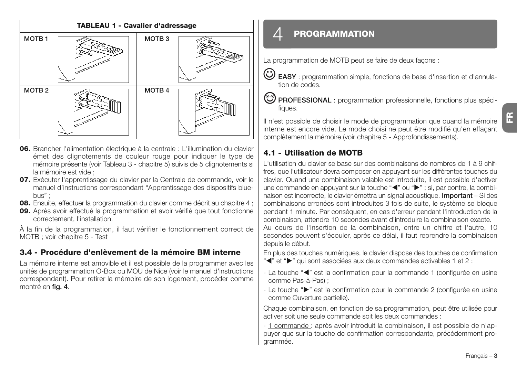

- **06.** Brancher l'alimentation électrique à la centrale : L'illumination du clavier émet des clignotements de couleur rouge pour indiquer le type de mémoire présente (voir Tableau 3 - chapitre 5) suivis de 5 clignotements si la mémoire est vide ;
- **07.** Exécuter l'apprentissage du clavier par la Centrale de commande, voir le manuel d'instructions correspondant "Apprentissage des dispositifs bluebus" ;
- **08.** Ensuite, effectuer la programmation du clavier comme décrit au chapitre 4 ;
- **09.** Après avoir effectué la programmation et avoir vérifié que tout fonctionne correctement, l'installation.

À la fin de la programmation, il faut vérifier le fonctionnement correct de MOTB ; voir chapitre 5 - Test

#### **3.4 - Procédure d'enlèvement de la mémoire BM interne**

La mémoire interne est amovible et il est possible de la programmer avec les unités de programmation O-Box ou MOU de Nice (voir le manuel d'instructions correspondant). Pour retirer la mémoire de son logement, procéder comme montré en **fig. 4**.

## $\varDelta$  **PROGRAMMATION**

La programmation de MOTB peut se faire de deux façons :

**EASY** : programmation simple, fonctions de base d'insertion et d'annulation de codes.

**PROFESSIONAL** : programmation professionnelle, fonctions plus spécifiques.

Il n'est possible de choisir le mode de programmation que quand la mémoire interne est encore vide. Le mode choisi ne peut être modifié qu'en effaçant complètement la mémoire (voir chapitre 5 - Approfondissements).

#### **4.1 - Utilisation de MOTB**

depuis le début.

L'utilisation du clavier se base sur des combinaisons de nombres de 1 à 9 chiffres, que l'utilisateur devra composer en appuyant sur les différentes touches du clavier. Quand une combinaison valable est introduite, il est possible d'activer une commande en appuyant sur la touche "(" ou ""; si, par contre, la combinaison est incorrecte, le clavier émettra un signal acoustique. **Important** – Si des combinaisons erronées sont introduites 3 fois de suite, le système se bloque pendant 1 minute. Par conséquent, en cas d'erreur pendant l'introduction de la combinaison, attendre 10 secondes avant d'introduire la combinaison exacte. Au cours de l'insertion de la combinaison, entre un chiffre et l'autre, 10 secondes peuvent s'écouler, après ce délai, il faut reprendre la combinaison

En plus des touches numériques, le clavier dispose des touches de confirmation "<" et ">" qui sont associées aux deux commandes activables 1 et 2 :

- La touche "<" est la confirmation pour la commande 1 (configurée en usine comme Pas-à-Pas) ;
- La touche " $\blacktriangleright$ " est la confirmation pour la commande 2 (configurée en usine comme Ouverture partielle).

Chaque combinaison, en fonction de sa programmation, peut être utilisée pour activer soit une seule commande soit les deux commandes :

- 1 commande : après avoir introduit la combinaison, il est possible de n'appuyer que sur la touche de confirmation correspondante, précédemment programmée.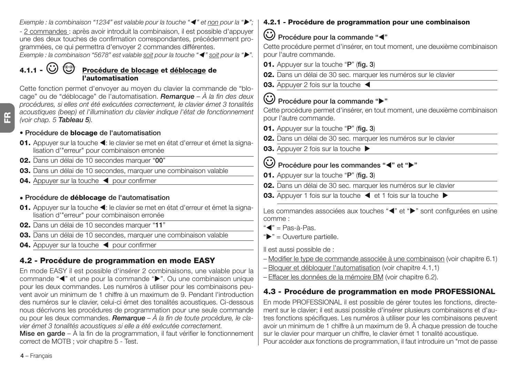**FR** Cette fonction permet d'envoyer au moyen du clavier la commande de "blocage" ou de "déblocage" de l'automatisation. *Remarque – À la fin des deux procédures, si elles ont été exécutées correctement, le clavier émet 3 tonalités acoustiques (beep) et l'illumination du clavier indique l'état de fonctionnement (voir chap. 5 Tableau 5).* **• Procédure de blocage de l'automatisation** 01. Appuyer sur la touche <: le clavier se met en état d'erreur et émet la signalisation d'"erreur" pour combinaison erronée **02.** Dans un délai de 10 secondes marquer "**00**" **03.** Dans un délai de 10 secondes, marquer une combinaison valable 04. Appuyer sur la touche < pour confirmer **• Procédure de déblocage de l'automatisation** 01. Appuyer sur la touche <: le clavier se met en état d'erreur et émet la signalisation d'"erreur" pour combinaison erronée **02.** Dans un délai de 10 secondes marquer "**11**" **03.** Dans un délai de 10 secondes, marquer une combinaison valable 04. Appuyer sur la touche < pour confirmer **4.2 - Procédure de programmation en mode EASY** En mode EASY il est possible d'insérer 2 combinaisons, une valable pour la commande "<" et une pour la commande ">". Ou une combinaison unique pour les deux commandes. Les numéros à utiliser pour les combinaisons peuvent avoir un minimum de 1 chiffre à un maximum de 9. Pendant l'introduction des numéros sur le clavier, celui-ci émet des tonalités acoustiques. Ci-dessous nous décrivons les procédures de programmation pour une seule commande ou pour les deux commandes. *Remarque – À la fin de toute procédure, le clavier émet 3 tonalités acoustiques si elle a été exécutée correctement.* **Procédure pour la commande ""** pour l'autre commande. **01.** Appuyer sur la touche "**P**" (**fig. 3**) **03.** Appuver 2 fois sur la touche **01.** Appuyer sur la touche "**P**" (**fig. 3**) comme : "<" = Pas-à-Pas.  $"$  = Ouverture partielle. Il est aussi possible de :

**Mise en garde** – À la fin de la programmation, il faut vérifier le fonctionnement correct de MOTB ; voir chapitre 5 - Test.

*Exemple : la combinaison "1234" est valable pour la touche "*- *" et non pour la "";* - 2 commandes : après avoir introduit la combinaison, il est possible d'appuyer une des deux touches de confirmation correspondantes, précédemment pro-

*Exemple : la combinaison "5678" est valable soit pour la touche "*- *" soit pour la "".*

grammées, ce qui permettra d'envoyer 2 commandes différentes.

**4.1.1 - Procédure de blocage et déblocage de l'automatisation**

#### **4.2.1 - Procédure de programmation pour une combinaison**

#### **Procédure pour la commande "**-**"**

Cette procédure permet d'insérer, en tout moment, une deuxième combinaison pour l'autre commande.

- **01.** Appuyer sur la touche "**P**" (**fig. 3**)
- **02.** Dans un délai de 30 sec. marquer les numéros sur le clavier
- **03.** Appuyer 2 fois sur la touche

Cette procédure permet d'insérer, en tout moment, une deuxième combinaison

**02.** Dans un délai de 30 sec. marquer les numéros sur le clavier

#### Procédure pour les commandes "<" et " $\blacktriangleright$ "

- **02.** Dans un délai de 30 sec. marquer les numéros sur le clavier
- **03.** Appuyer 1 fois sur la touche  $\blacktriangleleft$  et 1 fois sur la touche  $\blacktriangleright$

Les commandes associées aux touches "<" et ">" sont configurées en usine

- Modifier le type de commande associée à une combinaison (voir chapitre 6.1)
- Bloquer et débloquer l'automatisation (voir chapitre 4.1,1)
- Effacer les données de la mémoire BM (voir chapitre 6.2).

## **4.3 - Procédure de programmation en mode PROFESSIONAL**

En mode PROFESSIONAL il est possible de gérer toutes les fonctions, directement sur le clavier; il est aussi possible d'insérer plusieurs combinaisons et d'autres fonctions spécifiques. Les numéros à utiliser pour les combinaisons peuvent avoir un minimum de 1 chiffre à un maximum de 9. À chaque pression de touche sur le clavier pour marquer un chiffre, le clavier émet 1 tonalité acoustique. Pour accéder aux fonctions de programmation, il faut introduire un "mot de passe

**4** – Français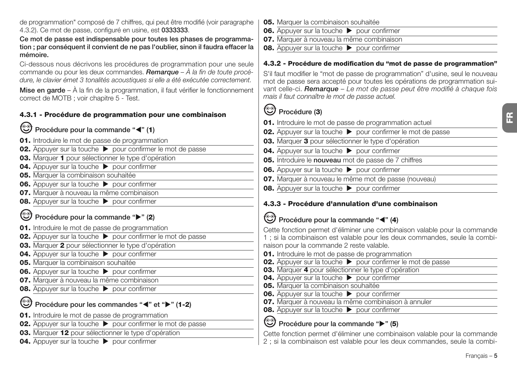de programmation" composé de 7 chiffres, qui peut être modifié (voir paragraphe 4.3.2). Ce mot de passe, configuré en usine, est **0333333**.

#### **Ce mot de passe est indispensable pour toutes les phases de programmation ; par conséquent il convient de ne pas l'oublier, sinon il faudra effacer la mémoire.**

Ci-dessous nous décrivons les procédures de programmation pour une seule commande ou pour les deux commandes. *Remarque – À la fin de toute procédure, le clavier émet 3 tonalités acoustiques si elle a été exécutée correctement.*

**Mise en garde** – À la fin de la programmation, il faut vérifier le fonctionnement correct de MOTB ; voir chapitre 5 - Test.

#### **4.3.1 - Procédure de programmation pour une combinaison**

- Procédure pour la commande "<" (1)
- **01.** Introduire le mot de passe de programmation
- **02.** Appuyer sur la touche  $\triangleright$  pour confirmer le mot de passe
- **03.** Marquer **1** pour sélectionner le type d'opération
- **04.** Appuyer sur la touche **Department**
- **05.** Marquer la combinaison souhaitée
- **06.** Appuyer sur la touche **Department**
- **07.** Marquer à nouveau la même combinaison
- **08.** Appuyer sur la touche **Department** pour confirmer

### **Procédure pour la commande "" (2)**

- **01.** Introduire le mot de passe de programmation
- **02.** Appuyer sur la touche  $\triangleright$  pour confirmer le mot de passe
- **03.** Marquer **2** pour sélectionner le type d'opération
- **04.** Appuyer sur la touche **Department**
- **05.** Marquer la combinaison souhaitée
- **06.** Appuyer sur la touche **D** pour confirmer
- **07.** Marquer à nouveau la même combinaison
- **08.** Appuyer sur la touche **Department** pour confirmer

#### **Procédure pour les commandes "<"** et " $\blacktriangleright$ " (1-2)

- **01.** Introduire le mot de passe de programmation
- **02.** Appuyer sur la touche  $\triangleright$  pour confirmer le mot de passe
- **03.** Marquer **12** pour sélectionner le type d'opération
- **04.** Appuyer sur la touche **Department** pour confirmer
- **05.** Marquer la combinaison souhaitée
- **06.** Appuyer sur la touche **b** pour confirmer
- **07.** Marquer à nouveau la même combinaison
- **08.** Appuyer sur la touche **Department**

#### **4.3.2 - Procédure de modification du "mot de passe de programmation"**

S'il faut modifier le "mot de passe de programmation" d'usine, seul le nouveau mot de passe sera accepté pour toutes les opérations de programmation suivant celle-ci. *Remarque – Le mot de passe peut être modifié à chaque fois mais il faut connaître le mot de passe actuel.*

## **Procédure (3)**

- **01.** Introduire le mot de passe de programmation actuel **02.** Appuyer sur la touche  $\triangleright$  pour confirmer le mot de passe
- **03.** Marquer **3** pour sélectionner le type d'opération
- **04.** Appuyer sur la touche **Department**
- **05.** Introduire le **nouveau** mot de passe de 7 chiffres
- **06.** Appuyer sur la touche  $\triangleright$  pour confirmer
- **07.** Marquer à nouveau le même mot de passe (nouveau)
- **08.** Appuyer sur la touche  $\triangleright$  pour confirmer

#### **4.3.3 - Procédure d'annulation d'une combinaison**

## Procédure pour la commande "<" (4)

Cette fonction permet d'éliminer une combinaison valable pour la commande 1 ; si la combinaison est valable pour les deux commandes, seule la combinaison pour la commande 2 reste valable.

- **01.** Introduire le mot de passe de programmation
- **02.** Appuyer sur la touche **b** pour confirmer le mot de passe
- **03.** Marquer **4** pour sélectionner le type d'opération
- **04.** Appuyer sur la touche **Department**
- **05.** Marquer la combinaison souhaitée
- **06.** Appuyer sur la touche **Designation**
- **07.** Marquer à nouveau la même combinaison à annuler
- **08.** Appuyer sur la touche **Department** pour confirmer

### **Procédure pour la commande "" (5)**

Cette fonction permet d'éliminer une combinaison valable pour la commande 2 ; si la combinaison est valable pour les deux commandes, seule la combi**FR**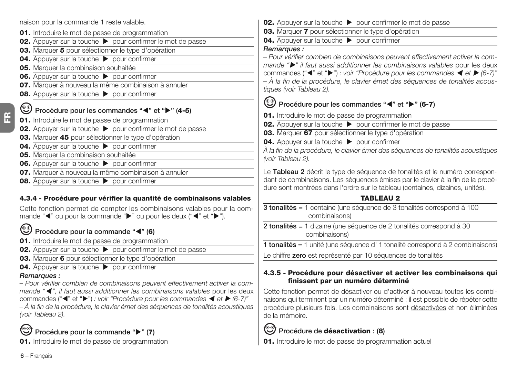naison pour la commande 1 reste valable.

- **01.** Introduire le mot de passe de programmation
- **02.** Appuyer sur la touche **b** pour confirmer le mot de passe
- **03.** Marquer **5** pour sélectionner le type d'opération
- **04.** Appuyer sur la touche **Department**
- **05.** Marquer la combinaison souhaitée
- **06.** Appuyer sur la touche **Department**
- **07.** Marquer à nouveau la même combinaison à annuler
- **08.** Appuyer sur la touche **Department** pour confirmer

#### **Procédure pour les commandes "<" et ">" (4-5)**

- **01.** Introduire le mot de passe de programmation
- **02.** Appuyer sur la touche **b** pour confirmer le mot de passe
- **03.** Marquer **45** pour sélectionner le type d'opération
- **04.** Appuyer sur la touche **Department**
- **05.** Marquer la combinaison souhaitée
- **06.** Appuyer sur la touche **Department**
- **07.** Marquer à nouveau la même combinaison à annuler
- **08.** Appuyer sur la touche **Department**

#### **4.3.4 - Procédure pour vérifier la quantité de combinaisons valables**

Cette fonction permet de compter les combinaisons valables pour la commande " $\blacktriangleleft$ " ou pour la commande " $\blacktriangleright$ " ou pour les deux (" $\blacktriangleleft$ " et " $\blacktriangleright$ ").

#### **Procédure pour la commande "**-**" (6)**

- **01.** Introduire le mot de passe de programmation
- **02.** Appuyer sur la touche  $\rightarrow$  pour confirmer le mot de passe
- **03.** Marquer **6** pour sélectionner le type d'opération
- **04.** Appuyer sur la touche **b** pour confirmer

#### *Remarques :*

*– Pour vérifier combien de combinaisons peuvent effectivement activer la commande "*- *", il faut aussi additionner les combinaisons valables* pour les deux commandes (" $\P'$ " et " $\P'$ ") *: voir "Procédure pour les commandes*  $\P$  *et*  $\Psi$  (6-7)" *– À la fin de la procédure, le clavier émet des séquences de tonalités acoustiques (voir Tableau 2).*



**01.** Introduire le mot de passe de programmation

- **02.** Appuyer sur la touche  $\triangleright$  pour confirmer le mot de passe
- **03.** Marquer **7** pour sélectionner le type d'opération

**04.** Appuver sur la touche **Department** 

#### *Remarques :*

*– Pour vérifier combien de combinaisons peuvent effectivement activer la commande "" il faut aussi additionner les combinaisons valables* pour les deux

commandes (" $\P$ " et " $\Pi$ ") *: voir "Procédure pour les commandes*  $\P$  et  $\Pi$  (6-7)" *– À la fin de la procédure, le clavier émet des séquences de tonalités acoustiques (voir Tableau 2).*

## **Procédure pour les commandes "<" et ">" (6-7)**

**01.** Introduire le mot de passe de programmation

- **02.** Appuyer sur la touche  $\triangleright$  pour confirmer le mot de passe
- **03.** Marquer **67** pour sélectionner le type d'opération
- **04.** Appuyer sur la touche **De pour confirmer**

*À la fin de la procédure, le clavier émet des séquences de tonalités acoustiques (voir Tableau 2).*

Le **Tableau 2** décrit le type de séquence de tonalités et le numéro correspondant de combinaisons. Les séquences émises par le clavier à la fin de la procédure sont montrées dans l'ordre sur le tableau (centaines, dizaines, unités).

#### **TABLEAU 2**

- **3 tonalités** = 1 centaine (une séquence de 3 tonalités correspond à 100 combinaisons)
- **2 tonalités** = 1 dizaine (une séquence de 2 tonalités correspond à 30 combinaisons)

**1 tonalités** = 1 unité (une séquence d' 1 tonalité correspond à 2 combinaisons)

Le chiffre **zero** est représenté par 10 séquences de tonalités

#### **4.3.5 - Procédure pour désactiver et activer les combinaisons qui finissent par un numéro déterminé**

Cette fonction permet de désactiver ou d'activer à nouveau toutes les combinaisons qui terminent par un numéro déterminé ; il est possible de répéter cette procédure plusieurs fois. Les combinaisons sont désactivées et non éliminées de la mémoire.

## **Procédure de désactivation : (8)**

**01.** Introduire le mot de passe de programmation actuel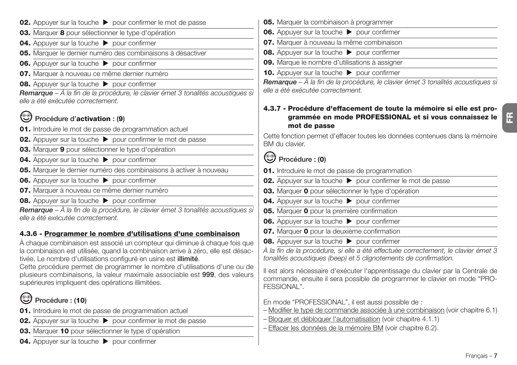- **03.** Marquer **8** pour sélectionner le type d'opération
- **04.** Appuyer sur la touche **Department**
- **05.** Marquer le dernier numéro des combinaisons à désactiver
- **06.** Appuyer sur la touche **Department** pour confirmer
- **07.** Marquer à nouveau ce même dernier numéro
- **08.** Appuyer sur la touche **b** pour confirmer

*Remarque – À la fin de la procédure, le clavier émet 3 tonalités acoustiques si elle a été exécutée correctement.*

## **Procédure d'activation : (9)**

- **01.** Introduire le mot de passe de programmation actuel
- **02.** Appuyer sur la touche  $\triangleright$  pour confirmer le mot de passe
- **03.** Marquer **9** pour sélectionner le type d'opération
- **04.** Appuyer sur la touche **D** pour confirmer
- **05.** Marquer le dernier numéro des combinaisons à activer à nouveau
- **06.** Appuyer sur la touche **b** pour confirmer
- **07.** Marquer à nouveau ce même dernier numéro
- **08.** Appuyer sur la touche  $\triangleright$  pour confirmer

*Remarque – À la fin de la procédure, le clavier émet 3 tonalités acoustiques si elle a été exécutée correctement.*

#### **4.3.6 - Programmer le nombre d'utilisations d'une combinaison**

À chaque combinaison est associé un compteur qui diminue à chaque fois que la combinaison est utilisée, quand la combinaison arrive à zéro, elle est désactivée. Le nombre d'utilisations configuré en usine est **illimité**.

Cette procédure permet de programmer le nombre d'utilisations d'une ou de plusieurs combinaisons, la valeur maximale associable est **999**, des valeurs supérieures impliquent des opérations illimitées.

#### ☜ **Procédure : (10)**

- **01.** Introduire le mot de passe de programmation actuel
- **02.** Appuyer sur la touche  $\triangleright$  pour confirmer le mot de passe
- **03.** Marquer **10** pour sélectionner le type d'opération
- **04.** Appuyer sur la touche **D** pour confirmer
- **05.** Marquer la combinaison à programmer
- **06.** Appuyer sur la touche **b** pour confirmer
- **07.** Marquer à nouveau la même combinaison
- **08.** Appuyer sur la touche **b** pour confirmer
- **09.** Marque le nombre d'utilisations à assigner
- **10.** Appuyer sur la touche **b** pour confirmer

*Remarque – À la fin de la procédure, le clavier émet 3 tonalités acoustiques si elle a été exécutée correctement.*

#### **4.3.7 - Procédure d'effacement de toute la mémoire si elle est programmée en mode PROFESSIONAL et si vous connaissez le mot de passe**

Cette fonction permet d'effacer toutes les données contenues dans la mémoire BM du clavier.

## **Procédure : (0)**

- **01.** Introduire le mot de passe de programmation
- **02.** Appuyer sur la touche  $\triangleright$  pour confirmer le mot de passe
- **03.** Marquer **0** pour sélectionner le type d'opération
- **04.** Appuyer sur la touche **Designation** confirmer
- **05.** Marquer **0** pour la première confirmation
- **06.** Appuyer sur la touche  $\triangleright$  pour confirmer
- **07.** Marquer **0** pour la deuxième confirmation
- **08.** Appuyer sur la touche  $\triangleright$  pour confirmer

*À la fin de la procédure, si elle a été effectuée correctement, le clavier émet 3 tonalités acoustiques (beep) et 5 clignotements de confirmation.*

Il est alors nécessaire d'exécuter l'apprentissage du clavier par la Centrale de commande, ensuite il sera possible de programmer le clavier en mode "PRO-FESSIONAL".

En mode "PROFESSIONAL", il est aussi possible de :

- Modifier le type de commande associée à une combinaison (voir chapitre 6.1)
- Bloquer et débloquer l'automatisation (voir chapitre 4.1.1)
- Effacer les données de la mémoire BM (voir chapitre 6.2).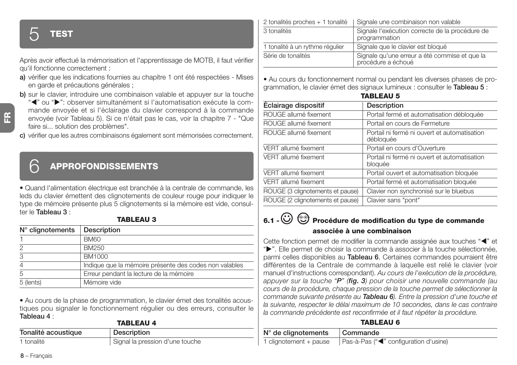## 5 **TEST**

Après avoir effectué la mémorisation et l'apprentissage de MOTB, il faut vérifier qu'il fonctionne correctement :

- **a)** vérifier que les indications fournies au chapitre 1 ont été respectées Mises en garde et précautions générales ;
- **b)** sur le clavier, introduire une combinaison valable et appuyer sur la touche
	- "<" ou ">": observer simultanément si l'automatisation exécute la commande envoyée et si l'éclairage du clavier correspond à la commande envoyée (voir Tableau 5). Si ce n'était pas le cas, voir la chapitre 7 - "Que faire si... solution des problèmes".
- **c)** vérifier que les autres combinaisons également sont mémorisées correctement.

## 6 **APPROFONDISSEMENTS**

• Quand l'alimentation électrique est branchée à la centrale de commande, les leds du clavier émettent des clignotements de couleur rouge pour indiquer le type de mémoire présente plus 5 clignotements si la mémoire est vide, consulter le **Tableau 3** :

#### **TABLEAU 3**

| $N^{\circ}$ clignotements | Description                                            |
|---------------------------|--------------------------------------------------------|
|                           | <b>BM60</b>                                            |
| 2                         | BM250                                                  |
| 3                         | <b>BM1000</b>                                          |
|                           | Indique que la mémoire présente des codes non valables |
| 5                         | Erreur pendant la lecture de la mémoire                |
| 5 (lents)                 | Mémoire vide                                           |

• Au cours de la phase de programmation, le clavier émet des tonalités acoustiques pou signaler le fonctionnement régulier ou des erreurs, consulter le **Tableau 4** : **TABLEAU 4**

| <b>TABLEAU 4</b>    |                                 |  |
|---------------------|---------------------------------|--|
| Tonalité acoustique | Description                     |  |
| 1 tonalité          | Signal la pression d'une touche |  |

| 2 tonalités proches + 1 tonalité | Signale une combinaison non valable                                 |
|----------------------------------|---------------------------------------------------------------------|
| 3 tonalités                      | Signale l'exécution correcte de la procédure de<br>programmation    |
| 1 tonalité à un rythme régulier  | Signale que le clavier est bloqué                                   |
| Série de tonalités               | Signale qu'une erreur a été commise et que la<br>procédure a échoué |

• Au cours du fonctionnement normal ou pendant les diverses phases de programmation, le clavier émet des signaux lumineux : consulter le **Tableau 5** :

| <b>TABLEAU 5</b>                 |                                                           |  |
|----------------------------------|-----------------------------------------------------------|--|
| Éclairage dispositif             | Description                                               |  |
| ROUGE allumé fixement            | Portail fermé et automatisation débloquée                 |  |
| ROUGE allumé fixement            | Portail en cours de Fermeture                             |  |
| ROUGE allumé fixement            | Portail ni fermé ni ouvert et automatisation<br>débloquée |  |
| VERT allumé fixement             | Portail en cours d'Ouverture                              |  |
| VERT allumé fixement             | Portail ni fermé ni ouvert et automatisation<br>bloquée   |  |
| VERT allumé fixement             | Portail ouvert et automatisation bloquée                  |  |
| VERT allumé fixement             | Portail fermé et automatisation bloquée                   |  |
| ROUGE (3 clignotements et pause) | Clavier non synchronisé sur le bluebus                    |  |
| ROUGE (2 clignotements et pause) | Clavier sans "pont"                                       |  |

## **6.1 - Procédure de modification du type de commande associée à une combinaison**

Cette fonction permet de modifier la commande assignée aux touches "<" et " $\blacktriangleright$ ". Elle permet de choisir la commande à associer à la touche sélectionnée, parmi celles disponibles au **Tableau 6**. Certaines commandes pourraient être différentes de la Centrale de commande à laquelle est relié le clavier (voir manuel d'instructions correspondant). *Au cours de l'exécution de la procédure, appuyer sur la touche "P" (fig. 3) pour choisir une nouvelle commande (au cours de la procédure, chaque pression de la touche permet de sélectionner la commande suivante présente au Tableau 6). Entre la pression d'une touche et la suivante, respecter le délai maximum de 10 secondes, dans le cas contraire la commande précédente est reconfirmée et il faut répéter la procédure.*

#### **TABLEAU 6**

| $N°$ de clignotements  | Commande                              |
|------------------------|---------------------------------------|
| 1 clignotement + pause | Pas-à-Pas ("<" configuration d'usine) |

**FR**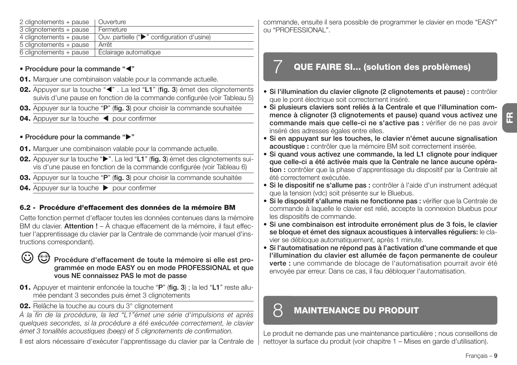| Francais |  |
|----------|--|
|          |  |

| ' commande, ensuite il sera possible de programmer le clavier en mode "EASY" |
|------------------------------------------------------------------------------|
| ou "PROFESSIONAL".                                                           |

### 7 **QUE FAIRE SI... (solution des problèmes)**

- **Si l'illumination du clavier clignote (2 clignotements et pause) :** contrôler que le pont électrique soit correctement inséré.
- **Si plusieurs claviers sont reliés à la Centrale et que l'illumination commence à clignoter (3 clignotements et pause) quand vous activez une commande mais que celle-ci ne s'active pas :** vérifier de ne pas avoir inséré des adresses égales entre elles.
- **Si en appuyant sur les touches, le clavier n'émet aucune signalisation acoustique :** contrôler que la mémoire BM soit correctement insérée.
- **Si quand vous activez une commande, la led L1 clignote pour indiquer que celle-ci a été activée mais que la Centrale ne lance aucune opération :** contrôler que la phase d'apprentissage du dispositif par la Centrale ait été correctement exécutée.
- **Si le dispositif ne s'allume pas :** contrôler à l'aide d'un instrument adéquat que la tension (vdc) soit présente sur le Bluebus.
- **Si le dispositif s'allume mais ne fonctionne pas :** vérifier que la Centrale de commande à laquelle le clavier est relié, accepte la connexion bluebus pour les dispositifs de commande.
- **Si une combinaison est introduite erronément plus de 3 fois, le clavier se bloque et émet des signaux acoustiques à intervalles réguliers:** le clavier se débloque automatiquement, après 1 minute.
- **Si l'automatisation ne répond pas à l'activation d'une commande et que l'illumination du clavier est allumée de façon permanente de couleur verte :** une commande de blocage de l'automatisation pourrait avoir été envoyée par erreur. Dans ce cas, il fau débloquer l'automatisation.

## 8 **MAINTENANCE DU PRODUIT**

Le produit ne demande pas une maintenance particulière ; nous conseillons de nettoyer la surface du produit (voir chapitre 1 – Mises en garde d'utilisation).

#### 2 clignotements + pause | Quverture 3 clignotements + pause Fermeture  $\frac{1}{4}$  clignotements + pause  $\overline{Q}$  Ouv. partielle (" $\blacktriangleright$ " configuration d'usine) 5 clignotements + pause Arrêt<br>6 clignotements + pause Éclairage automatique  $6$  clignotements + pause

#### **• Procédure pour la commande "**-**"**

- **01.** Marquer une combinaison valable pour la commande actuelle.
- **02.** Appuyer sur la touche "<" . La led "L1" (fig. 3) émet des clignotements suivis d'une pause en fonction de la commande configurée (voir Tableau 5)
- **03.** Appuyer sur la touche "**P**" (**fig. 3**) pour choisir la commande souhaitée
- 04. Appuyer sur la touche < pour confirmer

#### **• Procédure pour la commande ""**

- **01.** Marquer une combinaison valable pour la commande actuelle.
- **02.** Appuyer sur la touche "". La led "L1" (fig. 3) émet des clignotements suivis d'une pause en fonction de la commande configurée (voir Tableau 6)
- **03.** Appuyer sur la touche "**P**" (**fig. 3**) pour choisir la commande souhaitée
- **04.** Appuyer sur la touche **Department** pour confirmer

#### **6.2 - Procédure d'effacement des données de la mémoire BM**

Cette fonction permet d'effacer toutes les données contenues dans la mémoire BM du clavier. **Attention !** – À chaque effacement de la mémoire, il faut effectuer l'apprentissage du clavier par la Centrale de commande (voir manuel d'instructions correspondant).

#### $\odot$ <u>ලා</u>

#### **Procédure d'effacement de toute la mémoire si elle est programmée en mode EASY ou en mode PROFESSIONAL et que vous NE connaissez PAS le mot de passe**

- **01.** Appuyer et maintenir enfoncée la touche "**P**" (**fig. 3**) ; la led "**L1**" reste allumée pendant 3 secondes puis émet 3 clignotements
- **02.** Relâche la touche au cours du 3° clignotement

*À la fin de la procédure, la led "L1"émet une série d'impulsions et après quelques secondes, si la procédure a été exécutée correctement, le clavier émet 3 tonalités acoustiques (beep) et 5 clignotements de confirmation.*

Il est alors nécessaire d'exécuter l'apprentissage du clavier par la Centrale de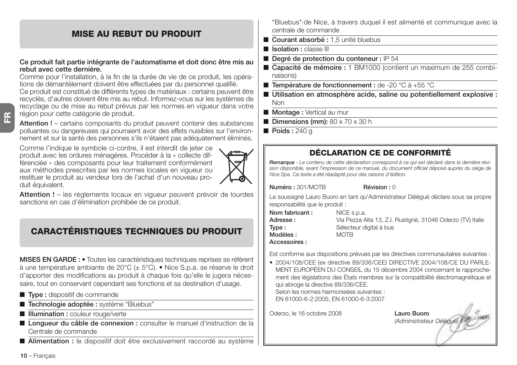#### **MISE AU REBUT DU PRODUIT**

#### **Ce produit fait partie intégrante de l'automatisme et doit donc être mis au rebut avec cette dernière.**

Comme pour l'installation, à la fin de la durée de vie de ce produit, les opérations de démantèlement doivent être effectuées par du personnel qualifié. Ce produit est constitué de différents types de matériaux : certains peuvent être recyclés, d'autres doivent être mis au rebut. Informez-vous sur les systèmes de recyclage ou de mise au rebut prévus par les normes en vigueur dans votre région pour cette catégorie de produit.

**Attention !** – certains composants du produit peuvent contenir des substances polluantes ou dangereuses qui pourraient avoir des effets nuisibles sur l'environnement et sur la santé des personnes s'ils n'étaient pas adéquatement éliminés.

Comme l'indique le symbole ci-contre, il est interdit de jeter ce produit avec les ordures ménagères. Procéder à la « collecte différenciée » des composants pour leur traitement conformément aux méthodes prescrites par les normes locales en vigueur ou restituer le produit au vendeur lors de l'achat d'un nouveau produit équivalent.

**Attention !** – les règlements locaux en vigueur peuvent prévoir de lourdes sanctions en cas d'élimination prohibée de ce produit.

## **CARACTÉRISTIQUES TECHNIQUES DU PRODUIT**

**MISES EN GARDE : •** Toutes les caractéristiques techniques reprises se réfèrent à une température ambiante de 20°C (± 5°C). • Nice S.p.a. se réserve le droit d'apporter des modifications au produit à chaque fois qu'elle le jugera nécessaire, tout en conservant cependant ses fonctions et sa destination d'usage.

- **Type :** dispositif de commande
- **Technologie adoptée :** système "Bluebus"
- **Illumination :** couleur rouge/verte
- Longueur du câble de connexion : consulter le manuel d'instruction de la Centrale de commande
- **Alimentation** : le dispositif doit être exclusivement raccordé au système

"Bluebus"·de Nice, à travers duquel il est alimenté et communique avec la centrale de commande

- **Courant absorbé : 1.5** unité bluebus
- **Isolation :** classe III
- **Degré de protection du conteneur :** IP 54
- **Capacité de mémoire :** 1 BM1000 (contient un maximum de 255 combinaisons)
- **Température de fonctionnement :** de -20 °C à +55 °C
- Utilisation en atmosphère acide, saline ou potentiellement explosive : Non
- **Montage :** Vertical au mur
- **Dimensions (mm):** 80 x 70 x 30 h
- **Poids** : 240 g

#### **DÉCLARATION CE DE CONFORMITÉ**

*Remarque - Le contenu de cette déclaration correspond à ce qui est déclaré dans la dernière révision disponible, avant l'impression de ce manuel, du document officiel déposé auprès du siège de Nice Spa. Ce texte a été réadapté pour des raisons d'édition.*

**Numéro :** 301/MOTB **Révision :** 0

Le soussigné Lauro Buoro en tant qu'Administrateur Délégué déclare sous sa propre responsabilité que le produit :

| Nom fabricant: | NICE s.p.a.                                                |
|----------------|------------------------------------------------------------|
| Adresse :      | Via Pezza Alta 13, Z.I. Rustignè, 31046 Oderzo (TV) Italie |
| Tvpe :         | Sélecteur digital à bus                                    |
| Modèles :      | <b>MOTB</b>                                                |
| Accessoires :  |                                                            |

Est conforme aux dispositions prévues par les directives communautaires suivantes :

• 2004/108/CEE (ex directive 89/336/CEE) DIRECTIVE 2004/108/CE DU PARLE-MENT EUROPÉEN DU CONSEIL du 15 décembre 2004 concernant le rapprochement des législations des États membres sur la compatibilité électromagnétique et qui abroge la directive 89/336/CEE.

Selon les normes harmonisées suivantes : EN 61000-6-2:2005; EN 61000-6-3:2007

Oderzo, le 16 octobre 2008 **Lauro Buoro**

*(Administrateur Délégué)*

**10** – Français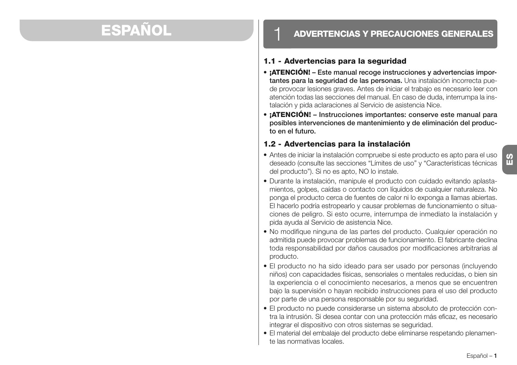## **ESPAÑOL**

### 1 **ADVERTENCIAS Y PRECAUCIONES GENERALES**

#### **1.1 - Advertencias para la seguridad**

- **¡ATENCIÓN! Este manual recoge instrucciones y advertencias importantes para la seguridad de las personas.** Una instalación incorrecta puede provocar lesiones graves. Antes de iniciar el trabajo es necesario leer con atención todas las secciones del manual. En caso de duda, interrumpa la instalación y pida aclaraciones al Servicio de asistencia Nice.
- **¡ATENCIÓN! Instrucciones importantes: conserve este manual para posibles intervenciones de mantenimiento y de eliminación del producto en el futuro.**

#### **1.2 - Advertencias para la instalación**

- Antes de iniciar la instalación compruebe si este producto es apto para el uso deseado (consulte las secciones "Límites de uso" y "Características técnicas del producto"). Si no es apto, NO lo instale.
- Durante la instalación, manipule el producto con cuidado evitando aplastamientos, golpes, caídas o contacto con líquidos de cualquier naturaleza. No ponga el producto cerca de fuentes de calor ni lo exponga a llamas abiertas. El hacerlo podría estropearlo y causar problemas de funcionamiento o situaciones de peligro. Si esto ocurre, interrumpa de inmediato la instalación y pida ayuda al Servicio de asistencia Nice.
- No modifique ninguna de las partes del producto. Cualquier operación no admitida puede provocar problemas de funcionamiento. El fabricante declina toda responsabilidad por daños causados por modificaciones arbitrarias al producto.
- El producto no ha sido ideado para ser usado por personas (incluyendo niños) con capacidades físicas, sensoriales o mentales reducidas, o bien sin la experiencia o el conocimiento necesarios, a menos que se encuentren bajo la supervisión o hayan recibido instrucciones para el uso del producto por parte de una persona responsable por su seguridad.
- El producto no puede considerarse un sistema absoluto de protección contra la intrusión. Si desea contar con una protección más eficaz, es necesario integrar el dispositivo con otros sistemas se seguridad.
- El material del embalaje del producto debe eliminarse respetando plenamente las normativas locales.

**ES**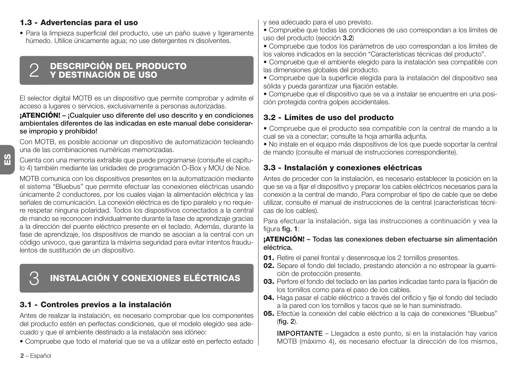#### **1.3 - Advertencias para el uso**

• Para la limpieza superficial del producto, use un paño suave y ligeramente húmedo. Utilice únicamente agua; no use detergentes ni disolventes.

## **DESCRIPCIÓN DEL PRODUCTO** 2 **Y DESTINACIÓN DE USO**

El selector digital MOTB es un dispositivo que permite comprobar y admite el acceso a lugares o servicios, exclusivamente a personas autorizadas.

#### **¡ATENCIÓN! – ¡Cualquier uso diferente del uso descrito y en condiciones ambientales diferentes de las indicadas en este manual debe considerarse impropio y prohibido!**

Con MOTB, es posible accionar un dispositivo de automatización tecleando una de las combinaciones numéricas memorizadas.

Cuenta con una memoria extraíble que puede programarse (consulte el capítulo 4) también mediante las unidades de programación O-Box y MOU de Nice.

MOTB comunica con los dispositivos presentes en la automatización mediante el sistema "Bluebus" que permite efectuar las conexiones eléctricas usando únicamente 2 conductores, por los cuales viajan la alimentación eléctrica y las señales de comunicación. La conexión eléctrica es de tipo paralelo y no requiere respetar ninguna polaridad. Todos los dispositivos conectados a la central de mando se reconocen individualmente durante la fase de aprendizaje gracias a la dirección del puente eléctrico presente en el teclado. Además, durante la fase de aprendizaje, los dispositivos de mando se asocian a la central con un código unívoco, que garantiza la máxima seguridad para evitar intentos fraudulentos de sustitución de un dispositivo.

## 3 **INSTALACIÓN Y CONEXIONES ELÉCTRICAS**

#### **3.1 - Controles previos a la instalación**

Antes de realizar la instalación, es necesario comprobar que los componentes del producto estén en perfectas condiciones, que el modelo elegido sea adecuado y que el ambiente destinado a la instalación sea idóneo:

• Compruebe que todo el material que se va a utilizar esté en perfecto estado

y sea adecuado para el uso previsto.

- Compruebe que todas las condiciones de uso correspondan a los límites de uso del producto (sección **3.2**)
- Compruebe que todos los parámetros de uso correspondan a los límites de los valores indicados en la sección "Características técnicas del producto".
- Compruebe que el ambiente elegido para la instalación sea compatible con las dimensiones globales del producto.
- Compruebe que la superficie elegida para la instalación del dispositivo sea sólida y pueda garantizar una fijación estable.
- Compruebe que el dispositivo que se va a instalar se encuentre en una posición protegida contra golpes accidentales.

#### **3.2 - Límites de uso del producto**

• Compruebe que el producto sea compatible con la central de mando a la cual se va a conectar; consulte la hoja amarilla adjunta.

• No instale en el equipo más dispositivos de los que puede soportar la central de mando (consulte el manual de instrucciones correspondiente).

#### **3.3 - Instalación y conexiones eléctricas**

Antes de proceder con la instalación, es necesario establecer la posición en la que se va a fijar el dispositivo y preparar los cables eléctricos necesarios para la conexión a la central de mando. Para comprobar el tipo de cable que se debe utilizar, consulte el manual de instrucciones de la central (características técnicas de los cables).

Para efectuar la instalación, siga las instrucciones a continuación y vea la figura **fig. 1**:

#### **¡ATENCIÓN! – Todas las conexiones deben efectuarse sin alimentación eléctrica.**

- **01.** Retire el panel frontal y desenrosque los 2 tornillos presentes.
- **02.** Separe el fondo del teclado, prestando atención a no estropear la guarnición de protección presente.
- **03.** Perfore el fondo del teclado en las partes indicadas tanto para la fijación de los tornillos como para el paso de los cables.
- **04.** Haga pasar el cable eléctrico a través del orificio y fije el fondo del teclado a la pared con los tornillos y tacos que se le han suministrado.
- **05.** Efectúe la conexión del cable eléctrico a la caja de conexiones "Bluebus" (**fig. 2**).

**IMPORTANTE** – Llegados a este punto, si en la instalación hay varios MOTB (máximo 4), es necesario efectuar la dirección de los mismos,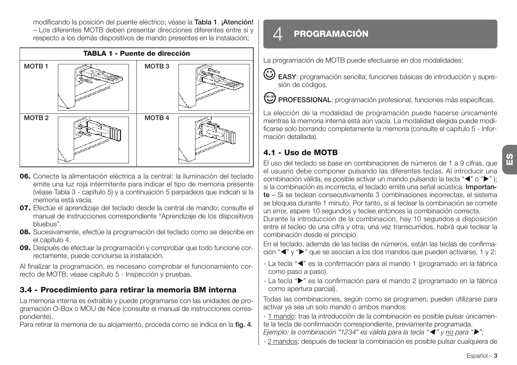modificando la posición del puente eléctrico; véase la **Ta bla 1**. **¡Atención!** – Los diferentes MOTB deben presentar direcciones diferentes entre sí y respecto a los demás dispositivos de mando presentes en la instalación;



- **06.** Conecte la alimentación eléctrica a la central: la iluminación del teclado emite una luz roja intermitente para indicar el tipo de memoria presente (véase Tabla 3 - capítulo 5) y a continuación 5 parpadeos que indican si la memoria está vacía.
- **07.** Efectúe el aprendizaje del teclado desde la central de mando; consulte el manual de instrucciones correspondiente "Aprendizaje de los dispositivos bluebus".
- **08.** Sucesivamente, efectúe la programación del teclado como se describe en el capítulo 4.
- **09.** Después de efectuar la programación y comprobar que todo funcione correctamente, puede concluirse la instalación.

Al finalizar la programación, es necesario comprobar el funcionamiento correcto de MOTB; véase capítulo 5 - Inspección y pruebas.

#### **3.4 - Procedimiento para retirar la memoria BM interna**

La memoria interna es extraíble y puede programarse con las unidades de programación O-Box o MOU de Nice (consulte el manual de instrucciones correspondiente).

Para retirar la memoria de su alojamiento, proceda como se indica en la **fig. 4**.

## 4 **PROGRAMACIÓN**

La programación de MOTB puede efectuarse en dos modalidades:

**EASY**: programación sencilla; funciones básicas de introducción y supresión de códigos.

**<sup>6</sup> PROFESSIONAL**: programación profesional, funciones más específicas.

La elección de la modalidad de programación puede hacerse únicamente mientras la memoria interna está aún vacía. La modalidad elegida puede modificarse solo borrando completamente la memoria (consulte el capítulo 5 - Información detallada).

### **4.1 - Uso de MOTB**

El uso del teclado se base en combinaciones de números de 1 a 9 cifras, que el usuario debe componer pulsando las diferentes teclas. Al introducir una combinación válida, es posible activar un mando pulsando la tecla "("o "); si la combinación es incorrecta, el teclado emite una señal acústica. **Importante** – Si se teclean consecutivamente 3 combinaciones incorrectas, el sistema se bloquea durante 1 minuto. Por tanto, si al teclear la combinación se comete un error, espere 10 segundos y teclee entonces la combinación correcta.

Durante la introducción de la combinación, hay 10 segundos a disposición entre el tecleo de una cifra y otra; una vez transcurridos, habrá que teclear la combinación desde el principio.

En el teclado, además de las teclas de números, están las teclas de confirmación "<" y ">" que se asocian a los dos mandos que pueden activarse, 1 y 2:

- La tecla "<" es la confirmación para el mando 1 (programado en la fábrica como paso a paso).
- La tecla " $\blacktriangleright$ " es la confirmación para el mando 2 (programado en la fábrica como apertura parcial).

Todas las combinaciones, según como se programen, pueden utilizarse para activar ya sea un solo mando o ambos mandos:

- 1 mando: tras la introducción de la combinación es posible pulsar únicamente la tecla de confirmación correspondiente, previamente programada.

*Ejemplo: la combinación "1234" es válida para la tecla "*- *" y no para "";*

- 2 mandos: después de teclear la combinación es posible pulsar cualquiera de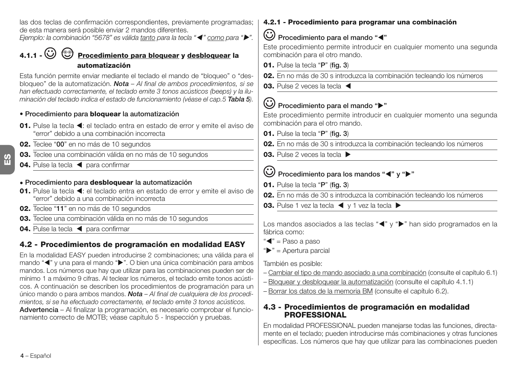las dos teclas de confirmación correspondientes, previamente programadas; de esta manera será posible enviar 2 mandos diferentes.

*Ejemplo: la combinación "5678" es válida tanto para la tecla "*- *" como para "".*

**4.1.1 - Procedimiento para bloquear y desbloquear la automatización**

Esta función permite enviar mediante el teclado el mando de "bloqueo" o "desbloqueo" de la automatización. *Nota – Al final de ambos procedimientos, si se han efectuado correctamente, el teclado emite 3 tonos acústicos (beeps) y la iluminación del teclado indica el estado de funcionamiento (véase el cap.5 Tabla 5).*

**• Procedimiento para bloquear la automatización**

- 01. Pulse la tecla < : el teclado entra en estado de error y emite el aviso de "error" debido a una combinación incorrecta
- **02.** Teclee "**00**" en no más de 10 segundos
- **03.** Teclee una combinación válida en no más de 10 segundos
- 04. Pulse la tecla < para confirmar

#### **• Procedimiento para desbloquear la automatización**

- 01. Pulse la tecla < : el teclado entra en estado de error y emite el aviso de "error" debido a una combinación incorrecta
- **02.** Teclee "**11**" en no más de 10 segundos
- **03.** Teclee una combinación válida en no más de 10 segundos
- 04. Pulse la tecla < para confirmar

### **4.2 - Procedimientos de programación en modalidad EASY**

En la modalidad EASY pueden introducirse 2 combinaciones; una válida para el mando "<" y una para el mando ">". O bien una única combinación para ambos mandos. Los números que hay que utilizar para las combinaciones pueden ser de mínimo 1 a máximo 9 cifras. Al teclear los números, el teclado emite tonos acústicos. A continuación se describen los procedimientos de programación para un único mando o para ambos mandos. *Nota – Al final de cualquiera de los procedimientos, si se ha efectuado correctamente, el teclado emite 3 tonos acústicos.* **Advertencia** – Al finalizar la programación, es necesario comprobar el funcionamiento correcto de MOTB; véase capítulo 5 - Inspección y pruebas.

#### **4.2.1 - Procedimiento para programar una combinación**

### **Procedimiento para el mando "**-**"**

Este procedimiento permite introducir en cualquier momento una segunda combinación para el otro mando.

- **01.** Pulse la tecla "**P**" (**fig. 3**)
- **02.** En no más de 30 s introduzca la combinación tecleando los números
- **03.** Pulse 2 veces la tecla <

## **Procedimiento para el mando ""**

Este procedimiento permite introducir en cualquier momento una segunda combinación para el otro mando.

- **01.** Pulse la tecla "**P**" (**fig. 3**)
- **02.** En no más de 30 s introduzca la combinación tecleando los números
- **03.** Pulse 2 veces la tecla ▶

#### **Procedimiento para los mandos "<" y ">"**

- **01.** Pulse la tecla "**P**" (**fig. 3**)
- **02.** En no más de 30 s introduzca la combinación tecleando los números
- **03.** Pulse 1 vez la tecla < y 1 vez la tecla  $\blacktriangleright$

Los mandos asociados a las teclas "<" y ">" han sido programados en la fábrica como:

- " $\P$ " = Paso a paso
- $"$  = Apertura parcial

También es posible:

- Cambiar el tipo de mando asociado a una combinación (consulte el capítulo 6.1)
- Bloquear y desbloquear la automatización (consulte el capítulo 4.1.1)
- Borrar los datos de la memoria BM (consulte el capítulo 6.2).

#### **4.3 - Procedimientos de programación en modalidad PROFESSIONAL**

En modalidad PROFESSIONAL pueden manejarse todas las funciones, directamente en el teclado; pueden introducirse más combinaciones y otras funciones específicas. Los números que hay que utilizar para las combinaciones pueden

 $\frac{6}{11}$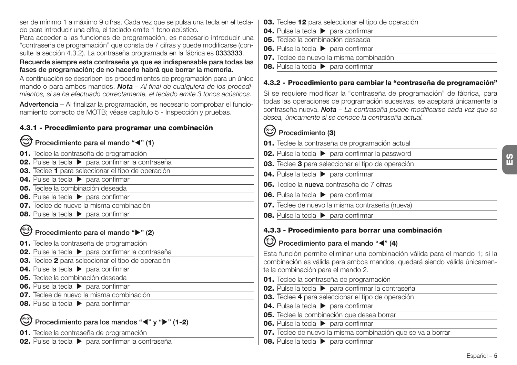ser de mínimo 1 a máximo 9 cifras. Cada vez que se pulsa una tecla en el teclado para introducir una cifra, el teclado emite 1 tono acústico.

Para acceder a las funciones de programación, es necesario introducir una "contraseña de programación" que consta de 7 cifras y puede modificarse (consulte la sección 4.3.2). La contraseña programada en la fábrica es **0333333**.

#### **Recuerde siempre esta contraseña ya que es indispensable para todas las fases de programación; de no hacerlo habrá que borrar la memoria.**

A continuación se describen los procedimientos de programación para un único mando o para ambos mandos. *Nota – Al final de cualquiera de los procedimientos, si se ha efectuado correctamente, el teclado emite 3 tonos acústicos.*

**Advertencia** – Al finalizar la programación, es necesario comprobar el funcionamiento correcto de MOTB; véase capítulo 5 - Inspección y pruebas.

### **4.3.1 - Procedimiento para programar una combinación**

- **Procedimiento para el mando "**-**" (1)**
- **01.** Teclee la contraseña de programación
- **02.** Pulse la tecla ▶ para confirmar la contraseña
- **03.** Teclee **1** para seleccionar el tipo de operación
- **04.** Pulse la tecla **b** para confirmar
- **05.** Teclee la combinación deseada
- **06.** Pulse la tecla **b** para confirmar
- **07.** Teclee de nuevo la misma combinación
- **08.** Pulse la tecla **b** para confirmar

### **Procedimiento para el mando "" (2)**

- **01.** Teclee la contraseña de programación
- **02.** Pulse la tecla  $\triangleright$  para confirmar la contraseña
- **03.** Teclee **2** para seleccionar el tipo de operación
- **04.** Pulse la tecla **b** para confirmar
- **05.** Teclee la combinación deseada
- **06.** Pulse la tecla  $\triangleright$  para confirmar
- **07.** Teclee de nuevo la misma combinación
- **08.** Pulse la tecla **b** para confirmar

### **Procedimiento para los mandos "<" y "** $\blacktriangleright$ **" (1-2)**

**01.** Teclee la contraseña de programación

**02.** Pulse la tecla  $\triangleright$  para confirmar la contraseña

- **03.** Teclee **12** para seleccionar el tipo de operación
- **04.** Pulse la tecla **b** para confirmar
- **05.** Teclee la combinación deseada
- **06.** Pulse la tecla  $\triangleright$  para confirmar
- **07.** Teclee de nuevo la misma combinación
- **08.** Pulse la tecla **D** para confirmar

#### **4.3.2 - Procedimiento para cambiar la "contraseña de programación"**

Si se requiere modificar la "contraseña de programación" de fábrica, para todas las operaciones de programación sucesivas, se aceptará únicamente la contraseña nueva. *Nota – La contraseña puede modificarse cada vez que se desea, únicamente si se conoce la contraseña actual.*

### **Procedimiento (3)**

- **01.** Teclee la contraseña de programación actual
- **02.** Pulse la tecla  $\triangleright$  para confirmar la password
- **03.** Teclee **3** para seleccionar el tipo de operación
- **04.** Pulse la tecla  $\triangleright$  para confirmar
- **05.** Teclee la **nueva** contraseña de 7 cifras
- **06.** Pulse la tecla **b** para confirmar
- **07.** Teclee de nuevo la misma contraseña (nueva)
- **08.** Pulse la tecla  $\triangleright$  para confirmar

### **4.3.3 - Procedimiento para borrar una combinación**

**Procedimiento para el mando "**-**" (4)**

Esta función permite eliminar una combinación válida para el mando 1; si la combinación es válida para ambos mandos, quedará siendo válida únicamente la combinación para el mando 2.

- **01.** Teclee la contraseña de programación
- **02.** Pulse la tecla  $\triangleright$  para confirmar la contraseña
- **03.** Teclee **4** para seleccionar el tipo de operación
- **04.** Pulse la tecla  $\triangleright$  para confirmar
- **05.** Teclee la combinación que desea borrar
- **06.** Pulse la tecla **b** para confirmar
- **07.** Teclee de nuevo la misma combinación que se va a borrar
- **08.** Pulse la tecla  $\triangleright$  para confirmar

**ES**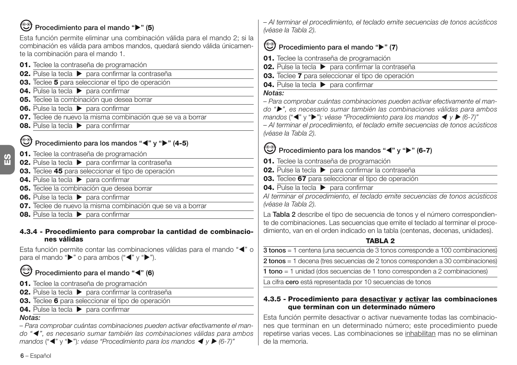### **Procedimiento para el mando "" (5)**

Esta función permite eliminar una combinación válida para el mando 2; si la combinación es válida para ambos mandos, quedará siendo válida únicamente la combinación para el mando 1.

- **01.** Teclee la contraseña de programación
- **02.** Pulse la tecla  $\triangleright$  para confirmar la contraseña
- **03.** Teclee **5** para seleccionar el tipo de operación
- **04.** Pulse la tecla **b** para confirmar
- **05.** Teclee la combinación que desea borrar
- **06.** Pulse la tecla **b** para confirmar
- **07.** Teclee de nuevo la misma combinación que se va a borrar
- **08.** Pulse la tecla **D** para confirmar

### **Procedimiento para los mandos "<" y "** $\blacktriangleright$ **" (4-5)**

- **01.** Teclee la contraseña de programación
- **02.** Pulse la tecla  $\triangleright$  para confirmar la contraseña
- **03.** Teclee **45** para seleccionar el tipo de operación
- **04.** Pulse la tecla **b** para confirmar
- **05.** Teclee la combinación que desea borrar
- **06.** Pulse la tecla **b** para confirmar
- **07.** Teclee de nuevo la misma combinación que se va a borrar
- **08.** Pulse la tecla  $\triangleright$  para confirmar

#### **4.3.4 - Procedimiento para comprobar la cantidad de combinaciones válidas**

Esta función permite contar las combinaciones válidas para el mando "<" o para el mando " $\blacktriangleright$ " o para ambos (" $\blacktriangleleft$ " y " $\blacktriangleright$ ").

#### ☺ **Procedimiento para el mando "**-**" (6)**

- **01.** Teclee la contraseña de programación
- **02.** Pulse la tecla  $\triangleright$  para confirmar la contraseña
- **03.** Teclee **6** para seleccionar el tipo de operación
- **04.** Pulse la tecla **b** para confirmar

### *Notas:*

*– Para comprobar cuántas combinaciones pueden activar efectivamente el mando "*- *", es necesario sumar también las combinaciones válidas para ambos* mandos ("◀" y "▶"): véase "Procedimiento para los mandos ◀ y ▶ (6-7)"

*– Al terminar el procedimiento, el teclado emite secuencias de tonos acústicos (véase la Tabla 2).*

### **Procedimiento para el mando "" (7)**

**01.** Teclee la contraseña de programación

- **02.** Pulse la tecla  $\triangleright$  para confirmar la contraseña
- **03.** Teclee **7** para seleccionar el tipo de operación
- **04.** Pulse la tecla **b** para confirmar

#### *Notas:*

- *Para comprobar cuántas combinaciones pueden activar efectivamente el man-*
- *do "", es necesario sumar también las combinaciones válidas para ambos*
- mandos (" $\blacktriangleleft$ " y " $\blacktriangleright$ "): véase "Procedimiento para los mandos  $\blacktriangleleft$  y  $\blacktriangleright$  (6-7)"

*– Al terminar el procedimiento, el teclado emite secuencias de tonos acústicos (véase la Tabla 2).*

### **Procedimiento para los mandos "**-**" y "" (6-7)**

**01.** Teclee la contraseña de programación

- **02.** Pulse la tecla  $\triangleright$  para confirmar la contraseña
- **03.** Teclee **67** para seleccionar el tipo de operación
- **04.** Pulse la tecla **b** para confirmar

*Al terminar el procedimiento, el teclado emite secuencias de tonos acústicos (véase la Tabla 2).*

La **Tabla 2** describe el tipo de secuencia de tonos y el número correspondiente de combinaciones. Las secuencias que emite el teclado al terminar el procedimiento, van en el orden indicado en la tabla (centenas, decenas, unidades).

### **TABLA 2**

- **3 tonos** = 1 centena (una secuencia de 3 tonos corresponde a 100 combinaciones)
- **2 tonos** = 1 decena (tres secuencias de 2 tonos corresponden a 30 combinaciones)
- **1 tono** = 1 unidad (dos secuencias de 1 tono corresponden a 2 combinaciones)

La cifra **cero** está representada por 10 secuencias de tonos

#### **4.3.5 - Procedimiento para desactivar y activar las combinaciones que terminan con un determinado número**

Esta función permite desactivar o activar nuevamente todas las combinaciones que terminan en un determinado número; este procedimiento puede repetirse varias veces. Las combinaciones se inhabilitan mas no se eliminan de la memoria.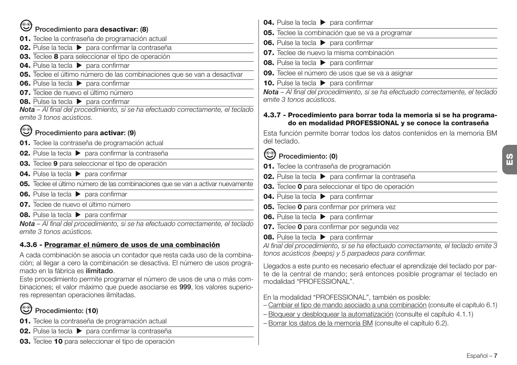| ☺                                                                                                                                                           | 04. Pulse la tecla > para confirmar                                             |
|-------------------------------------------------------------------------------------------------------------------------------------------------------------|---------------------------------------------------------------------------------|
| Procedimiento para desactivar: (8)                                                                                                                          | 05. Teclee la combinación que se va                                             |
| 01. Teclee la contraseña de programación actual                                                                                                             | 06. Pulse la tecla > para confirmar                                             |
| 02. Pulse la tecla > para confirmar la contraseña                                                                                                           | 07. Teclee de nuevo la misma comb                                               |
| 03. Teclee 8 para seleccionar el tipo de operación                                                                                                          | 08. Pulse la tecla > para confirmar                                             |
| 04. Pulse la tecla > para confirmar                                                                                                                         | 09. Teclee el número de usos que se                                             |
| 05. Teclee el último número de las combinaciones que se van a desactivar                                                                                    | <b>10.</b> Pulse la tecla > para confirmar                                      |
| 06. Pulse la tecla > para confirmar<br>07. Teclee de nuevo el último número                                                                                 | <b>Nota</b> – Al final del procedimiento, si s                                  |
| 08. Pulse la tecla > para confirmar                                                                                                                         | emite 3 tonos acústicos.                                                        |
| Nota - Al final del procedimiento, si se ha efectuado correctamente, el teclado                                                                             |                                                                                 |
| emite 3 tonos acústicos.                                                                                                                                    | 4.3.7 - Procedimiento para borra<br>do en modalidad PROFES                      |
| ☜<br>Procedimiento para activar: (9)                                                                                                                        | Esta función permite borrar todos l                                             |
| 01. Teclee la contraseña de programación actual                                                                                                             | del teclado.                                                                    |
| 02. Pulse la tecla > para confirmar la contraseña                                                                                                           | Procedimiento: (0)                                                              |
| 03. Teclee 9 para seleccionar el tipo de operación                                                                                                          | 01. Teclee la contraseña de progran                                             |
| 04. Pulse la tecla > para confirmar                                                                                                                         | 02. Pulse la tecla > para confirmar                                             |
| 05. Teclee el último número de las combinaciones que se van a activar nuevamente                                                                            | 03. Teclee 0 para seleccionar el tipo                                           |
| 06. Pulse la tecla > para confirmar                                                                                                                         | 04. Pulse la tecla > para confirmar                                             |
| 07. Teclee de nuevo el último número                                                                                                                        | 05. Teclee 0 para confirmar por prim                                            |
| <b>08.</b> Pulse la tecla > para confirmar                                                                                                                  | 06. Pulse la tecla > para confirmar                                             |
| Nota - Al final del procedimiento, si se ha efectuado correctamente, el teclado                                                                             |                                                                                 |
| emite 3 tonos acústicos.                                                                                                                                    | 07. Teclee 0 para confirmar por seg                                             |
| 4.3.6 - Programar el número de usos de una combinación                                                                                                      | 08. Pulse la tecla > para confirmar                                             |
|                                                                                                                                                             | Al final del procedimiento, si se ha efe<br>tonos acústicos (beeps) y 5 parpade |
| A cada combinación se asocia un contador que resta cada uso de la combina-<br>ción; al llegar a cero la combinación se desactiva. El número de usos progra- |                                                                                 |
| mado en la fábrica es <b>ilimitado</b> .                                                                                                                    | Llegados a este punto es necesario e                                            |
| Este procedimiento permite programar el número de usos de una o más com-                                                                                    | te de la central de mando; será en<br>modalidad "PROFESSIONAL".                 |
| binaciones; el valor máximo que puede asociarse es 999, los valores superio-                                                                                |                                                                                 |
| res representan operaciones ilimitadas.                                                                                                                     | En la modalidad "PROFESSIONAL",                                                 |
| Procedimiento: (10)                                                                                                                                         | - Cambiar el tipo de mando asociado a                                           |
|                                                                                                                                                             | - Bloquear y desbloquear la automat                                             |
| 01. Teclee la contraseña de programación actual                                                                                                             | - Borrar los datos de la memoria BM                                             |
| 02. Pulse la tecla > para confirmar la contraseña                                                                                                           |                                                                                 |
| 03. Teclee 10 para seleccionar el tipo de operación                                                                                                         |                                                                                 |

 $\overline{\mathbf{e}}$  va a programar 06. Pulse la tecla  $\triangleright$  para confirmar mbinación 08. Pulse la tecla  $\triangleright$  para confirmar **e** se va a asignar 10. Pulse la tecla  $\triangleright$  para confirmar *Nota – Al final del procedimiento, si se ha efectuado correctamente, el teclado* **4.3.7 - Procedimiento para borrar toda la memoria si se ha programa-ESSIONAL y se conoce la contraseña** Esta función permite borrar todos los datos contenidos en la memoria BM ramación nar la contraseña ipo de operación 04. Pulse la tecla **>** para confirmar **05.** Teclee **0** para confirmar por primera vez 06. Pulse la tecla  $\triangleright$  para confirmar **07.** Teclee **0** para confirmar por segunda vez 08. Pulse la tecla  $\triangleright$  para confirmar *Al final del procedimiento, si se ha efectuado correctamente, el teclado emite 3 tonos acústicos (beeps) y 5 parpadeos para confirmar.* io efectuar el aprendizaje del teclado por parentonces posible programar el teclado en L", también es posible: do a una combinación (consulte el capítulo 6.1) matización (consulte el capítulo 4.1.1) 3M (consulte el capítulo 6.2).

**ES**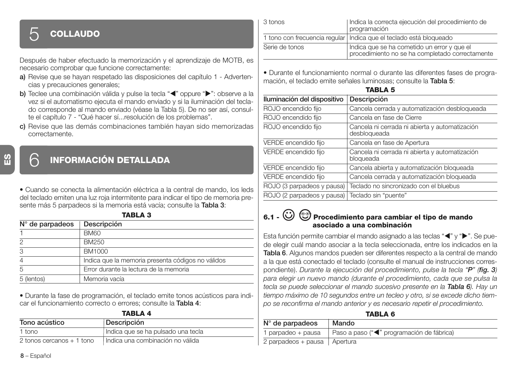## 5 **COLLAUDO**

Después de haber efectuado la memorización y el aprendizaje de MOTB, es necesario comprobar que funcione correctamente:

- **a)** Revise que se hayan respetado las disposiciones del capítulo 1 Advertencias y precauciones generales;
- **b)** Teclee una combinación válida y pulse la tecla "<" oppure ">": observe a la vez si el automatismo ejecuta el mando enviado y si la iluminación del teclado corresponde al mando enviado (véase la Tabla 5). De no ser así, consulte el capítulo 7 - "Qué hacer sí...resolución de los problemas".
- **c)** Revise que las demás combinaciones también hayan sido memorizadas correctamente.

**ES**

### 6 **INFORMACIÓN DETALLADA**

• Cuando se conecta la alimentación eléctrica a la central de mando, los leds del teclado emiten una luz roja intermitente para indicar el tipo de memoria presente más 5 parpadeos si la memoria está vacía; consulte la **Tabla 3**:

**TABLA 3**

| $N^{\circ}$ de parpadeos | Descripción                                       |
|--------------------------|---------------------------------------------------|
|                          | <b>BM60</b>                                       |
|                          | BM250                                             |
| 3                        | BM1000                                            |
|                          | Indica que la memoria presenta códigos no válidos |
|                          | Error durante la lectura de la memoria            |
| 5 (lentos)               | Memoria vacía                                     |

• Durante la fase de programación, el teclado emite tonos acústicos para indicar el funcionamiento correcto o errores; consulte la **Tabla 4**: **TABLA 4**

| <u>IAULA T</u>             |                                    |  |  |
|----------------------------|------------------------------------|--|--|
| Tono acústico              | Descripción                        |  |  |
| 1 tono                     | Indica que se ha pulsado una tecla |  |  |
| 2 tonos cercanos $+1$ tono | Indica una combinación no válida   |  |  |

| 3 tonos        | I Indica la correcta ejecución del procedimiento de<br>programación                            |
|----------------|------------------------------------------------------------------------------------------------|
|                | 1 tono con frecuencia regular   Indica que el teclado está bloqueado                           |
| Serie de tonos | Indica que se ha cometido un error y que el<br>procedimiento no se ha completado correctamente |

• Durante el funcionamiento normal o durante las diferentes fases de programación, el teclado emite señales luminosas; consulte la **Tabla 5**:

|--|

| Iluminación del dispositivo | Descripción                                                    |
|-----------------------------|----------------------------------------------------------------|
| ROJO encendido fijo         | Cancela cerrada y automatización desbloqueada                  |
| ROJO encendido fijo         | Cancela en fase de Cierre                                      |
| ROJO encendido fijo         | Cancela ni cerrada ni abierta y automatización<br>desbloqueada |
| VERDE encendido fijo        | Cancela en fase de Apertura                                    |
| VERDE encendido fijo        | Cancela ni cerrada ni abierta y automatización<br>bloqueada    |
| VERDE encendido fijo        | Cancela abierta y automatización bloqueada                     |
| VERDE encendido fijo        | Cancela cerrada y automatización bloqueada                     |
| ROJO (3 parpadeos y pausa)  | Teclado no sincronizado con el bluebus                         |
| ROJO (2 parpadeos y pausa)  | Teclado sin "puente"                                           |

### **6.1 - Procedimiento para cambiar el tipo de mando asociado a una combinación**

Esta función permite cambiar el mando asignado a las teclas "(">") ">". Se puede elegir cuál mando asociar a la tecla seleccionada, entre los indicados en la **Tabla 6**. Algunos mandos pueden ser diferentes respecto a la central de mando a la que está conectado el teclado (consulte el manual de instrucciones correspondiente). *Durante la ejecución del procedimiento, pulse la tecla "P" (fig. 3) para elegir un nuevo mando (durante el procedimiento, cada que se pulsa la tecla se puede seleccionar el mando sucesivo presente en la Tabla 6). Hay un tiempo máximo de 10 segundos entre un tecleo y otro, si se excede dicho tiempo se reconfirma el mando anterior y es necesario repetir el procedimiento.*

|--|

| $N^{\circ}$ de parpadeos       | Mando                                     |
|--------------------------------|-------------------------------------------|
| 1 parpadeo + pausa             | Paso a paso ("< "programación de fábrica) |
| 2 parpadeos + pausa   Apertura |                                           |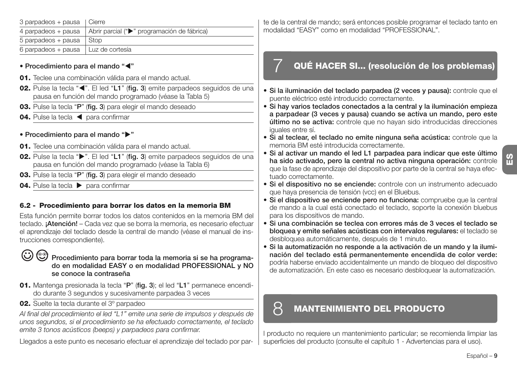| 3 parpadeos + pausa   Cierre          |                                             |
|---------------------------------------|---------------------------------------------|
| 4 parpadeos + pausa                   | Abrir parcial (">" programación de fábrica) |
| $5$ parpadeos + pausa $\vert$ Stop    |                                             |
| 6 parpadeos + pausa   Luz de cortesía |                                             |

#### **• Procedimiento para el mando "**-**"**

- **01.** Teclee una combinación válida para el mando actual.
- **02.** Pulse la tecla "◀". El led "L1" (fig. 3) emite parpadeos seguidos de una pausa en función del mando programado (véase la Tabla 5)
- **03.** Pulse la tecla "**P**" (**fig. 3**) para elegir el mando deseado
- 04. Pulse la tecla < para confirmar

### **• Procedimiento para el mando ""**

- **01.** Teclee una combinación válida para el mando actual.
- **02.** Pulse la tecla " $\blacktriangleright$ ". El led "L1" (fig. 3) emite parpadeos seguidos de una pausa en función del mando programado (véase la Tabla 6)
- **03.** Pulse la tecla "**P**" (**fig. 3**) para elegir el mando deseado
- **04.** Pulse la tecla  $\triangleright$  para confirmar

### **6.2 - Procedimiento para borrar los datos en la memoria BM**

Esta función permite borrar todos los datos contenidos en la memoria BM del teclado. **¡Atención!** – Cada vez que se borra la memoria, es necesario efectuar el aprendizaje del teclado desde la central de mando (véase el manual de instrucciones correspondiente).

### **Procedimiento para borrar toda la memoria si se ha programado en modalidad EASY o en modalidad PROFESSIONAL y NO se conoce la contraseña**

- **01.** Mantenga presionada la tecla "**P**" (**fig. 3**); el led "**L1**" permanece encendido durante 3 segundos y sucesivamente parpadea 3 veces
- **02.** Suelte la tecla durante el 3º parpadeo

*Al final del procedimiento el led "L1" emite una serie de impulsos y después de unos segundos, si el procedimiento se ha efectuado correctamente, el teclado emite 3 tonos acústicos (beeps) y parpadeos para confirmar.*

Llegados a este punto es necesario efectuar el aprendizaje del teclado por par-

te de la central de mando; será entonces posible programar el teclado tanto en modalidad "EASY" como en modalidad "PROFESSIONAL".

### 7 **QUÉ HACER SI... (resolución de los problemas)**

- **Si la iluminación del teclado parpadea (2 veces y pausa):** controle que el puente eléctrico esté introducido correctamente.
- **Si hay varios teclados conectados a la central y la iluminación empieza a parpadear (3 veces y pausa) cuando se activa un mando, pero este último no se activa:** controle que no hayan sido introducidas direcciones iguales entre sí.
- **Si al teclear, el teclado no emite ninguna seña acústica:** controle que la memoria BM esté introducida correctamente.
- **Si al activar un mando el led L1 parpadea para indicar que este último ha sido activado, pero la central no activa ninguna operación:** controle que la fase de aprendizaje del dispositivo por parte de la central se haya efectuado correctamente.
- **Si el dispositivo no se enciende:** controle con un instrumento adecuado que haya presencia de tensión (vcc) en el Bluebus.
- **Si el dispositivo se enciende pero no funciona:** compruebe que la central de mando a la cual está conectado el teclado, soporte la conexión bluebus para los dispositivos de mando.
- **Si una combinación se teclea con errores más de 3 veces el teclado se bloquea y emite señales acústicas con intervalos regulares:** el teclado se desbloquea automáticamente, después de 1 minuto.
- **Si la automatización no responde a la activación de un mando y la iluminación del teclado está permanentemente encendida de color verde:** podría haberse enviado accidentalmente un mando de bloqueo del dispositivo de automatización. En este caso es necesario desbloquear la automatización.

## 8 **MANTENIMIENTO DEL PRODUCTO**

l producto no requiere un mantenimiento particular; se recomienda limpiar las superficies del producto (consulte el capítulo 1 - Advertencias para el uso).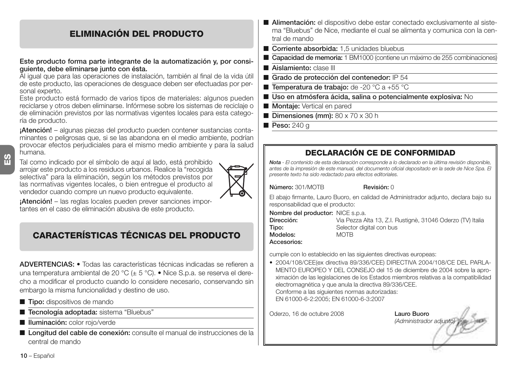### **ELIMINACIÓN DEL PRODUCTO**

#### **Este producto forma parte integrante de la automatización y, por consiguiente, debe eliminarse junto con ésta.**

Al igual que para las operaciones de instalación, también al final de la vida útil de este producto, las operaciones de desguace deben ser efectuadas por personal experto.

Este producto está formado de varios tipos de materiales: algunos pueden reciclarse y otros deben eliminarse. Infórmese sobre los sistemas de reciclaje o de eliminación previstos por las normativas vigentes locales para esta categoría de producto.

**¡Atención!** – algunas piezas del producto pueden contener sustancias contaminantes o peligrosas que, si se las abandona en el medio ambiente, podrían provocar efectos perjudiciales para el mismo medio ambiente y para la salud humana.

Tal como indicado por el símbolo de aquí al lado, está prohibido arrojar este producto a los residuos urbanos. Realice la "recogida selectiva" para la eliminación, según los métodos previstos por las normativas vigentes locales, o bien entregue el producto al vendedor cuando compre un nuevo producto equivalente.



**¡Atención!** – las reglas locales pueden prever sanciones importantes en el caso de eliminación abusiva de este producto.

### **CARACTERÍSTICAS TÉCNICAS DEL PRODUCTO**

**ADVERTENCIAS: •** Todas las características técnicas indicadas se refieren a una temperatura ambiental de 20 °C (± 5 °C). • Nice S.p.a. se reserva el derecho a modificar el producto cuando lo considere necesario, conservando sin embargo la misma funcionalidad y destino de uso.

- **Tipo:** dispositivos de mando
- **Tecnología adoptada:** sistema "Bluebus"
- **Iluminación:** color rojo/verde
- **Longitud del cable de conexión:** consulte el manual de instrucciones de la central de mando
- **Alimentación:** el dispositivo debe estar conectado exclusivamente al sistema "Bluebus" de Nice, mediante el cual se alimenta y comunica con la central de mando
- **Corriente absorbida:** 1.5 unidades bluebus
- **Capacidad de memoria:** 1 BM1000 (contiene un máximo de 255 combinaciones
- **Aislamiento:** clase III
- **Grado de protección del contenedor:** IP 54
- **Temperatura de trabajo:** de -20 °C a +55 °C
- Uso en atmósfera ácida, salina o potencialmente explosiva: No
- **Montaje:** Vertical en pared
- **Dimensiones (mm):** 80 x 70 x 30 h
- **Peso:** 240 g

### **DECLARACIÓN CE DE CONFORMIDAD**

*Nota - El contenido de esta declaración corresponde a lo declarado en la última revisión disponible, antes de la impresión de este manual, del documento oficial depositado en la sede de Nice Spa. El presente texto ha sido redactado para efectos editoriales.*

**Número:** 301/MOTB **Revisión:** 0

El abajo firmante, Lauro Buoro, en calidad de Administrador adjunto, declara bajo su responsabilidad que el producto:

**Nombre del productor:** NICE s.p.a.<br>**Dirección:** Via Pezza A

**Modelos:** MOTB

**Dirección:** Via Pezza Alta 13, Z.I. Rustignè, 31046 Oderzo (TV) Italia **Tipo:** Selector digital con bus

**Accesorios:**

cumple con lo establecido en las siguientes directivas europeas:

• 2004/108/CEE(ex directiva 89/336/CEE) DIRECTIVA 2004/108/CE DEL PARLA-MENTO EUROPEO Y DEL CONSEJO del 15 de diciembre de 2004 sobre la aproximación de las legislaciones de los Estados miembros relativas a la compatibilidad electromagnética y que anula la directiva 89/336/CEE. Conforme a las siguientes normas autorizadas: EN 61000-6-2:2005; EN 61000-6-3:2007

Oderzo, 16 de octubre 2008 **Lauro Buoro**

*(Administrador adjunto)*

**10** – Español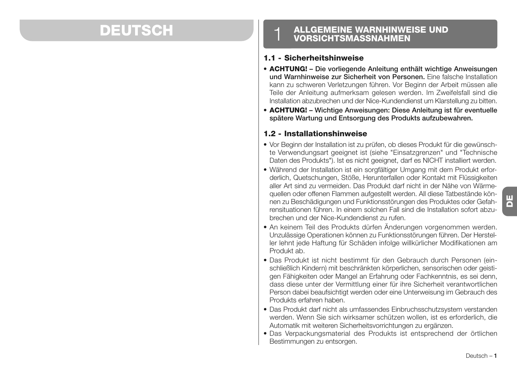## **DEUTSCH**

# **ALLGEMEINE WARNHINWEISE UND** 1 **VORSICHTSMASSNAHMEN**

#### **1.1 - Sicherheitshinweise**

- **ACHTUNG! Die vorliegende Anleitung enthält wichtige Anweisungen und Warnhinweise zur Sicherheit von Personen.** Eine falsche Installation kann zu schweren Verletzungen führen. Vor Beginn der Arbeit müssen alle Teile der Anleitung aufmerksam gelesen werden. Im Zweifelsfall sind die Installation abzubrechen und der Nice-Kundendienst um Klarstellung zu bitten.
- **ACHTUNG! Wichtige Anweisungen: Diese Anleitung ist für eventuelle spätere Wartung und Entsorgung des Produkts aufzubewahren.**

### **1.2 - Installationshinweise**

- Vor Beginn der Installation ist zu prüfen, ob dieses Produkt für die gewünschte Verwendungsart geeignet ist (siehe "Einsatzgrenzen" und "Technische Daten des Produkts"). Ist es nicht geeignet, darf es NICHT installiert werden.
- Während der Installation ist ein sorgfältiger Umgang mit dem Produkt erforderlich, Quetschungen, Stöße, Herunterfallen oder Kontakt mit Flüssigkeiten aller Art sind zu vermeiden. Das Produkt darf nicht in der Nähe von Wärmequellen oder offenen Flammen aufgestellt werden. All diese Tatbestände können zu Beschädigungen und Funktionsstörungen des Produktes oder Gefahrensituationen führen. In einem solchen Fall sind die Installation sofort abzubrechen und der Nice-Kundendienst zu rufen.
- An keinem Teil des Produkts dürfen Änderungen vorgenommen werden. Unzulässige Operationen können zu Funktionsstörungen führen. Der Hersteller lehnt jede Haftung für Schäden infolge willkürlicher Modifikationen am Produkt ab.
- Das Produkt ist nicht bestimmt für den Gebrauch durch Personen (einschließlich Kindern) mit beschränkten körperlichen, sensorischen oder geistigen Fähigkeiten oder Mangel an Erfahrung oder Fachkenntnis, es sei denn, dass diese unter der Vermittlung einer für ihre Sicherheit verantwortlichen Person dabei beaufsichtigt werden oder eine Unterweisung im Gebrauch des Produkts erfahren haben.
- Das Produkt darf nicht als umfassendes Einbruchsschutzsystem verstanden werden. Wenn Sie sich wirksamer schützen wollen, ist es erforderlich, die Automatik mit weiteren Sicherheitsvorrichtungen zu ergänzen.
- Das Verpackungsmaterial des Produkts ist entsprechend der örtlichen Bestimmungen zu entsorgen.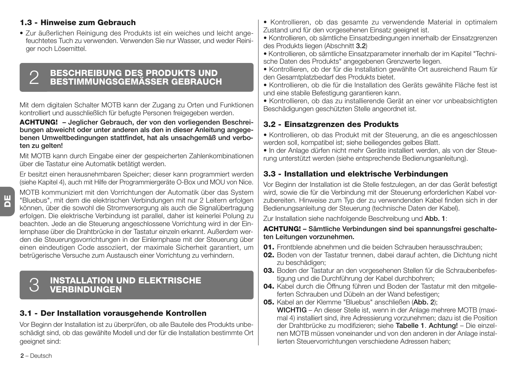### **1.3 - Hinweise zum Gebrauch**

• Zur äußerlichen Reinigung des Produkts ist ein weiches und leicht angefeuchtetes Tuch zu verwenden. Verwenden Sie nur Wasser, und weder Reiniger noch Lösemittel.

## **BESCHREIBUNG DES PRODUKTS UND** 2 **BESTIMMUNGSGEMÄSSER GEBRAUCH**

Mit dem digitalen Schalter MOTB kann der Zugang zu Orten und Funktionen kontrolliert und ausschließlich für befugte Personen freigegeben werden.

#### **ACHTUNG! – Jeglicher Gebrauch, der von den vorliegenden Beschreibungen abweicht oder unter anderen als den in dieser Anleitung angegebenen Umweltbedingungen stattfindet, hat als unsachgemäß und verboten zu gelten!**

Mit MOTB kann durch Eingabe einer der gespeicherten Zahlenkombinationen über die Tastatur eine Automatik betätigt werden.

Er besitzt einen herausnehmbaren Speicher; dieser kann programmiert werden (siehe Kapitel 4), auch mit Hilfe der Programmiergeräte O-Box und MOU von Nice.

MOTB kommuniziert mit den Vorrichtungen der Automatik über das System "Bluebus", mit dem die elektrischen Verbindungen mit nur 2 Leitern erfolgen können, über die sowohl die Stromversorgung als auch die Signalübertragung erfolgen. Die elektrische Verbindung ist parallel, daher ist keinerlei Polung zu beachten. Jede an die Steuerung angeschlossene Vorrichtung wird in der Einlernphase über die Drahtbrücke in der Tastatur einzeln erkannt. Außerdem werden die Steuerungsvorrichtungen in der Einlernphase mit der Steuerung über einen eindeutigen Code assoziiert, der maximale Sicherheit garantiert, um betrügerische Versuche zum Austausch einer Vorrichtung zu verhindern.

## **INSTALLATION UND ELEKTRISCHE** 3 **VERBINDUNGEN**

### **3.1 - Der Installation vorausgehende Kontrollen**

Vor Beginn der Installation ist zu überprüfen, ob alle Bauteile des Produkts unbeschädigt sind, ob das gewählte Modell und der für die Installation bestimmte Ort geeignet sind:

- Kontrollieren, ob das gesamte zu verwendende Material in optimalem Zustand und für den vorgesehenen Einsatz geeignet ist.
- Kontrollieren, ob sämtliche Einsatzbedingungen innerhalb der Einsatzgrenzen des Produkts liegen (Abschnitt **3.2**)
- Kontrollieren, ob sämtliche Einsatzparameter innerhalb der im Kapitel "Technische Daten des Produkts" angegebenen Grenzwerte liegen.
- Kontrollieren, ob der für die Installation gewählte Ort ausreichend Raum für den Gesamtplatzbedarf des Produkts bietet.
- Kontrollieren, ob die für die Installation des Geräts gewählte Fläche fest ist und eine stabile Befestigung garantieren kann.
- Kontrollieren, ob das zu installierende Gerät an einer vor unbeabsichtigten Beschädigungen geschützten Stelle angeordnet ist.

### **3.2 - Einsatzgrenzen des Produkts**

• Kontrollieren, ob das Produkt mit der Steuerung, an die es angeschlossen werden soll, kompatibel ist; siehe beiliegendes gelbes Blatt.

• In der Anlage dürfen nicht mehr Geräte installiert werden, als von der Steuerung unterstützt werden (siehe entsprechende Bedienungsanleitung).

### **3.3 - Installation und elektrische Verbindungen**

Vor Beginn der Installation ist die Stelle festzulegen, an der das Gerät befestigt wird, sowie die für die Verbindung mit der Steuerung erforderlichen Kabel vorzubereiten. Hinweise zum Typ der zu verwendenden Kabel finden sich in der Bedienungsanleitung der Steuerung (technische Daten der Kabel).

Zur Installation siehe nachfolgende Beschreibung und **Abb. 1**:

#### **ACHTUNG! – Sämtliche Verbindungen sind bei spannungsfrei geschalteten Leitungen vorzunehmen.**

- **01.** Frontblende abnehmen und die beiden Schrauben herausschrauben;
- **02.** Boden von der Tastatur trennen, dabei darauf achten, die Dichtung nicht zu beschädigen;
- **03.** Boden der Tastatur an den vorgesehenen Stellen für die Schraubenbefestigung und die Durchführung der Kabel durchbohren;
- **04.** Kabel durch die Öffnung führen und Boden der Tastatur mit den mitgelieferten Schrauben und Dübeln an der Wand befestigen;
- **05.** Kabel an der Klemme "Bluebus" anschließen (**Abb. 2**);

**WICHTIG** – An dieser Stelle ist, wenn in der Anlage mehrere MOTB (maximal 4) installiert sind, ihre Adressierung vorzunehmen; dazu ist die Position der Drahtbrücke zu modifizieren; siehe **Ta belle 1**. **Achtung!** – Die einzelnen MOTB müssen voneinander und von den anderen in der Anlage installierten Steuervorrichtungen verschiedene Adressen haben;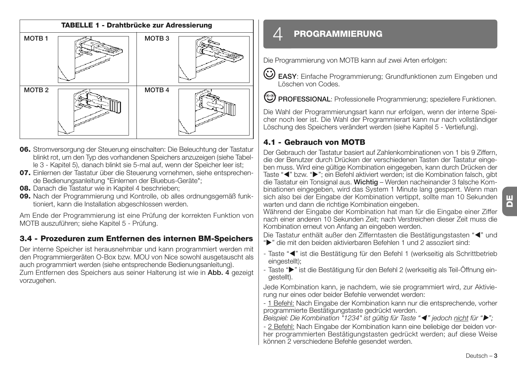

- **06.** Stromversorgung der Steuerung einschalten: Die Beleuchtung der Tastatur blinkt rot, um den Typ des vorhandenen Speichers anzuzeigen (siehe Tabelle 3 - Kapitel 5), danach blinkt sie 5-mal auf, wenn der Speicher leer ist;
- **07.** Einlernen der Tastatur über die Steuerung vornehmen, siehe entsprechende Bedienungsanleitung "Einlernen der Bluebus-Geräte";
- **08.** Danach die Tastatur wie in Kapitel 4 beschrieben;
- **09.** Nach der Programmierung und Kontrolle, ob alles ordnungsgemäß funktioniert, kann die Installation abgeschlossen werden.

Am Ende der Programmierung ist eine Prüfung der korrekten Funktion von MOTB auszuführen; siehe Kapitel 5 - Prüfung.

### **3.4 - Prozeduren zum Entfernen des internen BM-Speichers**

Der interne Speicher ist herausnehmbar und kann programmiert werden mit den Programmiergeräten O-Box bzw. MOU von Nice sowohl ausgetauscht als auch programmiert werden (siehe entsprechende Bedienungsanleitung). Zum Entfernen des Speichers aus seiner Halterung ist wie in **Abb. 4** gezeigt vorzugehen.

### $\varDelta$  <code>PROGRAMMIERUNG</code>

Die Programmierung von MOTB kann auf zwei Arten erfolgen:

- **EASY**: Einfache Programmierung; Grundfunktionen zum Eingeben und Löschen von Codes.
- **PROFESSIONAL:** Professionelle Programmierung; speziellere Funktionen.

Die Wahl der Programmierungsart kann nur erfolgen, wenn der interne Speicher noch leer ist. Die Wahl der Programmierart kann nur nach vollständiger Löschung des Speichers verändert werden (siehe Kapitel 5 - Vertiefung).

### **4.1 - Gebrauch von MOTB**

Der Gebrauch der Tastatur basiert auf Zahlenkombinationen von 1 bis 9 Ziffern, die der Benutzer durch Drücken der verschiedenen Tasten der Tastatur eingeben muss. Wird eine gültige Kombination eingegeben, kann durch Drücken der Taste "<" bzw. ">"; ein Befehl aktiviert werden; ist die Kombination falsch, gibt die Tastatur ein Tonsignal aus. **Wichtig** – Werden nacheinander 3 falsche Kombinationen eingegeben, wird das System 1 Minute lang gesperrt. Wenn man sich also bei der Eingabe der Kombination vertippt, sollte man 10 Sekunden warten und dann die richtige Kombination eingeben.

Während der Eingabe der Kombination hat man für die Eingabe einer Ziffer nach einer anderen 10 Sekunden Zeit; nach Verstreichen dieser Zeit muss die Kombination erneut von Anfang an eingeben werden.

Die Tastatur enthält außer den Zifferntasten die Bestätigungstasten "<" und ">" die mit den beiden aktivierbaren Befehlen 1 und 2 assoziiert sind:

- Taste "<" ist die Bestätigung für den Befehl 1 (werkseitig als Schrittbetrieb eingestellt);
- Taste ">" ist die Bestätigung für den Befehl 2 (werkseitig als Teil-Öffnung eingestellt).

Jede Kombination kann, je nachdem, wie sie programmiert wird, zur Aktivierung nur eines oder beider Befehle verwendet werden:

- 1 Befehl: Nach Eingabe der Kombination kann nur die entsprechende, vorher programmierte Bestätigungstaste gedrückt werden.

*Beispiel: Die Kombination "1234" ist gültig für Taste "*- *" jedoch nicht für "";*

- 2 Befehl: Nach Eingabe der Kombination kann eine beliebige der beiden vorher programmierten Bestätigungstasten gedrückt werden; auf diese Weise können 2 verschiedene Befehle gesendet werden.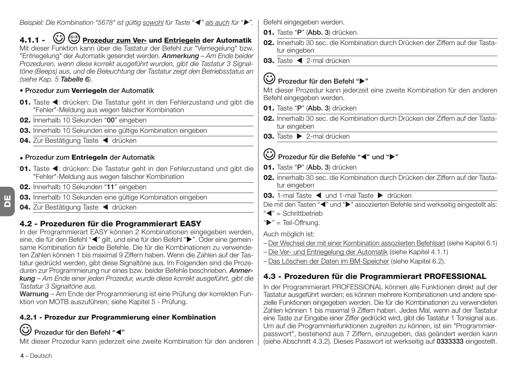*Beispiel: Die Kombination "5678" ist gültig sowohl für Taste "*- *" als auch für "".*

**4.1.1 - Prozedur zum Ver- und Entriegeln der Automatik** Mit dieser Funktion kann über die Tastatur der Befehl zur "Verriegelung" bzw. "Entriegelung" der Automatik gesendet werden. *Anmerkung – Am Ende beider Prozeduren, wenn diese korrekt ausgeführt wurden, gibt die Tastatur 3 Signaltöne (Beeps) aus, und die Beleuchtung der Tastatur zeigt den Betriebsstatus an (siehe Kap. 5 Tabelle 6).*

- **Prozedur zum Verriegeln der Automatik**
- 01. Taste <: drücken: Die Tastatur geht in den Fehlerzustand und gibt die "Fehler"-Meldung aus wegen falscher Kombination
- **02.** Innerhalb 10 Sekunden "**00**" eingeben
- **03.** Innerhalb 10 Sekunden eine gültige Kombination eingeben
- 04. Zur Bestätigung Taste < drücken

### **• Prozedur zum Entriegeln der Automatik**

- 01. Taste <: drücken: Die Tastatur geht in den Fehlerzustand und gibt die "Fehler"-Meldung aus wegen falscher Kombination
- **02.** Innerhalb 10 Sekunden "**11**" eingeben
- **03.** Innerhalb 10 Sekunden eine gültige Kombination eingeben
- 04. Zur Bestätigung Taste < drücken

### **4.2 - Prozeduren für die Programmierart EASY**

In der Programmierart EASY können 2 Kombinationen eingegeben werden, eine, die für den Befehl "< " gilt, und eine für den Befehl "▶". Oder eine gemeinsame Kombination für beide Befehle. Die für die Kombinationen zu verwendeten Zahlen können 1 bis maximal 9 Ziffern haben. Wenn die Zahlen auf der Tastatur gedrückt werden, gibt diese Signaltöne aus. Im Folgenden sind die Prozeduren zur Programmierung nur eines bzw. beider Befehle beschrieben. *Anmerkung – Am Ende einer jeden Prozedur, wurde diese korrekt ausgeführt, gibt die Tastatur 3 Signaltöne aus.*

**Warnung** – Am Ende der Programmierung ist eine Prüfung der korrekten Funktion von MOTB auszuführen; siehe Kapitel 5 - Prüfung.

### **4.2.1 - Prozedur zur Programmierung einer Kombination**

### **Prozedur für den Befehl "**-**"**

Mit dieser Prozedur kann jederzeit eine zweite Kombination für den anderen

Befehl eingegeben werden.

- **01.** Taste "**P**" (**Abb. 3**) drücken.
- **02.** Innerhalb 30 sec. die Kombination durch Drücken der Ziffern auf der Tastatur eingeben
- 03. Taste < 2-mal drücken

### **Prozedur für den Befehl ""**

Mit dieser Prozedur kann jederzeit eine zweite Kombination für den anderen Befehl eingegeben werden.

- **01.** Taste "**P**" (**Abb. 3**) drücken
- **02.** Innerhalb 30 sec. die Kombination durch Drücken der Ziffern auf der Tastatur eingeben
- **03.** Taste 2-mal drücken

### **Prozedur für die Befehle "**-**" und ""**

- **01.** Taste "**P**" (**Abb. 3**) drücken
- **02.** Innerhalb 30 sec. die Kombination durch Drücken der Ziffern auf der Tastatur eingeben
- 03. 1-mal Taste < und 1-mal Taste > drücken

Die mit den Tasten "<" und ">" assoziierten Befehle sind werkseitig eingestellt als:

- "<" = Schrittbetrieb
- " $\blacktriangleright$ " = Teil-Öffnung.

Auch möglich ist:

- Der Wechsel der mit einer Kombination assoziierten Befehlsart (siehe Kapitel 6.1)
- Die Ver- und Entriegelung der Automatik (siehe Kapitel 4.1.1)
- Das Löschen der Daten im BM-Speicher (siehe Kapitel 6.2).

### **4.3 - Prozeduren für die Programmierart PROFESSIONAL**

In der Programmierart PROFESSIONAL können alle Funktionen direkt auf der Tastatur ausgeführt werden; es können mehrere Kombinationen und andere spezielle Funktionen eingegeben werden. Die für die Kombinationen zu verwendeten Zahlen können 1 bis maximal 9 Ziffern haben. Jedes Mal, wenn auf der Tastatur eine Taste zur Eingabe einer Ziffer gedrückt wird, gibt die Tastatur 1 Tonsignal aus. Um auf die Programmierfunktionen zugreifen zu können, ist ein "Programmierpasswort", bestehend aus 7 Ziffern, einzugeben, das geändert werden kann (siehe Abschnitt 4.3.2). Dieses Passwort ist werkseitig auf **0333333** eingestellt.

**4** – Deutsch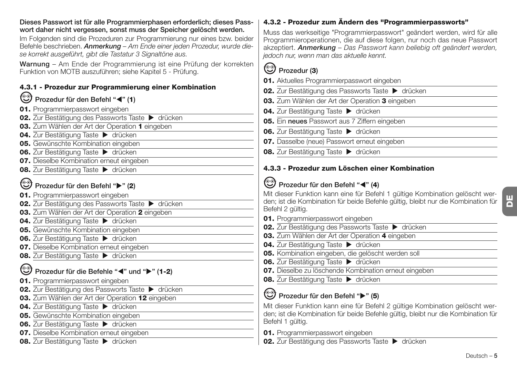| Dieses Passwort ist für alle Programmierphasen erforderlich; dieses Pass-<br>wort daher nicht vergessen, sonst muss der Speicher gelöscht werden.                                                                    | 4.3.2 - Prozedur zum Ändern des "Programmierpassworts"                                                                                                                                                                                                                       |
|----------------------------------------------------------------------------------------------------------------------------------------------------------------------------------------------------------------------|------------------------------------------------------------------------------------------------------------------------------------------------------------------------------------------------------------------------------------------------------------------------------|
| Im Folgenden sind die Prozeduren zur Programmierung nur eines bzw. beider<br>Befehle beschrieben. Anmerkung - Am Ende einer jeden Prozedur, wurde die-<br>se korrekt ausgeführt, gibt die Tastatur 3 Signaltöne aus. | Muss das werkseitige "Programmierpasswort" geändert werden, wird für alle<br>Programmieroperationen, die auf diese folgen, nur noch das neue Passwort<br>akzeptiert. Anmerkung – Das Passwort kann beliebig oft geändert werden,<br>jedoch nur, wenn man das aktuelle kennt. |
| Warnung - Am Ende der Programmierung ist eine Prüfung der korrekten<br>Funktion von MOTB auszuführen; siehe Kapitel 5 - Prüfung.                                                                                     | ☺<br>Prozedur (3)                                                                                                                                                                                                                                                            |
| 4.3.1 - Prozedur zur Programmierung einer Kombination                                                                                                                                                                | 01. Aktuelles Programmierpasswort eingeben<br>02. Zur Bestätigung des Passworts Taste > drücken                                                                                                                                                                              |
| Prozedur für den Befehl "◀" (1)                                                                                                                                                                                      | 03. Zum Wählen der Art der Operation 3 eingeben                                                                                                                                                                                                                              |
| 01. Programmierpasswort eingeben                                                                                                                                                                                     | 04. Zur Bestätigung Taste > drücken                                                                                                                                                                                                                                          |
| 02. Zur Bestätigung des Passworts Taste > drücken                                                                                                                                                                    | 05. Ein neues Passwort aus 7 Ziffern eingeben                                                                                                                                                                                                                                |
| 03. Zum Wählen der Art der Operation 1 eingeben                                                                                                                                                                      |                                                                                                                                                                                                                                                                              |
| 04. Zur Bestätigung Taste > drücken                                                                                                                                                                                  | 06. Zur Bestätigung Taste > drücken                                                                                                                                                                                                                                          |
| 05. Gewünschte Kombination eingeben                                                                                                                                                                                  | 07. Dasselbe (neue) Passwort erneut eingeben                                                                                                                                                                                                                                 |
| 06. Zur Bestätigung Taste > drücken                                                                                                                                                                                  | 08. Zur Bestätigung Taste > drücken                                                                                                                                                                                                                                          |
| 07. Dieselbe Kombination erneut eingeben                                                                                                                                                                             |                                                                                                                                                                                                                                                                              |
| 08. Zur Bestätigung Taste > drücken                                                                                                                                                                                  | 4.3.3 - Prozedur zum Löschen einer Kombination                                                                                                                                                                                                                               |
| Prozedur für den Befehl ">" (2)                                                                                                                                                                                      | ☺<br>Prozedur für den Befehl "< " (4)                                                                                                                                                                                                                                        |
| 01. Programmierpasswort eingeben                                                                                                                                                                                     | Mit dieser Funktion kann eine für Befehl 1 gültige Kombination gelöscht wer-                                                                                                                                                                                                 |
| 02. Zur Bestätigung des Passworts Taste > drücken                                                                                                                                                                    | den; ist die Kombination für beide Befehle gültig, bleibt nur die Kombination für                                                                                                                                                                                            |
| 03. Zum Wählen der Art der Operation 2 eingeben                                                                                                                                                                      | Befehl 2 gültig.                                                                                                                                                                                                                                                             |
| 04. Zur Bestätigung Taste > drücken                                                                                                                                                                                  | 01. Programmierpasswort eingeben                                                                                                                                                                                                                                             |
| 05. Gewünschte Kombination eingeben                                                                                                                                                                                  | 02. Zur Bestätigung des Passworts Taste > drücken                                                                                                                                                                                                                            |
| 06. Zur Bestätigung Taste > drücken                                                                                                                                                                                  | 03. Zum Wählen der Art der Operation 4 eingeben                                                                                                                                                                                                                              |
| 07. Dieselbe Kombination erneut eingeben                                                                                                                                                                             | 04. Zur Bestätigung Taste > drücken                                                                                                                                                                                                                                          |
| 08. Zur Bestätigung Taste > drücken                                                                                                                                                                                  | 05. Kombination eingeben, die gelöscht werden soll                                                                                                                                                                                                                           |
|                                                                                                                                                                                                                      | 06. Zur Bestätigung Taste > drücken<br>07. Dieselbe zu löschende Kombination erneut eingeben                                                                                                                                                                                 |
| Prozedur für die Befehle "∢" und "▶" (1-2)                                                                                                                                                                           |                                                                                                                                                                                                                                                                              |
| 01. Programmierpasswort eingeben                                                                                                                                                                                     | 08. Zur Bestätigung Taste > drücken                                                                                                                                                                                                                                          |
| 02. Zur Bestätigung des Passworts Taste > drücken                                                                                                                                                                    | <sup>(⊙</sup> ) Prozedur für den Befehl "▶" (5)                                                                                                                                                                                                                              |
| 03. Zum Wählen der Art der Operation 12 eingeben                                                                                                                                                                     |                                                                                                                                                                                                                                                                              |
| 04. Zur Bestätigung Taste > drücken                                                                                                                                                                                  | Mit dieser Funktion kann eine für Befehl 2 gültige Kombination gelöscht wer-<br>den; ist die Kombination für beide Befehle gültig, bleibt nur die Kombination für                                                                                                            |
| 05. Gewünschte Kombination eingeben                                                                                                                                                                                  | Befehl 1 gültig.                                                                                                                                                                                                                                                             |
| 06. Zur Bestätigung Taste > drücken                                                                                                                                                                                  |                                                                                                                                                                                                                                                                              |
| 07. Dieselbe Kombination erneut eingeben                                                                                                                                                                             | 01. Programmierpasswort eingeben                                                                                                                                                                                                                                             |
| 08. Zur Bestätigung Taste > drücken                                                                                                                                                                                  | 02. Zur Bestätigung des Passworts Taste > drücken                                                                                                                                                                                                                            |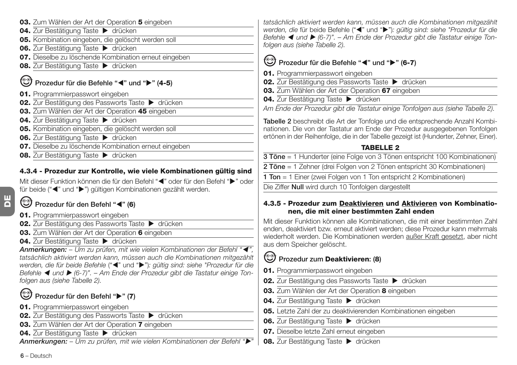- **03.** Zum Wählen der Art der Operation **5** eingeben 04. Zur Bestätigung Taste **b** drücken **05.** Kombination eingeben, die gelöscht werden soll **06.** Zur Bestätigung Taste > drücken **07.** Dieselbe zu löschende Kombination erneut eingeben **08.** Zur Bestätigung Taste ▶ drücken **Prozedur für die Befehle "**-**" und "" (4-5) 01.** Programmierpasswort eingeben **02.** Zur Bestätigung des Passworts Taste  $\rightarrow$  drücken **03.** Zum Wählen der Art der Operation **45** eingeben **04.** Zur Bestätigung Taste  $\blacktriangleright$  drücken **05.** Kombination eingeben, die gelöscht werden soll **06.** Zur Bestätigung Taste ▶ drücken **07.** Dieselbe zu löschende Kombination erneut eingeben
- **08.** Zur Bestätigung Taste  $\triangleright$  drücken

#### **4.3.4 - Prozedur zur Kontrolle, wie viele Kombinationen gültig sind**

Mit dieser Funktion können die für den Befehl "<" oder für den Befehl " $\blacktriangleright$ " oder für beide ("<" und ">") gültigen Kombinationen gezählt werden.

#### **Prozedur für den Befehl "**-**" (6)**

- **01.** Programmierpasswort eingeben
- **02.** Zur Bestätigung des Passworts Taste  $\rightarrow$  drücken
- **03.** Zum Wählen der Art der Operation **6** eingeben
- **04.** Zur Bestätigung Taste  $\blacktriangleright$  drücken

*Anmerkungen: – Um zu prüfen, mit wie vielen Kombinationen der Befehl "*- *", tatsächlich aktiviert werden kann, müssen auch die Kombinationen mitgezählt werden, die für beide Befehle* ("-" und "")*: gültig sind: siehe "Prozedur für die* Befehle ◀ und ▶ (6-7)". – Am Ende der Prozedur gibt die Tastatur einige Ton*folgen aus (siehe Tabelle 2).*

### **Prozedur für den Befehl "" (7)**

- **01.** Programmierpasswort eingeben
- **02.** Zur Bestätigung des Passworts Taste  $\blacktriangleright$  drücken
- **03.** Zum Wählen der Art der Operation **7** eingeben
- **04.** Zur Bestätigung Taste ▶ drücken

*Anmerkungen: – Um zu prüfen, mit wie vielen Kombinationen der Befehl ""*

*tatsächlich aktiviert werden kann, müssen auch die Kombinationen mitgezählt* werden, die für beide Befehle ("<" und ">"): gültig sind: siehe "Prozedur für die Befehle ◀ und ▶ (6-7)". – Am Ende der Prozedur gibt die Tastatur einige Ton*folgen aus (siehe Tabelle 2).*

### **Prozedur für die Befehle "**-**" und "" (6-7)**

- **01.** Programmierpasswort eingeben
- **02.** Zur Bestätigung des Passworts Taste  $\blacktriangleright$  drücken
- **03.** Zum Wählen der Art der Operation **67** eingeben
- **04.** Zur Bestätigung Taste ▶ drücken

*Am Ende der Prozedur gibt die Tastatur einige Tonfolgen aus (siehe Tabelle 2).*

**Tabelle 2** beschreibt die Art der Tonfolge und die entsprechende Anzahl Kombinationen. Die von der Tastatur am Ende der Prozedur ausgegebenen Tonfolgen ertönen in der Reihenfolge, die in der Tabelle gezeigt ist (Hunderter, Zehner, Einer).

#### **TABELLE 2**

**3 Töne** = 1 Hunderter (eine Folge von 3 Tönen entspricht 100 Kombinationen)

**2 Töne** = 1 Zehner (drei Folgen von 2 Tönen entspricht 30 Kombinationen)

**1 Ton** = 1 Einer (zwei Folgen von 1 Ton entspricht 2 Kombinationen)

Die Ziffer **Null** wird durch 10 Tonfolgen dargestellt

#### **4.3.5 - Prozedur zum Deaktivieren und Aktivieren von Kombinationen, die mit einer bestimmten Zahl enden**

Mit dieser Funktion können alle Kombinationen, die mit einer bestimmten Zahl enden, deaktiviert bzw. erneut aktiviert werden; diese Prozedur kann mehrmals wiederholt werden. Die Kombinationen werden außer Kraft gesetzt, aber nicht aus dem Speicher gelöscht.

### **Prozedur zum Deaktivieren: (8)**

- **01.** Programmierpasswort eingeben
- **02.** Zur Bestätigung des Passworts Taste  $\blacktriangleright$  drücken
- **03.** Zum Wählen der Art der Operation **8** eingeben
- **04.** Zur Bestätigung Taste  $\blacktriangleright$  drücken
- **05.** Letzte Zahl der zu deaktivierenden Kombinationen eingeben
- 06. Zur Bestätigung Taste > drücken
- **07.** Dieselbe letzte Zahl erneut eingeben
- **08.** Zur Bestätigung Taste  $\triangleright$  drücken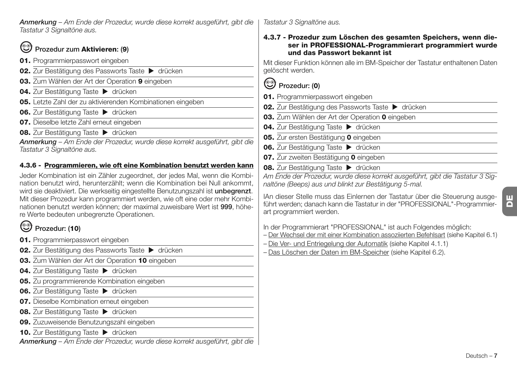### **Prozedur zum Aktivieren: (9)**

- **01.** Programmierpasswort eingeben
- **02.** Zur Bestätigung des Passworts Taste  $\rightarrow$  drücken
- **03.** Zum Wählen der Art der Operation **9** eingeben
- 04. Zur Bestätigung Taste > drücken
- **05.** Letzte Zahl der zu aktivierenden Kombinationen eingeben
- **06.** Zur Bestätigung Taste ▶ drücken
- **07.** Dieselbe letzte Zahl erneut eingeben
- **08.** Zur Bestätigung Taste  $\blacktriangleright$  drücken

*Anmerkung – Am Ende der Prozedur, wurde diese korrekt ausgeführt, gibt die Tastatur 3 Signaltöne aus.*

### **4.3.6 - Programmieren, wie oft eine Kombination benutzt werden kann**

Jeder Kombination ist ein Zähler zugeordnet, der jedes Mal, wenn die Kombination benutzt wird, herunterzählt; wenn die Kombination bei Null ankommt, wird sie deaktiviert. Die werkseitig eingestellte Benutzungszahl ist **unbegrenzt**. Mit dieser Prozedur kann programmiert werden, wie oft eine oder mehr Kombinationen benutzt werden können; der maximal zuweisbare Wert ist **999**, höhere Werte bedeuten unbegrenzte Operationen.

### **Prozedur: (10)**

- **01.** Programmierpasswort eingeben
- **02.** Zur Bestätigung des Passworts Taste  $\blacktriangleright$  drücken
- **03.** Zum Wählen der Art der Operation **10** eingeben
- **04.** Zur Bestätigung Taste ▶ drücken
- **05.** Zu programmierende Kombination eingeben
- **06.** Zur Bestätigung Taste ▶ drücken
- **07.** Dieselbe Kombination erneut eingeben
- **08.** Zur Bestätigung Taste ▶ drücken
- **09.** Zuzuweisende Benutzungszahl eingeben
- 10. Zur Bestätigung Taste > drücken

*Anmerkung – Am Ende der Prozedur, wurde diese korrekt ausgeführt, gibt die*

*Tastatur 3 Signaltöne aus.*

**4.3.7 - Prozedur zum Löschen des gesamten Speichers, wenn dieser in PROFESSIONAL-Programmierart programmiert wurde und das Passwort bekannt ist**

Mit dieser Funktion können alle im BM-Speicher der Tastatur enthaltenen Daten gelöscht werden.

### **Prozedur: (0)**

- **01.** Programmierpasswort eingeben
- **02.** Zur Bestätigung des Passworts Taste  $\blacktriangleright$  drücken
- **03.** Zum Wählen der Art der Operation **0** eingeben
- **04.** Zur Bestätigung Taste ▶ drücken
- **05.** Zur ersten Bestätigung **0** eingeben
- **06.** Zur Bestätigung Taste ▶ drücken
- **07.** Zur zweiten Bestätigung **0** eingeben
- **08.** Zur Bestätigung Taste ▶ drücken

*Am Ende der Prozedur, wurde diese korrekt ausgeführt, gibt die Tastatur 3 Signaltöne (Beeps) aus und blinkt zur Bestätigung 5-mal.*

IAn dieser Stelle muss das Einlernen der Tastatur über die Steuerung ausgeführt werden; danach kann die Tastatur in der "PROFESSIONAL"-Programmierart programmiert werden.

In der Programmierart "PROFESSIONAL" ist auch Folgendes möglich:

- Der Wechsel der mit einer Kombination assoziierten Befehlsart (siehe Kapitel 6.1)
- Die Ver- und Entriegelung der Automatik (siehe Kapitel 4.1.1)
- Das Löschen der Daten im BM-Speicher (siehe Kapitel 6.2).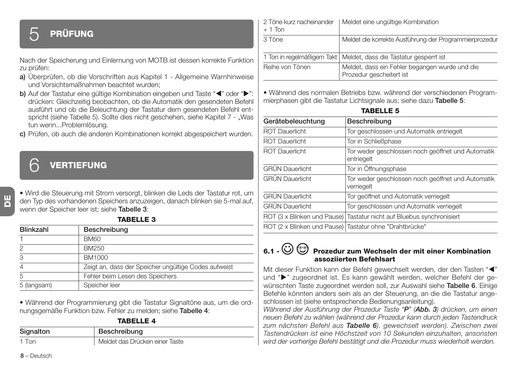## 5 **PRÜFUNG**

Nach der Speicherung und Einlernung von MOTB ist dessen korrekte Funktion zu prüfen:

- **a)** Überprüfen, ob die Vorschriften aus Kapitel 1 Allgemeine Warnhinweise und Vorsichtsmaßnahmen beachtet wurden;
- b) Auf der Tastatur eine gültige Kombination eingeben und Taste "<" oder ">": drücken: Gleichzeitig beobachten, ob die Automatik den gesendeten Befehl ausführt und ob die Beleuchtung der Tastatur dem gesendeten Befehl entspricht (siehe Tabelle 5). Sollte dies nicht geschehen, siehe Kapitel 7 - "Was tun wenn...Problemlösung.
- **c)** Prüfen, ob auch die anderen Kombinationen korrekt abgespeichert wurden.

### 6 **VERTIEFUNG**

• Wird die Steuerung mit Strom versorgt, blinken die Leds der Tastatur rot, um den Typ des vorhandenen Speichers anzuzeigen, danach blinken sie 5-mal auf, wenn der Speicher leer ist; siehe **Tabelle 3**:

**TABELLE 3**

| <b>Blinkzahl</b> | Beschreibung                                         |
|------------------|------------------------------------------------------|
|                  | <b>BM60</b>                                          |
| 2                | BM250                                                |
| 3                | BM1000                                               |
| 4                | Zeigt an, dass der Speicher ungültige Codes aufweist |
| 5                | Fehler beim Lesen des Speichers                      |
| 5 (langsam)      | Speicher leer                                        |

• Während der Programmierung gibt die Tastatur Signaltöne aus, um die ordnungsgemäße Funktion bzw. Fehler zu melden; siehe **Tabelle 4**:

| TABELLE 4 |  |  |  |  |  |
|-----------|--|--|--|--|--|
|-----------|--|--|--|--|--|

| Signalton | Beschreibung                   |
|-----------|--------------------------------|
| 1 Ton     | Meldet das Drücken einer Taste |

2 Töne kurz nacheinander I Meldet eine ungültige Kombination  $+ 1$  Ton 3 Töne Meldet die korrekte Ausführung der Programmierprozedur 1 Ton in regelmäßigem Takt | Meldet, dass die Tastatur gesperrt ist Reihe von Tönen Meldet, dass ein Fehler begangen wurde und die Prozedur gescheitert ist

• Während des normalen Betriebs bzw. während der verschiedenen Programmierphasen gibt die Tastatur Lichtsignale aus; siehe dazu **Tabelle 5**:

| <b>TABELLE</b> |  |  |  |
|----------------|--|--|--|
|----------------|--|--|--|

| Gerätebeleuchtung                                       | Beschreibung                                                          |
|---------------------------------------------------------|-----------------------------------------------------------------------|
| <b>ROT Dauerlicht</b>                                   | Tor geschlossen und Automatik entriegelt                              |
| <b>ROT Dauerlicht</b>                                   | Tor in Schließphase                                                   |
| <b>ROT Dauerlicht</b>                                   | Tor weder geschlossen noch geöffnet und Automatik<br>entriegelt       |
| <b>GRÜN Dauerlicht</b>                                  | Tor in Öffnungsphase                                                  |
| <b>GRÜN</b> Dauerlicht                                  | Tor weder geschlossen noch geöffnet und Automatik<br>verriegelt       |
| <b>GRÜN Dauerlicht</b>                                  | Tor geöffnet und Automatik verriegelt                                 |
| <b>GRÜN Dauerlicht</b>                                  | Tor geschlossen und Automatik verriegelt                              |
|                                                         | ROT (3 x Blinken und Pause) Tastatur nicht auf Bluebus synchronisiert |
| ROT (2 x Blinken und Pause) Tastatur ohne "Drahtbrücke" |                                                                       |

### **6.1 - Prozedur zum Wechseln der mit einer Kombination assoziierten Befehlsart**

Mit dieser Funktion kann der Befehl gewechselt werden, der den Tasten "<" und ">" zugeordnet ist. Es kann gewählt werden, welcher Befehl der gewünschten Taste zugeordnet werden soll, zur Auswahl siehe **Tabelle 6**. Einige Befehle könnten anders sein als an der Steuerung, an die die Tastatur angeschlossen ist (siehe entsprechende Bedienungsanleitung).

*Während der Ausführung der Prozedur Taste "P" (Abb. 3) drücken, um einen neuen Befehl zu wählen (während der Prozedur kann durch jeden Tastendruck zum nächsten Befehl aus Tabelle 6). gewechselt werden). Zwischen zwei Tastendrücken ist eine Höchstzeit von 10 Sekunden einzuhalten, ansonsten wird der vorherige Befehl bestätigt und die Prozedur muss wiederholt werden.*

**8** – Deutsch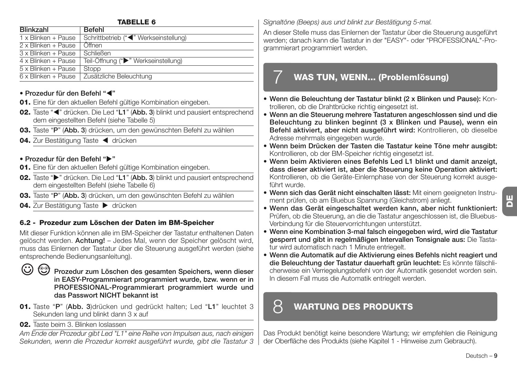#### **TABELLE 6**

| <b>Blinkzahl</b>    | Befehl                                |
|---------------------|---------------------------------------|
| 1 x Blinken + Pause | Schrittbetrieb ("<" Werkseinstellung) |
| 2 x Blinken + Pause | Öffnen                                |
| 3 x Blinken + Pause | <b>Schließen</b>                      |
| 4 x Blinken + Pause | Teil-Öffnung (">" Werkseinstellung)   |
| 5 x Blinken + Pause | Stopp                                 |
| 6 x Blinken + Pause | Zusätzliche Beleuchtung               |

#### **• Prozedur für den Befehl "**-**"**

- **01.** Eine für den aktuellen Befehl gültige Kombination eingeben.
- 02. Taste "<" drücken. Die Led "L1" (Abb. 3) blinkt und pausiert entsprechend dem eingestellten Befehl (siehe Tabelle 5)
- **03.** Taste "**P**" (**Abb. 3**) drücken, um den gewünschten Befehl zu wählen
- 04. Zur Bestätigung Taste < drücken

#### **• Prozedur für den Befehl ""**

- **01.** Eine für den aktuellen Befehl gültige Kombination eingeben.
- **02.** Taste " $\blacktriangleright$ " drücken. Die Led "L1" (Abb. 3) blinkt und pausiert entsprechend dem eingestellten Befehl (siehe Tabelle 6)
- **03.** Taste "**P**" (**Abb. 3**) drücken, um den gewünschten Befehl zu wählen
- **04.** Zur Bestätigung Taste  $\blacktriangleright$  drücken

### **6.2 - Prozedur zum Löschen der Daten im BM-Speicher**

Mit dieser Funktion können alle im BM-Speicher der Tastatur enthaltenen Daten gelöscht werden. **Achtung!** – Jedes Mal, wenn der Speicher gelöscht wird, muss das Einlernen der Tastatur über die Steuerung ausgeführt werden (siehe entsprechende Bedienungsanleitung).

 $\odot$ 

**Prozedur zum Löschen des gesamten Speichers, wenn dieser in EASY-Programmierart programmiert wurde, bzw. wenn er in PROFESSIONAL-Programmierart programmiert wurde und das Passwort NICHT bekannt ist**

- **01.** Taste "**P**" (**Abb. 3**)drücken und gedrückt halten; Led "**L1**" leuchtet 3 Sekunden lang und blinkt dann 3 x auf
- **02.** Taste beim 3. Blinken loslassen

*Am Ende der Prozedur gibt Led "L1" eine Reihe von Impulsen aus, nach einigen Sekunden, wenn die Prozedur korrekt ausgeführt wurde, gibt die Tastatur 3* *Signaltöne (Beeps) aus und blinkt zur Bestätigung 5-mal.*

An dieser Stelle muss das Einlernen der Tastatur über die Steuerung ausgeführt werden; danach kann die Tastatur in der "EASY"- oder "PROFESSIONAL"-Programmierart programmiert werden.

### 7 **WAS TUN, WENN... (Problemlösung)**

- **Wenn die Beleuchtung der Tastatur blinkt (2 x Blinken und Pause):** Kontrollieren, ob die Drahtbrücke richtig eingesetzt ist.
- **Wenn an die Steuerung mehrere Tastaturen angeschlossen sind und die Beleuchtung zu blinken beginnt (3 x Blinken und Pause), wenn ein Befehl aktiviert, aber nicht ausgeführt wird:** Kontrollieren, ob dieselbe Adresse mehrmals eingegeben wurde.
- **Wenn beim Drücken der Tasten die Tastatur keine Töne mehr ausgibt:** Kontrollieren, ob der BM-Speicher richtig eingesetzt ist.
- **Wenn beim Aktivieren eines Befehls Led L1 blinkt und damit anzeigt, dass dieser aktiviert ist, aber die Steuerung keine Operation aktiviert:** Kontrollieren, ob die Geräte-Einlernphase von der Steuerung korrekt ausgeführt wurde.
- **Wenn sich das Gerät nicht einschalten lässt:** Mit einem geeigneten Instrument prüfen, ob am Bluebus Spannung (Gleichstrom) anliegt.
- **Wenn das Gerät eingeschaltet werden kann, aber nicht funktioniert:** Prüfen, ob die Steuerung, an die die Tastatur angeschlossen ist, die Bluebus-Verbindung für die Steuervorrichtungen unterstützt.
- **Wenn eine Kombination 3-mal falsch eingegeben wird, wird die Tastatur gesperrt und gibt in regelmäßigen Intervallen Tonsignale aus:** Die Tastatur wird automatisch nach 1 Minute entriegelt.
- **Wenn die Automatik auf die Aktivierung eines Befehls nicht reagiert und die Beleuchtung der Tastatur dauerhaft grün leuchtet:** Es könnte fälschlicherweise ein Verriegelungsbefehl von der Automatik gesendet worden sein. In diesem Fall muss die Automatik entriegelt werden.

### 8 **WARTUNG DES PRODUKTS**

Das Produkt benötigt keine besondere Wartung; wir empfehlen die Reinigung der Oberfläche des Produkts (siehe Kapitel 1 - Hinweise zum Gebrauch).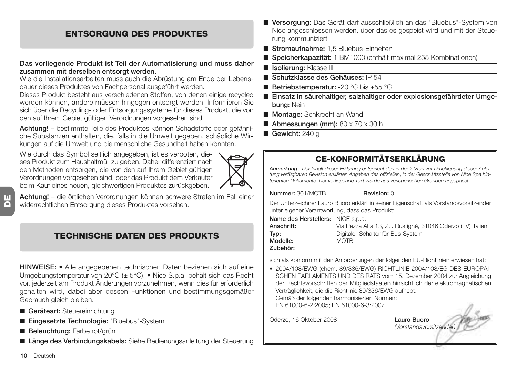### **ENTSORGUNG DES PRODUKTES**

#### **Das vorliegende Produkt ist Teil der Automatisierung und muss daher zusammen mit derselben entsorgt werden.**

Wie die Installationsarbeiten muss auch die Abrüstung am Ende der Lebensdauer dieses Produktes von Fachpersonal ausgeführt werden.

Dieses Produkt besteht aus verschiedenen Stoffen, von denen einige recycled werden können, andere müssen hingegen entsorgt werden. Informieren Sie sich über die Recycling- oder Entsorgungssysteme für dieses Produkt, die von den auf Ihrem Gebiet gültigen Verordnungen vorgesehen sind.

**Achtung!** – bestimmte Teile des Produktes können Schadstoffe oder gefährliche Substanzen enthalten, die, falls in die Umwelt gegeben, schädliche Wirkungen auf die Umwelt und die menschliche Gesundheit haben könnten.

Wie durch das Symbol seitlich angegeben, ist es verboten, dieses Produkt zum Haushaltmüll zu geben. Daher differenziert nach den Methoden entsorgen, die von den auf Ihrem Gebiet gültigen Verordnungen vorgesehen sind, oder das Produkt dem Verkäufer beim Kauf eines neuen, gleichwertigen Produktes zurückgeben.



**Achtung!** – die örtlichen Verordnungen können schwere Strafen im Fall einer widerrechtlichen Entsorgung dieses Produktes vorsehen.

### **TECHNISCHE DATEN DES PRODUKTS**

**HINWEISE: •** Alle angegebenen technischen Daten beziehen sich auf eine Umgebungstemperatur von 20°C (± 5°C). • Nice S.p.a. behält sich das Recht vor, jederzeit am Produkt Änderungen vorzunehmen, wenn dies für erforderlich gehalten wird, dabei aber dessen Funktionen und bestimmungsgemäßer Gebrauch gleich bleiben.

- **Geräteart:** Steuereinrichtung
- **Eingesetzte Technologie:** "Bluebus"-System
- **Beleuchtung:** Farbe rot/grün

■ Länge des Verbindungskabels: Siehe Bedienungsanleitung der Steuerung

- **Versorgung:** Das Gerät darf ausschließlich an das "Bluebus"-System von Nice angeschlossen werden, über das es gespeist wird und mit der Steuerung kommuniziert
- **Stromaufnahme:** 1,5 Bluebus-Einheiten
- **Speicherkapazität:** 1 BM1000 (enthält maximal 255 Kombinationen)
- **Isolierung:** Klasse III
- **Schutzklasse des Gehäuses:** IP 54
- **Betriebstemperatur:** -20 °C bis +55 °C
- **Einsatz in säurehaltiger, salzhaltiger oder explosionsgefährdeter Umgebung:** Nein
- **Montage:** Senkrecht an Wand
- **Abmessungen (mm):** 80 x 70 x 30 h
- Gewicht: 240 g

### **CE-KONFORMITÄTSERKLÄRUNG**

*Anmerkung - Der Inhalt dieser Erklärung entspricht den in der letzten vor Drucklegung dieser Anleitung verfügbaren Revision erklärten Angaben des offiziellen, in der Geschäftsstelle von Nice Spa hinterlegten Dokuments. Der vorliegende Text wurde aus verlegerischen Gründen angepasst.*

**Nummer:** 301/MOTB **Revision:** 0

Der Unterzeichner Lauro Buoro erklärt in seiner Eigenschaft als Vorstandsvorsitzender unter eigener Verantwortung, dass das Produkt:

**Name des Herstellers:** NICE s.p.a. **Modelle:** MOTB

**Anschrift:** Via Pezza Alta 13, Z.I. Rustignè, 31046 Oderzo (TV) Italien **Typ:** Digitaler Schalter für Bus-System

**Zubehör:**

sich als konform mit den Anforderungen der folgenden EU-Richtlinien erwiesen hat:

• 2004/108/EWG (ehem. 89/336/EWG) RICHTLINIE 2004/108/EG DES EUROPÄI-SCHEN PARLAMENTS UND DES RATS vom 15. Dezember 2004 zur Angleichung der Rechtsvorschriften der Mitgliedstaaten hinsichtlich der elektromagnetischen Verträglichkeit, die die Richtlinie 89/336/EWG aufhebt. Gemäß der folgenden harmonisierten Normen: EN 61000-6-2:2005; EN 61000-6-3:2007

Oderzo, 16 Oktober 2008 **Lauro Buoro**

*(Vorstandsvorsitzender)*

**10** – Deutsch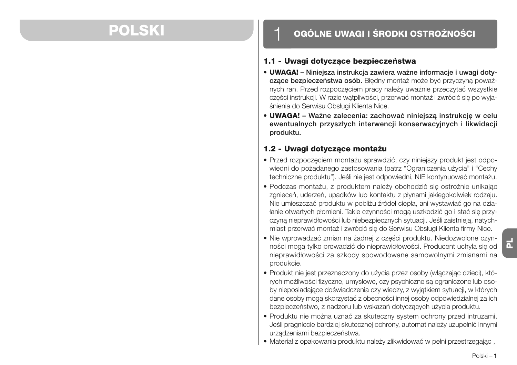## **POLSKI**

### 1 **OGÓLNE UWAGI I ŚRODKI OSTROŻNOŚCI**

### **1.1 - Uwagi dotyczące bezpieczeństwa**

- **UWAGA! Niniejsza instrukcja zawiera ważne informacje i uwagi dotyczące bezpieczeństwa osób.** Błędny montaż może być przyczyną poważnych ran. Przed rozpoczęciem pracy należy uważnie przeczytać wszystkie części instrukcji. W razie wątpliwości, przerwać montaż i zwrócić się po wyjaśnienia do Serwisu Obsługi Klienta Nice.
- **UWAGA! Ważne zalecenia: zachować niniejszą instrukcję w celu ewentualnych przyszłych interwencji konserwacyjnych i likwidacji produktu.**

### **1.2 - Uwagi dotyczące montażu**

- Przed rozpoczęciem montażu sprawdzić, czy niniejszy produkt jest odpowiedni do pożądanego zastosowania (patrz "Ograniczenia użycia" i "Cechy techniczne produktu"). Jeśli nie jest odpowiedni, NIE kontynuować montażu.
- Podczas montażu, z produktem należy obchodzić się ostrożnie unikając zgnieceń, uderzeń, upadków lub kontaktu z płynami jakiegokolwiek rodzaju. Nie umieszczać produktu w pobliżu źródeł ciepła, ani wystawiać go na działanie otwartych płomieni. Takie czynności mogą uszkodzić go i stać się przyczyną nieprawidłowości lub niebezpiecznych sytuacji. Jeśli zaistnieją, natychmiast przerwać montaż i zwrócić się do Serwisu Obsługi Klienta firmy Nice.
- Nie wprowadzać zmian na żadnej z części produktu. Niedozwolone czynności mogą tylko prowadzić do nieprawidłowości. Producent uchyla się od nieprawidłowości za szkody spowodowane samowolnymi zmianami na produkcie.
- Produkt nie jest przeznaczony do użycia przez osoby (włączając dzieci), których możliwości fizyczne, umysłowe, czy psychiczne są ograniczone lub osoby nieposiadające doświadczenia czy wiedzy, z wyjątkiem sytuacji, w których dane osoby mogą skorzystać z obecności innej osoby odpowiedzialnej za ich bezpieczeństwo, z nadzoru lub wskazań dotyczących użycia produktu.
- Produktu nie można uznać za skuteczny system ochrony przed intruzami. Jeśli pragniecie bardziej skutecznej ochrony, automat należy uzupełnić innymi urządzeniami bezpieczeństwa.
- Materiał z opakowania produktu należy zlikwidować w pełni przestrzegając ,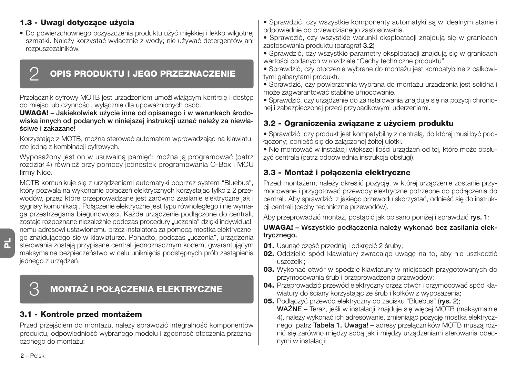### **1.3 - Uwagi dotyczące użycia**

• Do powierzchownego oczyszczenia produktu użyć miękkiej i lekko wilgotnej szmatki. Należy korzystać wyłącznie z wody; nie używać detergentów ani rozpuszczalników.

### 2 **OPIS PRODUKTU I JEGO PRZEZNACZENIE**

Przełącznik cyfrowy MOTB jest urządzeniem umożliwiającym kontrolę i dostęp do miejsc lub czynności, wyłącznie dla upoważnionych osób.

**UWAGA! – Jakiekolwiek użycie inne od opisanego i w warunkach środowiska innych od podanych w niniejszej instrukcji uznać należy za niewłaściwe i zakazane!**

Korzystając z MOTB, można sterować automatem wprowadzając na klawiaturze jedną z kombinacji cyfrowych.

Wyposażony jest on w usuwalną pamięć; można ją programować (patrz rozdział 4) również przy pomocy jednostek programowania O-Box i MOU firmy Nice.

MOTB komunikuje się z urządzeniami automatyki poprzez system "Bluebus", który pozwala na wykonanie połączeń elektrycznych korzystając tylko z 2 przewodów, przez które przeprowadzane jest zarówno zasilanie elektryczne jak i sygnały komunikacji. Połączenie elektryczne jest typu równoległego i nie wymaga przestrzegania biegunowości. Każde urządzenie podłączone do centrali, zostaje rozpoznane niezależnie podczas procedury "uczenia" dzięki indywidualnemu adresowi ustawionemu przez instalatora za pomocą mostka elektrycznego znajdującego się w klawiaturze. Ponadto, podczas "uczenia", urządzenia sterowania zostają przypisane centrali jednoznacznym kodem, gwarantującym maksymalne bezpieczeństwo w celu uniknięcia podstępnych prób zastąpienia jednego z urządzeń.

### 3 **MONTAŻ I POŁĄCZENIA ELEKTRYCZNE**

### **3.1 - Kontrole przed montażem**

Przed przejściem do montażu, należy sprawdzić integralność komponentów produktu, odpowiedniość wybranego modelu i zgodność otoczenia przeznaczonego do montażu:

- Sprawdzić, czy wszystkie komponenty automatyki są w idealnym stanie i odpowiednie do przewidzianego zastosowania.
- Sprawdzić, czy wszystkie warunki eksploatacji znajdują się w granicach zastosowania produktu (paragraf **3.2**)
- Sprawdzić, czy wszystkie parametry eksploatacji znajdują się w granicach wartości podanych w rozdziale "Cechy techniczne produktu".
- Sprawdzić, czy otoczenie wybrane do montażu jest kompatybilne z całkowitymi gabarytami produktu
- Sprawdzić, czy powierzchnia wybrana do montażu urządzenia jest solidna i może zagwarantować stabilne umocowanie.
- Sprawdzić, czy urządzenie do zainstalowania znajduje się na pozycji chronionej i zabezpieczonej przed przypadkowymi uderzeniami.

### **3.2 - Ograniczenia związane z użyciem produktu**

• Sprawdzić, czy produkt jest kompatybilny z centralą, do której musi być podłączony; odnieść się do załączonej żółtej ulotki.

• Nie montować w instalacji większej ilości urządzeń od tej, które może obsłużyć centrala (patrz odpowiednia instrukcja obsługi).

### **3.3 - Montaż i połączenia elektryczne**

Przed montażem, należy określić pozycję, w której urządzenie zostanie przymocowane i przygotować przewody elektryczne potrzebne do podłączenia do centrali. Aby sprawdzić, z jakiego przewodu skorzystać, odnieść się do instrukcji centrali (cechy techniczne przewodów).

Aby przeprowadzić montaż, postąpić jak opisano poniżej i sprawdzić **rys. 1**:

#### **UWAGA! – Wszystkie podłączenia należy wykonać bez zasilania elektrycznego.**

- **01.** Usunąć część przednią i odkręcić 2 śruby;
- **02.** Oddzielić spód klawiatury zwracając uwagę na to, aby nie uszkodzić uszczelki;
- **03.** Wykonać otwór w spodzie klawiatury w miejscach przygotowanych do przymocowania śrub i przeprowadzenia przewodów;
- **04.** Przeprowadzić przewód elektryczny przez otwór i przymocować spód klawiatury do ściany korzystając ze śrub i kołków z wyposażenia;
- **05.** Podłączyć przewód elektryczny do zacisku "Bluebus" (**rys. 2**);

**WAŻNE** – Teraz, jeśli w instalacji znajduje się więcej MOTB (maksymalnie 4), należy wykonać ich adresowanie, zmieniając pozycję mostka elektrycznego; patrz **Tabela 1. Uwaga!** – adresy przełączników MOTB muszą różnić się zarówno między sobą jak i między urządzeniami sterowania obecnymi w instalacji;

**PL**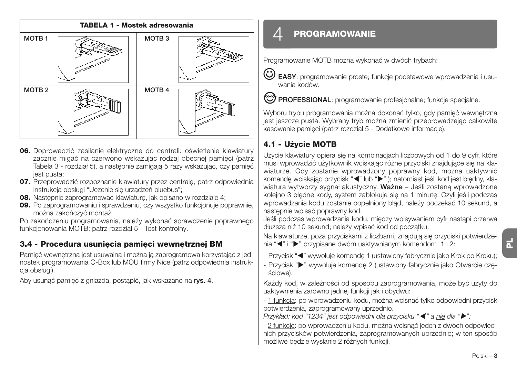

- **06.** Doprowadzić zasilanie elektryczne do centrali: oświetlenie klawiatury zacznie migać na czerwono wskazując rodzaj obecnej pamięci (patrz Tabela 3 - rozdział 5), a następnie zamigają 5 razy wskazując, czy pamięć jest pusta;
- **07.** Przeprowadzić rozpoznanie klawiatury przez centralę, patrz odpowiednia instrukcja obsługi "Uczenie się urządzeń bluebus";
- **08.** Następnie zaprogramować klawiaturę, jak opisano w rozdziale 4;
- **09.** Po zaprogramowaniu i sprawdzeniu, czy wszystko funkcjonuje poprawnie, można zakończyć montaż.

Po zakończeniu programowania, należy wykonać sprawdzenie poprawnego funkcjonowania MOTB; patrz rozdział 5 - Test kontrolny.

### **3.4 - Procedura usunięcia pamięci wewnętrznej BM**

Pamięć wewnętrzna jest usuwalna i można ją zaprogramowa korzystając z jednostek programowania O-Box lub MOU firmy Nice (patrz odpowiednia instrukcja obsługi).

Aby usunąć pamięć z gniazda, postąpić, jak wskazano na **rys. 4**.

### $\varDelta$  **PROGRAMOWANIE**

Programowanie MOTB można wykonać w dwóch trybach:

**EASY**: programowanie proste; funkcje podstawowe wprowadzenia i usuwania kodów.

**PROFESSIONAL:** programowanie profesjonalne; funkcje specjalne.

Wyboru trybu programowania można dokonać tylko, gdy pamięć wewnętrzna jest jeszcze pusta. Wybrany tryb można zmienić przeprowadzając całkowite kasowanie pamięci (patrz rozdział 5 - Dodatkowe informacje).

### **4.1 - Użycie MOTB**

Użycie klawiatury opiera się na kombinacjach liczbowych od 1 do 9 cyfr, które musi wprowadzić użytkownik wciskając różne przyciski znajdujące się na klawiaturze. Gdy zostanie wprowadzony poprawny kod, można uaktywnić komendę wciskając przycisk "<" lub ">"); natomiast jeśli kod jest błędny, klawiatura wytworzy sygnał akustyczny. **Ważne** – Jeśli zostaną wprowadzone kolejno 3 błędne kody, system zablokuje się na 1 minutę. Czyli jeśli podczas wprowadzania kodu zostanie popełniony błąd, należy poczekać 10 sekund, a nastepnie wpisać poprawny kod.

Jeśli podczas wprowadzania kodu, między wpisywaniem cyfr nastąpi przerwa dłuższa niż 10 sekund; należy wpisać kod od początku.

Na klawiaturze, poza przyciskami z liczbami, znajdują się przyciski potwierdzenia "<" i ">" przypisane dwóm uaktywnianym komendom 1 i 2:

- Przycisk "<" wywołuje komendę 1 (ustawiony fabrycznie jako Krok po Kroku);

- Przycisk ">" wywołuje komendę 2 (ustawiony fabrycznie jako Otwarcie częściowe).

Każdy kod, w zależności od sposobu zaprogramowania, może być użyty do uaktywnienia zarówno jednej funkcji jak i obydwu:

- 1 funkcja: po wprowadzeniu kodu, można wcisnąć tylko odpowiedni przycisk potwierdzenia, zaprogramowany uprzednio.

*Przykład: kod "1234" jest odpowiedni dla przycisku "*- *" a nie dla "";*

- 2 funkcje: po wprowadzeniu kodu, można wcisnąć jeden z dwóch odpowiednich przycisków potwierdzenia, zaprogramowanych uprzednio; w ten sposób możliwe będzie wysłanie 2 różnych funkcji.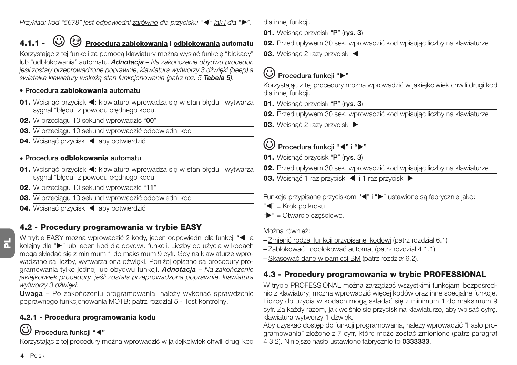*Przykład: kod "5678" jest odpowiedni zarówno dla przycisku "*- *" jak i dla "".*

## **4.1.1 - Procedura zablokowania i odblokowania automatu**

Korzystając z tej funkcji za pomocą klawiatury można wysłać funkcję "blokady" lub "odblokowania" automatu. *Adnotacja – Na zakończenie obydwu procedur, jeśli zostały przeprowadzone poprawnie, klawiatura wytworzy 3 dźwięki (beep) a światełka klawiatury wskażą stan funkcjonowania (patrz roz. 5 Tabela 5).*

### **• Procedura zablokowania automatu**

- 01. Wcisnąć przycisk <: klawiatura wprowadza się w stan błędu i wytwarza sygnał "błędu" z powodu błędnego kodu.
- **02.** W przeciągu 10 sekund wprowadzić "**00**"
- **03.** W przeciągu 10 sekund wprowadzić odpowiedni kod
- 04. Wcisnąć przycisk < aby potwierdzić

#### **• Procedura odblokowania automatu**

- 01. Wcisnąć przycisk <: klawiatura wprowadza się w stan błędu i wytwarza sygnał "błędu" z powodu błędnego kodu
- **02.** W przeciągu 10 sekund wprowadzić "**11**"
- **03.** W przeciągu 10 sekund wprowadzić odpowiedni kod
- 04. Wcisnąć przycisk < aby potwierdzić

### **4.2 - Procedury programowania w trybie EASY**

**PL**

W trybie EASY można wprowadzić 2 kody, jeden odpowiedni dla funkcji "< "a kolejny dla " $\blacktriangleright$ " lub jeden kod dla obydwu funkcji. Liczby do użycia w kodach mogą składać się z minimum 1 do maksimum 9 cyfr. Gdy na klawiaturze wprowadzane są liczby, wytwarza ona dźwięki. Poniżej opisane są procedury programowania tylko jednej lub obydwu funkcji. *Adnotacja – Na zakończenie jakiejkolwiek procedury, jeśli została przeprowadzona poprawnie, klawiatura wytworzy 3 dźwięki.*

**Uwaga** – Po zakończeniu programowania, należy wykonać sprawdzenie poprawnego funkcjonowania MOTB; patrz rozdział 5 - Test kontrolny.

### **4.2.1 - Procedura programowania kodu**

### **Procedura funkcji "**-**"**

Korzystając z tej procedury można wprowadzić w jakiejkolwiek chwili drugi kod

dla innei funkcii.

- **01.** Wcisnąć przycisk "**P**" (**rys. 3**)
- **02.** Przed upływem 30 sek. wprowadzić kod wpisując liczby na klawiaturze
- **03.** Wcisnąć 2 razy przycisk <

### **Procedura funkcji ""**

Korzystając z tej procedury można wprowadzić w jakiejkolwiek chwili drugi kod dla innej funkcji.

- **01.** Wcisnąć przycisk "**P**" (**rys. 3**)
- **02.** Przed upływem 30 sek. wprowadzić kod wpisując liczby na klawiaturze
- **03.** Wcisnać 2 razy przycisk ▶

### **Procedura funkcji "<" i ">"**

- **01.** Wcisnąć przycisk "**P**" (**rys. 3**)
- **02.** Przed upływem 30 sek. wprowadzić kod wpisując liczby na klawiaturze
- **03.** Wcisnąć 1 raz przycisk ◀ i 1 raz przycisk ▶

Funkcje przypisane przyciskom "<" i ">" ustawione są fabrycznie jako:

- "<" = Krok po kroku
- ">" = Otwarcie częściowe.

Można również:

- Zmienić rodzaj funkcji przypisanej kodowi (patrz rozdział 6.1)
- Zablokować i odblokować automat (patrz rozdział 4.1.1)
- Skasować dane w pamięci BM (patrz rozdział 6.2).

### **4.3 - Procedury programowania w trybie PROFESSIONAL**

W trybie PROFESSIONAL można zarządzać wszystkimi funkcjami bezpośrednio z klawiatury; można wprowadzić więcej kodów oraz inne specjalne funkcje. Liczby do użycia w kodach mogą składać się z minimum 1 do maksimum 9 cyfr. Za każdy razem, jak wciśnie się przycisk na klawiaturze, aby wpisać cyfrę, klawiatura wytworzy 1 dźwięk.

Aby uzyskać dostęp do funkcji programowania, należy wprowadzić "hasło programowania" złożone z 7 cyfr, które może zostać zmienione (patrz paragraf 4.3.2). Niniejsze hasło ustawione fabrycznie to **0333333**.

**4** – Polski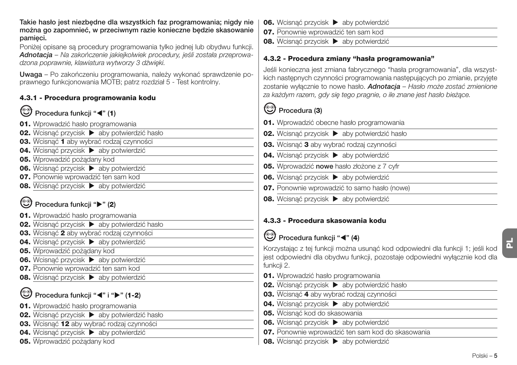**Takie hasło jest niezbędne dla wszystkich faz programowania; nigdy nie można go zapomnieć, w przeciwnym razie konieczne będzie skasowanie pamięci.**

Poniżej opisane są procedury programowania tylko jednej lub obydwu funkcji. *Adnotacja – Na zakończenie jakiejkolwiek procedury, jeśli została przeprowadzona poprawnie, klawiatura wytworzy 3 dźwięki.*

**Uwaga** – Po zakończeniu programowania, należy wykonać sprawdzenie po prawnego funkcjonowania MOTB; patrz rozdział 5 - Test kontrolny.

#### **4.3.1 - Procedura programowania kodu**

#### ☜ **Procedura funkcji "**-**" (1)**

- **01.** Wprowadzić hasło programowania
- **02.** Wcisnąć przycisk ▶ aby potwierdzić hasło
- **03.** Wcisnąć **1** aby wybrać rodzaj czynności
- **04.** Wcisnać przycisk **b** aby potwierdzić
- **05.** Wprowadzić pożądany kod
- **06.** Wcisnąć przycisk ▶ aby potwierdzić
- **07.** Ponownie wprowadzić ten sam kod
- **08.** Wcisnąć przycisk  $\triangleright$  aby potwierdzić

### **Procedura funkcji "" (2)**

- **01.** Wprowadzić hasło programowania
- **02.** Wcisnąć przycisk ▶ aby potwierdzić hasło
- **03.** Wcisnąć **2** aby wybrać rodzaj czynności
- **04.** Wcisnąć przycisk  $\triangleright$  aby potwierdzić
- **05.** Wprowadzić pożądany kod
- **06.** Wcisnąć przycisk ▶ aby potwierdzić
- **07.** Ponownie wprowadzić ten sam kod
- **08.** Wcisnąć przycisk ▶ aby potwierdzić

### **Procedura funkcji "◀" i "▶" (1-2)**

- **01.** Wprowadzić hasło programowania
- **02.** Wcisnąć przycisk  $\triangleright$  aby potwierdzić hasło
- **03.** Wcisnąć **12** aby wybrać rodzaj czynności
- **04.** Wcisnąć przycisk  $\triangleright$  aby potwierdzić
- **05.** Wprowadzić pożądany kod
- **06.** Wcisnąć przycisk ▶ aby potwierdzić
- **07.** Ponownie wprowadzić ten sam kod
- **08.** Wcisnąć przycisk **E** aby potwierdzić

### **4.3.2 - Procedura zmiany "hasła programowania"**

Jeśli konieczna jest zmiana fabrycznego "hasła programowania", dla wszystkich następnych czynności programowania następujących po zmianie, przyjęte zostanie wyłącznie to nowe hasło. *Adnotacja – Hasło może zostać zmienione za każdym razem, gdy się tego pragnie, o ile znane jest hasło bieżące.*

### **Procedura (3)**

- **01.** Wprowadzić obecne hasło programowania
- **02.** Wcisnąć przycisk ▶ aby potwierdzić hasło
- **03.** Wcisnąć **3** aby wybrać rodzaj czynności
- **04.** Wcisnąć przycisk  $\triangleright$  aby potwierdzić
- **05.** Wprowadzić **nowe** hasło złożone z 7 cyfr
- **06.** Wcisnąć przycisk ▶ aby potwierdzić
- **07.** Ponownie wprowadzić to samo hasło (nowe)
- **08.** Wcisnąć przycisk  $\blacktriangleright$  aby potwierdzić

### **4.3.3 - Procedura skasowania kodu**

### Procedura funkcji "<" (4)

**PL**

Korzystając z tej funkcji można usunąć kod odpowiedni dla funkcji 1; jeśli kod jest odpowiedni dla obydwu funkcji, pozostaje odpowiedni wyłącznie kod dla funkcji 2.

- **01.** Wprowadzić hasło programowania
- **02.** Wcisnąć przycisk  $\triangleright$  aby potwierdzić hasło
- **03.** Wcisnąć **4** aby wybrać rodzaj czynności
- **04.** Wcisnąć przycisk  $\triangleright$  aby potwierdzić
- **05.** Wcisnąć kod do skasowania
- **06.** Wcisnąć przycisk  $\triangleright$  aby potwierdzić
- **07.** Ponownie wprowadzić ten sam kod do skasowania
- **08.** Wcisnąć przycisk ▶ aby potwierdzić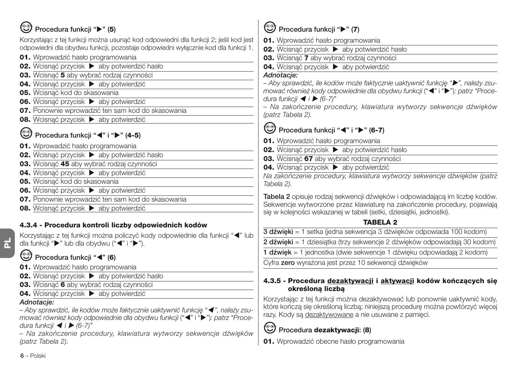### **Procedura funkcji "" (5)**

Korzystając z tej funkcji można usunąć kod odpowiedni dla funkcji 2; jeśli kod jest odpowiedni dla obydwu funkcji, pozostaje odpowiedni wyłącznie kod dla funkcji 1.

- **01.** Wprowadzić hasło programowania
- **02.** Wcisnąć przycisk ▶ aby potwierdzić hasło
- **03.** Wcisnąć **5** aby wybrać rodzaj czynności
- **04.** Wcisnąć przycisk  $\triangleright$  aby potwierdzić
- **05.** Wcisnąć kod do skasowania
- **06.** Wcisnąć przycisk  $\triangleright$  aby potwierdzić
- **07.** Ponownie wprowadzić ten sam kod do skasowania
- **08.** Wcisnąć przycisk ▶ aby potwierdzić

### **Procedura funkcji "◀" i "▶" (4-5)**

- **01.** Wprowadzić hasło programowania
- **02.** Wcisnąć przycisk ▶ aby potwierdzić hasło
- **03.** Wcisnąć **45** aby wybrać rodzaj czynności
- **04.** Wcisnąć przycisk ▶ aby potwierdzić
- **05.** Wcisnąć kod do skasowania
- **06.** Wcisnąć przycisk  $\blacktriangleright$  aby potwierdzić
- **07.** Ponownie wprowadzić ten sam kod do skasowania
- **08.** Wcisnąć przycisk  $\triangleright$  aby potwierdzić

### **4.3.4 - Procedura kontroli liczby odpowiednich kodów**

Korzystając z tej funkcji można policzyć kody odpowiednie dla funkcji "<" lub dla funkcji " $\blacktriangleright$ " lub dla obydwu (" $\blacktriangleleft$ " i " $\blacktriangleright$ ").

### **Procedura funkcji "**-**" (6)**

- **01.** Wprowadzić hasło programowania
- **02.** Wcisnąć przycisk  $\triangleright$  aby potwierdzić hasło
- **03.** Wcisnąć **6** aby wybrać rodzaj czynności
- **04.** Wcisnąć przycisk ▶ aby potwierdzić

#### *Adnotacje:*

*– Aby sprawdzić, ile kodów może faktycznie uaktywnić funkcję "*- *", należy zsu*mować również kody odpowiednie dla obydwu funkcji ("<" i "">"): patrz "Proce*dura funkcji* - *i (6-7)"*

*– Na zakończenie procedury, klawiatura wytworzy sekwencje dźwięków (patrz Tabela 2).*

### **Procedura funkcji "" (7)**

**01.** Wprowadzić hasło programowania

- **02.** Wcisnąć przycisk ▶ aby potwierdzić hasło
- **03.** Wcisnąć **7** aby wybrać rodzaj czynności
- **04.** Wcisnąć przycisk  $\triangleright$  aby potwierdzić

#### *Adnotacje:*

*– Aby sprawdzić, ile kodów może faktycznie uaktywnić funkcję "", należy zsu*mować również kody odpowiednie dla obydwu funkcji ("< i "▶"): patrz "Proce*dura funkcji* - *i (6-7)"*

*– Na zakończenie procedury, klawiatura wytworzy sekwencje dźwięków (patrz Tabela 2).*

#### ❤ **Procedura funkcji "◀" i "▶" (6-7)**

- **01.** Wprowadzić hasło programowania
- **02.** Wcisnąć przycisk  $\triangleright$  aby potwierdzić hasło
- **03.** Wcisnąć **67** aby wybrać rodzaj czynności
- **04.** Wcisnąć przycisk  $\blacktriangleright$  aby potwierdzić

*Na zakończenie procedury, klawiatura wytworzy sekwencje dźwięków (patrz Tabela 2).*

**Tabela 2** opisuje rodzaj sekwencji dźwięków i odpowiadającą im liczbę kodów. Sekwencje wytworzone przez klawiaturę na zakończenie procedury, pojawiają się w kolejności wskazanej w tabeli (setki, dziesiątki, jednostki).

### **TABELA 2**

**3 dźwięki** = 1 setka (jedna sekwencja 3 dźwięków odpowiada 100 kodom)

**2 dźwięki** = 1 dziesiątka (trzy sekwencje 2 dźwięków odpowiadają 30 kodom)

**1 dźwięk** = 1 jednostka (dwie sekwencje 1 dźwięku odpowiadają 2 kodom)

Cyfra **zero** wyrażona jest przez 10 sekwencji dźwięków

#### **4.3.5 - Procedura dezaktywacji i aktywacji kodów kończących się określoną liczbą**

Korzystając z tej funkcji można dezaktywować lub ponownie uaktywnić kody, które kończą się określoną liczbą; niniejszą procedurę można powtórzyć więcej razy. Kody są dezaktywowane a nie usuwane z pamięci.

## **Procedura dezaktywacji: (8)**

**01.** Wprowadzić obecne hasło programowania

**6** – Polski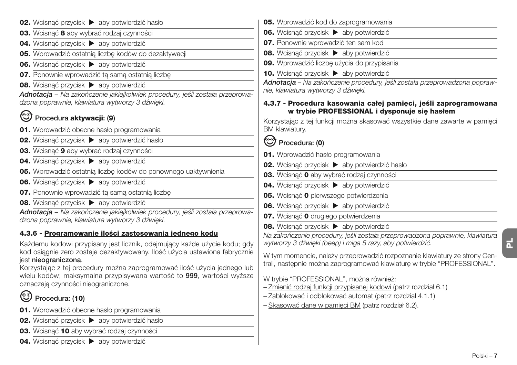- **02.** Wcisnąć przycisk ▶ aby potwierdzić hasło **03.** Wcisnąć **8** aby wybrać rodzaj czynności **04.** Wcisnąć przycisk  $\blacktriangleright$  aby potwierdzić **05.** Wprowadzić ostatnią liczbę kodów do dezaktywacji **06.** Wcisnać przycisk  $\triangleright$  aby potwierdzić **07.** Ponownie wprowadzić tą samą ostatnią liczbę **08.** Wcisnąć przycisk  $\triangleright$  aby potwierdzić *Adnotacja – Na zakończenie jakiejkolwiek procedury, jeśli została przeprowadzona poprawnie, klawiatura wytworzy 3 dźwięki.* **Procedura aktywacji: (9) 01.** Wprowadzić obecne hasło programowania **02.** Wcisnąć przycisk ▶ aby potwierdzić hasło **03.** Wcisnąć **9** aby wybrać rodzaj czynności **04.** Wcisnąć przycisk  $\triangleright$  aby potwierdzić **05.** Wprowadzić ostatnią liczbę kodów do ponownego uaktywnienia **06.** Wcisnać przycisk  $\blacktriangleright$  aby potwierdzić **07.** Ponownie wprowadzić tą samą ostatnią liczbę **08.** Wcisnąć przycisk  $\triangleright$  aby potwierdzić *Adnotacja – Na zakończenie jakiejkolwiek procedury, jeśli została przeprowadzona poprawnie, klawiatura wytworzy 3 dźwięki.* **4.3.6 - Programowanie ilości zastosowania jednego kodu** Każdemu kodowi przypisany jest licznik, odejmujący każde użycie kodu; gdy kod osiągnie zero zostaje dezaktywowany. Ilość użycia ustawiona fabrycznie jest **nieograniczona**. Korzystając z tej procedury można zaprogramować ilość użycia jednego lub wielu kodów; maksymalna przypisywana wartość to **999**, wartości wyższe oznaczają czynności nieograniczone. **Procedura: (10) 01.** Wprowadzić obecne hasło programowania
- **02.** Wcisnąć przycisk ▶ aby potwierdzić hasło
- **03.** Wcisnąć **10** aby wybrać rodzaj czynności
- **04.** Wcisnąć przycisk  $\blacktriangleright$  aby potwierdzić
- **05.** Wprowadzić kod do zaprogramowania
- **06.** Wcisnąć przycisk ▶ aby potwierdzić
- **07.** Ponownie wprowadzić ten sam kod
- **08.** Wcisnąć przycisk  $\triangleright$  aby potwierdzić
- **09.** Wprowadzić liczbę użycia do przypisania
- 10. Wcisnąć przycisk  $\blacktriangleright$  aby potwierdzić

*Adnotacja – Na zakończenie procedury, jeśli została przeprowadzona poprawnie, klawiatura wytworzy 3 dźwięki.*

#### **4.3.7 - Procedura kasowania całej pamięci, jeśli zaprogramowana w trybie PROFESSIONAL i dysponuje się hasłem**

Korzystając z tej funkcji można skasować wszystkie dane zawarte w pamięci BM klawiatury.

### **Procedura: (0)**

- **01.** Wprowadzić hasło programowania
- **02.** Wcisnać przycisk  $\triangleright$  aby potwierdzić hasło
- **03.** Wcisnąć **0** aby wybrać rodzaj czynności
- **04.** Wcisnąć przycisk  $\blacktriangleright$  aby potwierdzić
- **05.** Wcisnąć **0** pierwszego potwierdzenia
- **06.** Wcisnać przycisk  $\triangleright$  aby potwierdzić
- **07.** Wcisnąć **0** drugiego potwierdzenia
- **08.** Wcisnąć przycisk  $\blacktriangleright$  aby potwierdzić

*Na zakończenie procedury, jeśli została przeprowadzona poprawnie, klawiatura wytworzy 3 dźwięki (beep) i miga 5 razy, aby potwierdzić.*

W tym momencie, należy przeprowadzić rozpoznanie klawiatury ze strony Centrali, następnie można zaprogramować klawiaturę w trybie "PROFESSIONAL".

W trybie "PROFESSIONAL", można również:

- Zmienić rodzaj funkcji przypisanej kodowi (patrz rozdział 6.1)
- Zablokować i odblokować automat (patrz rozdział 4.1.1)
- Skasować dane w pamięci BM (patrz rozdział 6.2).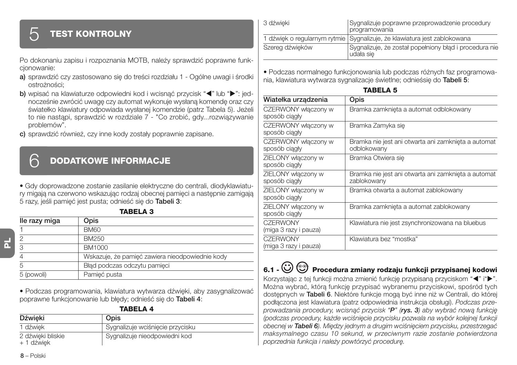### **TEST KONTROLNY**

Po dokonaniu zapisu i rozpoznania MOTB, należy sprawdzić poprawne funkcjonowanie:

- **a)** sprawdzić czy zastosowano się do treści rozdziału 1 Ogólne uwagi i środki ostrożności;
- **b)** wpisać na klawiaturze odpowiedni kod i wcisnąć przycisk "<" lub ">": jednocześnie zwrócić uwagę czy automat wykonuje wysłaną komendę oraz czy światełko klawiatury odpowiada wysłanej komendzie (patrz Tabela 5). Jeżeli to nie nastąpi, sprawdzić w rozdziale 7 - "Co zrobić, gdy...rozwiązywanie problemów".
- **c)** sprawdzić również, czy inne kody zostały poprawnie zapisane.

### 6 **DODATKOWE INFORMACJE**

• Gdy doprowadzone zostanie zasilanie elektryczne do centrali, diodyklawiatury migają na czerwono wskazując rodzaj obecnej pamięci a następnie zamigają 5 razy, jeśli pamięć jest pusta; odnieść się do **Tabeli 3**: **TABELA 3**

| lle razy miga | Opis                                            |
|---------------|-------------------------------------------------|
|               | <b>BM60</b>                                     |
|               | BM250                                           |
| 3             | BM1000                                          |
|               | Wskazuje, że pamieć zawiera nieodpowiednie kody |
| 5             | Błąd podczas odczytu pamięci                    |
| 5 (powoli)    | Pamięć pusta                                    |

• Podczas programowania, klawiatura wytwarza dźwięki, aby zasygnalizować poprawne funkcjonowanie lub błędy; odnieść się do **Tabeli 4**: **TABELA 4**

| .                               |                                  |
|---------------------------------|----------------------------------|
| Dźwięki                         | Opis                             |
| 1 dźwiek                        | Sygnalizuje wciśnięcie przycisku |
| 2 dźwieki bliskie<br>+ 1 dźwiek | Sygnalizuje nieodpowiedni kod    |

3 dźwieki Sygnalizuje poprawne przeprowadzenie procedury programowania 1 dźwięk o regularnym rytmie Sygnalizuje, że klawiatura jest zablokowana Szereg dźwięków Sygnalizuje, że został popełniony błąd i procedura nie udała się

• Podczas normalnego funkcjonowania lub podczas różnych faz programowania, klawiatura wytwarza sygnalizacje świetlne; odnieśsię do **Tabeli 5**:

| IADELA 3                                 |                                                                    |  |
|------------------------------------------|--------------------------------------------------------------------|--|
| Wiatełka urządzenia                      | Opis                                                               |  |
| CZERWONY włączony w<br>sposób ciagły     | Bramka zamknieta a automat odblokowany                             |  |
| CZERWONY włączony w<br>sposób ciagły     | Bramka Zamyka sie                                                  |  |
| CZERWONY włączony w<br>sposób ciagły     | Bramka nie jest ani otwarta ani zamknieta a automat<br>odblokowany |  |
| ZIELONY włączony w<br>sposób ciągły      | Bramka Otwiera sie                                                 |  |
| ZIELONY włączony w<br>sposób ciagly      | Bramka nie jest ani otwarta ani zamknieta a automat<br>zablokowany |  |
| ZIELONY włączony w<br>sposób ciagły      | Bramka otwarta a automat zablokowany                               |  |
| ZIELONY włączony w<br>sposób ciagły      | Bramka zamknięta a automat zablokowany                             |  |
| <b>CZERWONY</b><br>(miga 3 razy i pauza) | Klawiatura nie jest zsynchronizowana na bluebus                    |  |
| <b>CZERWONY</b><br>(miga 3 razy i pauza) | Klawiatura bez "mostka"                                            |  |

#### **TABELA 5**

### **6.1 - Procedura zmiany rodzaju funkcji przypisanej kodowi**

Korzystając z tej funkcji można zmienić funkcję przypisaną przyciskom "<" i">". Można wybrać, którą funkcję przypisać wybranemu przyciskowi, spośród tych dostępnych w **Tabeli 6**. Niektóre funkcje mogą być inne niż w Centrali, do której podłączona jest klawiatura (patrz odpowiednia instrukcja obsługi). *Podczas przeprowadzania procedury, wcisnąć przycisk "P" (rys. 3) aby wybrać nową funkcję (podczas procedury, każde wciśnięcie przycisku pozwala na wybór kolejnej funkcji obecnej w Tabeli 6). Między jednym a drugim wciśnięciem przycisku, przestrzegać maksymalnego czasu 10 sekund, w przeciwnym razie zostanie potwierdzona poprzednia funkcja i należy powtórzyć procedurę.*

**PL**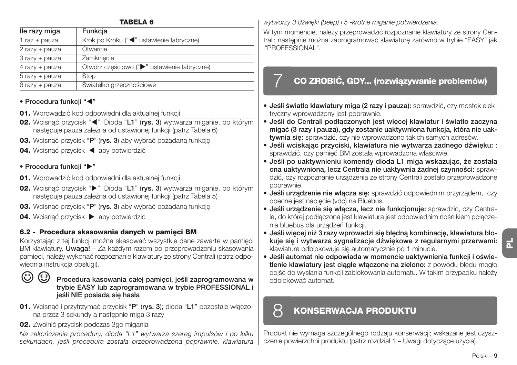| <b>TABELA 6</b> |                                             |  |
|-----------------|---------------------------------------------|--|
| lle razy miga   | Funkcja                                     |  |
| $1$ raz + pauza | Krok po Kroku ("<" ustawienie fabryczne)    |  |
| 2 razy + pauza  | Otwarcie                                    |  |
| 3 razy + pauza  | Zamkniecie                                  |  |
| 4 razy + pauza  | Otwórz cześciowo (">" ustawienie fabryczne) |  |
| 5 razy + pauza  | Stop                                        |  |
| 6 razy + pauza  | Światełko grzecznościowe                    |  |

### **• Procedura funkcji "**-**"**

- **01.** Wprowadzić kod odpowiedni dla aktualnej funkcji
- 02. Wcisnąć przycisk "<". Dioda "L1" (rys. 3) wytwarza miganie, po którym następuje pauza zależna od ustawionej funkcji (patrz Tabela 6)
- **03.** Wcisnąć przycisk "**P**" (**rys. 3**) aby wybrać pożądaną funkcję
- 04. Wcisnąć przycisk < aby potwierdzić

#### **• Procedura funkcji ""**

- **01.** Wprowadzić kod odpowiedni dla aktualnej funkcji
- **02.** Wcisnąć przycisk " $\blacktriangleright$ ". Dioda "L1" (rys. 3) wytwarza miganie, po którym następuje pauza zależna od ustawionej funkcji (patrz Tabela 5)
- **03.** Wcisnąć przycisk "**P**" (**rys. 3**) aby wybrać pożądaną funkcję
- **04.** Wcisnąć przycisk  $\triangleright$  aby potwierdzić

### **6.2 - Procedura skasowania danych w pamięci BM**

Korzystając z tej funkcji można skasować wszystkie dane zawarte w pamięci BM klawiatury. **Uwaga!** – Za każdym razem po przeprowadzeniu skasowania pamięci, należy wykonać rozpoznanie klawiatury ze strony Centrali (patrz odpowiednia instrukcia obsługi).

#### $\odot$ <u>(භි</u>

**Procedura kasowania całej pamięci, jeśli zaprogramowana w trybie EASY lub zaprogramowana w trybie PROFESSIONAL i jeśli NIE posiada się hasła**

- **01.** Wcisnąć i przytrzymać przycisk "**P**" (**rys. 3**); dioda "**L1**" pozostaje włączona przez 3 sekundy a następnie miga 3 razy
- **02.** Zwolnić przycisk podczas 3go migania

*Na zakończenie procedury, dioda "L1" wytwarza szereg impulsów i po kilku sekundach, jeśli procedura została przeprowadzona poprawnie, klawiatura* *wytworzy 3 dźwięki (beep) i 5 -krotne miganie potwierdzenia.*

W tym momencie, należy przeprowadzić rozpoznanie klawiatury ze strony Centrali; następnie można zaprogramować klawiaturę zarówno w trybie "EASY" jak i"PROFESSIONAL".

### 7 **CO ZROBIĆ, GDY... (rozwiązywanie problemów)**

- **Jeśli światło klawiatury miga (2 razy i pauza):** sprawdzić, czy mostek elektryczny wprowadzony jest poprawnie.
- **Jeśli do Centrali podłączonych jest więcej klawiatur i światło zaczyna migać (3 razy i pauza), gdy zostanie uaktywniona funkcja, która nie uaktywnia się:** sprawdzić, czy nie wprowadzono takich samych adresów.
- **Jeśli wciskając przyciski, klawiatura nie wytwarza żadnego dźwięku:** : sprawdzić, czy pamięć BM została wprowadzona właściwie.
- **Jeśli po uaktywnieniu komendy dioda L1 miga wskazując, że została ona uaktywniona, lecz Centrala nie uaktywnia żadnej czynności:** sprawdzić, czy rozpoznanie urządzenia ze strony Centrali zostało przeprowadzone poprawnie.
- **Jeśli urządzenie nie włącza się:** sprawdzić odpowiednim przyrządem, czy obecne jest napięcie (vdc) na Bluebus.
- **Jeśli urządzenie się włącza, lecz nie funkcjonuje:** sprawdzić, czy Centrala, do której podłączona jest klawiatura jest odpowiednim nośnikiem połączenia bluebus dla urządzeń funkcji.
- **Jeśli więcej niż 3 razy wprowadzi się błędną kombinację, klawiatura blokuje się i wytwarza sygnalizacje dźwiękowe z regularnymi przerwami:** klawiatura odblokowuje się automatycznie po 1 minucie.
- **PL**
- **Jeśli automat nie odpowiada w momencie uaktywnienia funkcji i oświetlenie klawiatury jest ciągle włączone na zielono:** z powodu błędu mogło dojść do wysłania funkcji zablokowania automatu. W takim przypadku należy odblokować automat.

### 8 **KONSERWACJA PRODUKTU**

Produkt nie wymaga szczególnego rodzaju konserwacji; wskazane jest czyszczenie powierzchni produktu (patrz rozdział 1 – Uwagi dotyczące użycia).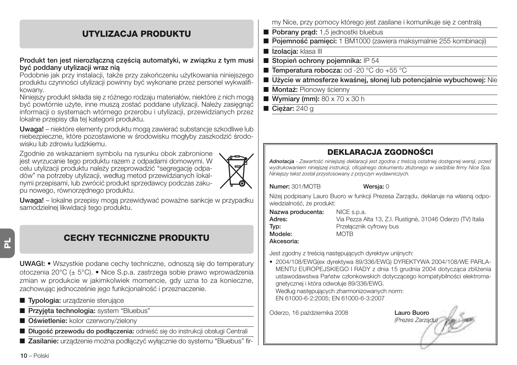### **UTYLIZACJA PRODUKTU**

#### **Produkt ten jest nierozłączną częścią automatyki, w związku z tym musi być poddany utylizacji wraz nią**

Podobnie jak przy instalacji, także przy zakończeniu użytkowania niniejszego produktu czynności utylizacji powinny być wykonane przez personel wykwalifikowany.

Niniejszy produkt składa się z różnego rodzaju materiałów, niektóre z nich mogą być powtórnie użyte, inne muszą zostać poddane utylizacji. Należy zasięgnąć informacji o systemach wtórnego przerobu i utylizacji, przewidzianych przez lokalne przepisy dla tej kategorii produktu.

**Uwaga!** – niektóre elementy produktu mogą zawierać substancje szkodliwe lub niebezpieczne, które pozostawione w środowisku mogłyby zaszkodzić środowisku lub zdrowiu ludzkiemu.

Zgodnie ze wskazaniem symbolu na rysunku obok zabronione jest wyrzucanie tego produktu razem z odpadami domowymi. W celu utylizacji produktu należy przeprowadzić "segregację odpadów" na potrzeby utylizacji, według metod przewidzianych lokalnymi przepisami, lub zwrócić produkt sprzedawcy podczas zakupu nowego, równorzędnego produktu.



**Uwaga!** – lokalne przepisy mogą przewidywać poważne sankcje w przypadku samodzielnej likwidacji tego produktu.

### **CECHY TECHNICZNE PRODUKTU**

**UWAGI: •** Wszystkie podane cechy techniczne, odnoszą się do temperatury otoczenia 20°C (± 5°C). • Nice S.p.a. zastrzega sobie prawo wprowadzenia zmian w produkcie w jakimkolwiek momencie, gdy uzna to za konieczne, zachowując jednocześnie jego funkcjonalność i przeznaczenie.

- **Typologia:** urządzenie sterujące
- **Przyjęta technologia:** system "Bluebus"
- **Oświetlenie:** kolor czerwony/zielony
- **Długość przewodu do podłączenia:** odnieść się do instrukcji obsługi Centrali
- **Zasilanie:** urządzenie można podłączyć wyłącznie do systemu "Bluebus" fir-

my Nice, przy pomocy którego jest zasilane i komunikuje się z centralą

- **Pobrany prad:** 1,5 jednostki bluebus
- **Pojemność pamięci:** 1 BM1000 (zawiera maksymalnie 255 kombinacji)
- **Izolacja:** klasa III
- **Stopień ochrony pojemnika:** IP 54
- **Temperatura robocza:** od -20 °C do +55 °C
- **Użycie w atmosferze kwaśnej, słonej lub potencjalnie wybuchowej:** Nie
- **Montaż: Pionowy ścienny**
- **Wymiary (mm):** 80 x 70 x 30 h
- **Cieżar:** 240 g

### **DEKLARACJA ZGODNOŚCI**

*Adnotacja - Zawartość niniejszej deklaracji jest zgodna z treścią ostatniej dostępnej wersji, przed wydrukowaniem niniejszej instrukcji, oficjalnego dokumentu złożonego w siedzibie firmy Nice Spa. Niniejszy tekst został przystosowany z przyczyn wydawniczych.*

**Numer:** 301/MOTB **Wersja:** 0

Niżej podpisany Lauro Buoro w funkcji Prezesa Zarządu, deklaruje na własną odpowiedzialność, że produkt:

| Nazwa producenta: | NICE s.p.a.                                                |
|-------------------|------------------------------------------------------------|
| Adres:            | Via Pezza Alta 13, Z.I. Rustignè, 31046 Oderzo (TV) Italia |
| Tvp:              | Przełacznik cyfrowy bus                                    |
| Modele:           | MOTB.                                                      |
| Akcesoria:        |                                                            |

Jest zgodny z treścią następujących dyrektyw unijnych:

• 2004/108/EWG(ex dyrektywa 89/336/EWG) DYREKTYWA 2004/108/WE PARLA-MENTU EUROPEJSKIEGO I RADY z dnia 15 grudnia 2004 dotycząca zbliżenia ustawodawstwa Państw członkowskich dotyczącego kompatybilności elektromagnetycznej i która odwołuje 89/336/EWG.

Według następujących zharmonizowanych norm: EN 61000-6-2:2005; EN 61000-6-3:2007

Oderzo, 16 października 2008 **Lauro Buoro**

*(Prezes Zarządu)*

**10** – Polski

**PL**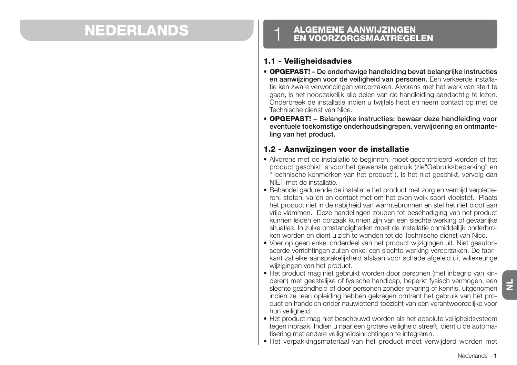# **ENDERLANDS** 1 **ALGEMENE AANWIJZINGEN**

#### **1.1 - Veiligheidsadvies**

- **OPGEPAST! De onderhavige handleiding bevat belangrijke instructies en aanwijzingen voor de veiligheid van personen.** Een verkeerde installatie kan zware verwondingen veroorzaken. Alvorens met het werk van start te gaan, is het noodzakelijk alle delen van de handleiding aandachtig te lezen. Onderbreek de installatie indien u twijfels hebt en neem contact op met de Technische dienst van Nice.
- **OPGEPAST! Belangrijke instructies: bewaar deze handleiding voor eventuele toekomstige onderhoudsingrepen, verwijdering en ontmanteling van het product.**

### **1.2 - Aanwijzingen voor de installatie**

- Alvorens met de installatie te beginnen, moet gecontroleerd worden of het product geschikt is voor het gewenste gebruik (zie"Gebruiksbeperking" en "Technische kenmerken van het product"). Is het niet geschikt, vervolg dan NIET met de installatie.
- Behandel gedurende de installatie het product met zorg en vermijd verpletteren, stoten, vallen en contact met om het even welk soort vloeistof. Plaats het product niet in de nabijheid van warmtebronnen en stel het niet bloot aan vrije vlammen. Deze handelingen zouden tot beschadiging van het product kunnen leiden en oorzaak kunnen zijn van een slechte werking of gevaarlijke situaties. In zulke omstandigheden moet de installatie onmiddellijk onderbroken worden en dient u zich te wenden tot de Technische dienst van Nice.
- Voer op geen enkel onderdeel van het product wijzigingen uit. Niet geautoriseerde verrichtingen zullen enkel een slechte werking veroorzaken. De fabrikant zal elke aansprakelijkheid afslaan voor schade afgeleid uit willekeurige wijzigingen van het product.
- Het product mag niet gebruikt worden door personen (met inbegrip van kinderen) met geestelijke of fysische handicap, beperkt fysisch vermogen, een slechte gezondheid of door personen zonder ervaring of kennis, uitgenomen indien ze een opleiding hebben gekregen omtrent het gebruik van het product en handelen onder nauwlettend toezicht van een verantwoordelijke voor hun veiligheid.
- Het product mag niet beschouwd worden als het absolute veiligheidsysteem tegen inbraak. Indien u naar een grotere veiligheid streeft, dient u de automatisering met andere veiligheidsinrichtingen te integreren.
- Het verpakkingsmateriaal van het product moet verwijderd worden met

 $\overline{z}$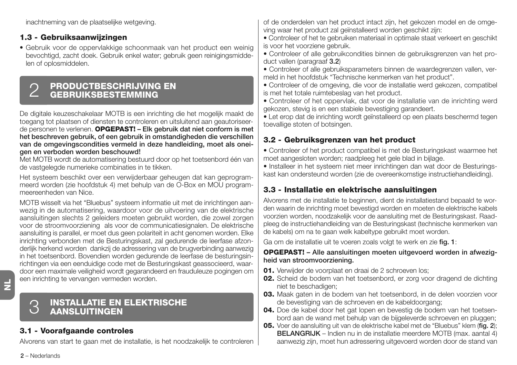inachtneming van de plaatselijke wetgeving.

### **1.3 - Gebruiksaanwijzingen**

• Gebruik voor de oppervlakkige schoonmaak van het product een weinig bevochtigd, zacht doek. Gebruik enkel water; gebruik geen reinigingsmiddelen of oplosmiddelen.

# **PRODUCTBESCHRIJVING EN** 2 **GEBRUIKSBESTEMMING**

De digitale keuzeschakelaar MOTB is een inrichting die het mogelijk maakt de toegang tot plaatsen of diensten te controleren en uitsluitend aan geautoriseerde personen te verlenen. **OPGEPAST! – Elk gebruik dat niet conform is met het beschreven gebruik, of een gebruik in omstandigheden die verschillen van de omgevingscondities vermeld in deze handleiding, moet als oneigen en verboden worden beschouwd!**

Met MOTB wordt de automatisering bestuurd door op het toetsenbord één van de vastgelegde numerieke combinaties in te tikken.

Het systeem beschikt over een verwijderbaar geheugen dat kan geprogrammeerd worden (zie hoofdstuk 4) met behulp van de O-Box en MOU programmeereenheden van Nice.

MOTB wisselt via het "Bluebus" systeem informatie uit met de inrichtingen aanwezig in de automatisering, waardoor voor de uitvoering van de elektrische aansluitingen slechts 2 geleiders moeten gebruikt worden, die zowel zorgen voor de stroomvoorziening als voor de communicatiesignalen. De elektrische aansluiting is parallel, er moet dus geen polariteit in acht genomen worden. Elke inrichting verbonden met de Besturingskast, zal gedurende de leerfase afzonderlijk herkend worden dankzij de adressering van de brugverbinding aanwezig in het toetsenbord. Bovendien worden gedurende de leerfase de besturingsinrichtingen via een eenduidige code met de Besturingskast geassocieerd, waardoor een maximale veiligheid wordt gegarandeerd en frauduleuze pogingen om een inrichting te vervangen vermeden worden.

 $\overline{z}$ 

# **INSTALLATIE EN ELEKTRISCHE** 3 **AANSLUITINGEN**

### **3.1 - Voorafgaande controles**

Alvorens van start te gaan met de installatie, is het noodzakelijk te controleren

of de onderdelen van het product intact zijn, het gekozen model en de omgeving waar het product zal geïnstalleerd worden geschikt zijn:

• Controleer of het te gebruiken materiaal in optimale staat verkeert en geschikt is voor het voorziene gebruik.

• Controleer of alle gebruikcondities binnen de gebruiksgrenzen van het product vallen (paragraaf **3.2**)

• Controleer of alle gebruiksparameters binnen de waardegrenzen vallen, vermeld in het hoofdstuk "Technische kenmerken van het product".

• Controleer of de omgeving, die voor de installatie werd gekozen, compatibel is met het totale ruimtebeslag van het product.

• Controleer of het oppervlak, dat voor de installatie van de inrichting werd gekozen, stevig is en een stabiele bevestiging garandeert.

• Let erop dat de inrichting wordt geïnstalleerd op een plaats beschermd tegen toevallige stoten of botsingen.

### **3.2 - Gebruiksgrenzen van het product**

• Controleer of het product compatibel is met de Besturingskast waarmee het moet aangesloten worden; raadpleeg het gele blad in bijlage.

• Installeer in het systeem niet meer inrichtingen dan wat door de Besturingskast kan ondersteund worden (zie de overeenkomstige instructiehandleiding).

### **3.3 - Installatie en elektrische aansluitingen**

Alvorens met de installatie te beginnen, dient de installatiestand bepaald te worden waarin de inrichting moet bevestigd worden en moeten de elektrische kabels voorzien worden, noodzakelijk voor de aansluiting met de Besturingskast. Raadpleeg de instructiehandleiding van de Besturingskast (technische kenmerken van de kabels) om na te gaan welk kabeltype gebruikt moet worden.

Ga om de installatie uit te voeren zoals volgt te werk en zie **fig. 1**:

#### **OPGEPAST! – Alle aansluitingen moeten uitgevoerd worden in afwezigheid van stroomvoorziening.**

- **01.** Verwijder de voorplaat en draai de 2 schroeven los;
- **02.** Scheid de bodem van het toetsenbord, er zorg voor dragend de dichting niet te beschadigen;
- **03.** Maak gaten in de bodem van het toetsenbord, in de delen voorzien voor de bevestiging van de schroeven en de kabeldoorgang;
- **04.** Doe de kabel door het gat lopen en bevestig de bodem van het toetsenbord aan de wand met behulp van de bijgeleverde schroeven en pluggen;
- **05.** Voer de aansluiting uit van de elektrische kabel met de "Bluebus" klem (**fig. 2**); **BELANGRIJK** – Indien nu in de installatie meerdere MOTB (max. aantal 4) aanwezig zijn, moet hun adressering uitgevoerd worden door de stand van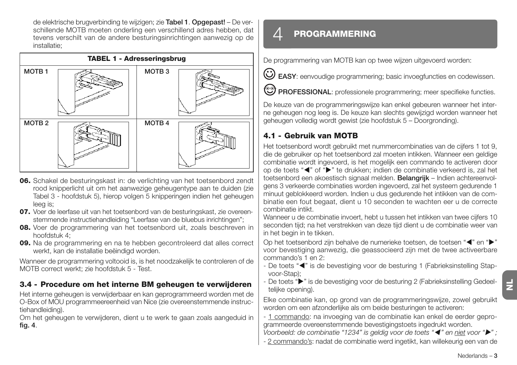de elektrische brugverbinding te wijzigen; zie **Ta bel 1**. **Opgepast!** – De verschillende MOTB moeten onderling een verschillend adres hebben, dat tevens verschilt van de andere besturingsinrichtingen aanwezig op de installatie;



- **06.** Schakel de besturingskast in: de verlichting van het toetsenbord zendt rood knipperlicht uit om het aanwezige geheugentype aan te duiden (zie Tabel 3 - hoofdstuk 5), hierop volgen 5 knipperingen indien het geheugen leeg is;
- **07.** Voer de leerfase uit van het toetsenbord van de besturingskast, zie overeenstemmende instructiehandleiding "Leerfase van de bluebus inrichtingen";
- **08.** Voer de programmering van het toetsenbord uit, zoals beschreven in hoofdstuk 4;
- **09.** Na de programmering en na te hebben gecontroleerd dat alles correct werkt, kan de installatie beëindigd worden.

Wanneer de programmering voltooid is, is het noodzakelijk te controleren of de MOTB correct werkt; zie hoofdstuk 5 - Test.

### **3.4 - Procedure om het interne BM geheugen te verwijderen**

Het interne geheugen is verwijderbaar en kan geprogrammeerd worden met de O-Box of MOU programmeereenheid van Nice (zie overeenstemmende instructiehandleiding).

Om het geheugen te verwijderen, dient u te werk te gaan zoals aangeduid in **fig. 4**.

### 4 **PROGRAMMERING**

De programmering van MOTB kan op twee wijzen uitgevoerd worden:

**EASY**: eenvoudige programmering; basic invoegfuncties en codewissen.

**PROFESSIONAL**: professionele programmering; meer specifieke functies.

De keuze van de programmeringswijze kan enkel gebeuren wanneer het interne geheugen nog leeg is. De keuze kan slechts gewijzigd worden wanneer het geheugen volledig wordt gewist (zie hoofdstuk 5 – Doorgronding).

### **4.1 - Gebruik van MOTB**

Het toetsenbord wordt gebruikt met nummercombinaties van de cijfers 1 tot 9, die de gebruiker op het toetsenbord zal moeten intikken. Wanneer een geldige combinatie wordt ingevoerd, is het mogelijk een commando te activeren door op de toets "<" of ">" te drukken; indien de combinatie verkeerd is, zal het toetsenbord een akoestisch signaal melden. **Belangrijk** – Indien achtereenvolgens 3 verkeerde combinaties worden ingevoerd, zal het systeem gedurende 1 minuut geblokkeerd worden. Indien u dus gedurende het intikken van de combinatie een fout begaat, dient u 10 seconden te wachten eer u de correcte combinatie intikt.

Wanneer u de combinatie invoert, hebt u tussen het intikken van twee cijfers 10 seconden tijd; na het verstrekken van deze tijd dient u de combinatie weer van in het begin in te tikken.

Op het toetsenbord zijn behalve de numerieke toetsen, de toetsen "<" en "> voor bevestiging aanwezig, die geassocieerd zijn met de twee activeerbare commando's 1 en 2:

- De toets "<" is de bevestiging voor de besturing 1 (Fabrieksinstelling Stapvoor-Stap);
- De toets "" is de bevestiging voor de besturing 2 (Fabrieksinstelling Gedeeltelijke opening).

Elke combinatie kan, op grond van de programmeringswijze, zowel gebruikt worden om een afzonderlijke als om beide besturingen te activeren:

- 1 commando: na invoeging van de combinatie kan enkel de eerder geprogrammeerde overeenstemmende bevestigingstoets ingedrukt worden.

*Voorbeeld: de combinatie "1234" is geldig voor de toets "*- *" en niet voor "" ;*

- 2 commando's: nadat de combinatie werd ingetikt, kan willekeurig een van de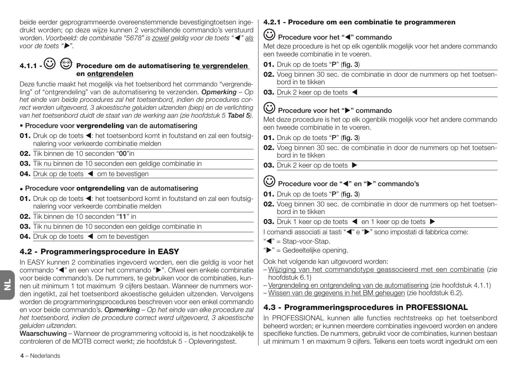beide eerder geprogrammeerde overeenstemmende bevestigingtoetsen ingedrukt worden; op deze wijze kunnen 2 verschillende commando's verstuurd worden. *Voorbeeld: de combinatie "5678" is zowel geldig voor de toets "*- *" als voor de toets "".*

### **4.1.1 -**  $\bigodot$  $\bigodot$  **Procedure om de automatisering te vergrendelen en ontgrendelen**

Deze functie maakt het mogelijk via het toetsenbord het commando "vergrendeling" of "ontgrendeling" van de automatisering te verzenden. *Opmerking – Op het einde van beide procedures zal het toetsenbord, indien de procedures correct werden uitgevoerd, 3 akoestische geluiden uitzenden (biep) en de verlichting van het toetsenbord duidt de staat van de werking aan (zie hoofdstuk 5 Tabel 5).*

### **• Procedure voor vergrendeling van de automatisering**

- 01. Druk op de toets <: het toetsenbord komt in foutstand en zal een foutsignalering voor verkeerde combinatie melden
- **02.** Tik binnen de 10 seconden "**00**"in
- **03.** Tik nu binnen de 10 seconden een geldige combinatie in
- 04. Druk op de toets < om te bevestigen

### **• Procedure voor ontgrendeling van de automatisering**

- 01. Druk op de toets <: het toetsenbord komt in foutstand en zal een foutsignalering voor verkeerde combinatie melden
- **02.** Tik binnen de 10 seconden "**11**" in
- **03.** Tik nu binnen de 10 seconden een geldige combinatie in
- 04. Druk op de toets < om te bevestigen

### **4.2 - Programmeringsprocedure in EASY**

In EASY kunnen 2 combinaties ingevoerd worden, een die geldig is voor het commando "<" en een voor het commando ">". Ofwel een enkele combinatie voor beide commando's. De nummers, te gebruiken voor de combinaties, kunnen uit minimum 1 tot maximum 9 cijfers bestaan. Wanneer de nummers worden ingetikt, zal het toetsenbord akoestische geluiden uitzenden. Vervolgens worden de programmeringsprocedures beschreven voor een enkel commando en voor beide commando's. *Opmerking – Op het einde van elke procedure zal het toetsenbord, indien de procedure correct werd uitgevoerd, 3 akoestische geluiden uitzenden.*

**Waarschuwing** – Wanneer de programmering voltooid is, is het noodzakelijk te controleren of de MOTB correct werkt; zie hoofdstuk 5 - Opleveringstest.

### **4.2.1 - Procedure om een combinatie te programmeren**

### Procedure voor het "<" commando

Met deze procedure is het op elk ogenblik mogelijk voor het andere commando een tweede combinatie in te voeren.

- **01.** Druk op de toets "**P**" (**fig. 3**)
- **02.** Voeg binnen 30 sec. de combinatie in door de nummers op het toetsenbord in te tikken
- **03.** Druk 2 keer op de toets

### **Procedure voor het "" commando**

Met deze procedure is het op elk ogenblik mogelijk voor het andere commando een tweede combinatie in te voeren.

- **01.** Druk op de toets "**P**" (**fig. 3**)
- **02.** Voeg binnen 30 sec. de combinatie in door de nummers op het toetsenbord in te tikken
- **03.** Druk 2 keer op de toets ▶

### Procedure voor de "<" en ">" commando's

- **01.** Druk op de toets "**P**" (**fig. 3**)
- **02.** Voeg binnen 30 sec. de combinatie in door de nummers op het toetsenbord in te tikken
- **03.** Druk 1 keer op de toets < en 1 keer op de toets  $\triangleright$

I comandi associati ai tasti "<" e ">" sono impostati di fabbrica come:

- "<" = Stap-voor-Stap.
- $"$  = Gedeeltelijke opening.

Ook het volgende kan uitgevoerd worden:

- Wijziging van het commandotype geassocieerd met een combinatie (zie hoofdstuk 6.1)
- Vergrendeling en ontgrendeling van de automatisering (zie hoofdstuk 4.1.1)
- Wissen van de gegevens in het BM geheugen (zie hoofdstuk 6.2).

### **4.3 - Programmeringsprocedures in PROFESSIONAL**

In PROFESSIONAL kunnen alle functies rechtstreeks op het toetsenbord beheerd worden; er kunnen meerdere combinaties ingevoerd worden en andere specifieke functies. De nummers, gebruikt voor de combinaties, kunnen bestaan uit minimum 1 en maximum 9 cijfers. Telkens een toets wordt ingedrukt om een

**4** – Nederlands

 $\overline{z}$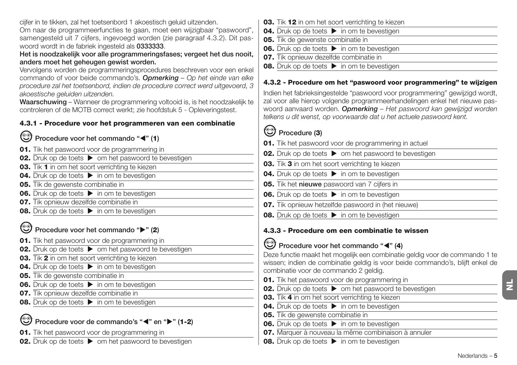cijfer in te tikken, zal het toetsenbord 1 akoestisch geluid uitzenden.

Om naar de programmeerfuncties te gaan, moet een wijzigbaar "paswoord", samengesteld uit 7 cijfers, ingevoegd worden (zie paragraaf 4.3.2). Dit paswoord wordt in de fabriek ingesteld als **0333333**.

**Het is noodzakelijk voor alle programmeringsfases; vergeet het dus nooit, anders moet het geheugen gewist worden.**

Vervolgens worden de programmeringsprocedures beschreven voor een enkel commando of voor beide commando's. *Opmerking – Op het einde van elke procedure zal het toetsenbord, indien de procedure correct werd uitgevoerd, 3 akoestische geluiden uitzenden.*

**Waarschuwing** – Wanneer de programmering voltooid is, is het noodzakelijk te controleren of de MOTB correct werkt; zie hoofdstuk 5 - Opleveringstest.

#### **4.3.1 - Procedure voor het programmeren van een combinatie**

**Procedure voor het commando "**-**" (1)**

- **01.** Tik het paswoord voor de programmering in
- **02.** Druk op de toets  $\triangleright$  om het paswoord te bevestigen
- **03.** Tik **1** in om het soort verrichting te kiezen
- **04.** Druk op de toets  $\triangleright$  in om te bevestigen
- **05.** Tik de gewenste combinatie in
- **06.** Druk op de toets  $\triangleright$  in om te bevestigen
- **07.** Tik opnieuw dezelfde combinatie in
- **08.** Druk op de toets  $\triangleright$  in om te bevestigen

**Procedure voor het commando "" (2)**

- **01.** Tik het paswoord voor de programmering in
- **02.** Druk op de toets  $\triangleright$  om het paswoord te bevestigen
- **03.** Tik **2** in om het soort verrichting te kiezen
- **04.** Druk op de toets  $\triangleright$  in om te bevestigen
- **05.** Tik de gewenste combinatie in
- **06.** Druk op de toets  $\triangleright$  in om te bevestigen
- **07.** Tik opnieuw dezelfde combinatie in
- **08.** Druk op de toets  $\triangleright$  in om te bevestigen

### Procedure voor de commando's "<" en " $\blacktriangleright$ " (1-2)

**01.** Tik het paswoord voor de programmering in

**02.** Druk op de toets  $\triangleright$  om het paswoord te bevestigen

- **03.** Tik **12** in om het soort verrichting te kiezen
- **04.** Druk op de toets **in** om te bevestigen
- **05.** Tik de gewenste combinatie in
- **06.** Druk op de toets **ight** in om te bevestigen
- **07.** Tik opnieuw dezelfde combinatie in
- **08.** Druk op de toets **in** om te bevestigen

#### **4.3.2 - Procedure om het "paswoord voor programmering" te wijzigen**

Indien het fabrieksingestelde "paswoord voor programmering" gewijzigd wordt, zal voor alle hierop volgende programmeerhandelingen enkel het nieuwe paswoord aanvaard worden. *Opmerking – Het paswoord kan gewijzigd worden telkens u dit wenst, op voorwaarde dat u het actuele paswoord kent.*

### **Procedure (3)**

- **01.** Tik het paswoord voor de programmering in actuel
- **02.** Druk op de toets  $\triangleright$  om het paswoord te bevestigen
- **03.** Tik **3** in om het soort verrichting te kiezen
- **04.** Druk op de toets  $\triangleright$  in om te bevestigen
- **05.** Tik het **nieuwe** paswoord van 7 cijfers in
- **06.** Druk op de toets  $\triangleright$  in om te bevestigen
- **07.** Tik opnieuw hetzelfde paswoord in (het nieuwe)
- **08.** Druk op de toets  $\triangleright$  in om te bevestigen

### **4.3.3 - Procedure om een combinatie te wissen**

### **Procedure voor het commando "**-**" (4)**

Deze functie maakt het mogelijk een combinatie geldig voor de commando 1 te wissen; indien de combinatie geldig is voor beide commando's, blijft enkel de combinatie voor de commando 2 geldig.

- **01.** Tik het paswoord voor de programmering in
- **02.** Druk op de toets  $\triangleright$  om het paswoord te bevestigen
- **03.** Tik **4** in om het soort verrichting te kiezen
- **04.** Druk op de toets  $\triangleright$  in om te bevestigen
- **05.** Tik de gewenste combinatie in
- **06.** Druk op de toets  $\triangleright$  in om te bevestigen
- **07.** Marquer à nouveau la même combinaison à annuler
- **08.** Druk op de toets  $\triangleright$  in om te bevestigen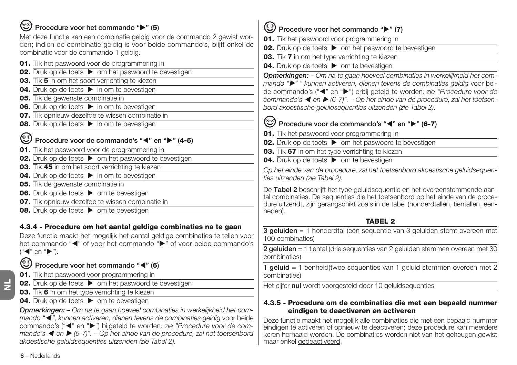## **Procedure voor het commando "" (5)**

Met deze functie kan een combinatie geldig voor de commando 2 gewist worden; indien de combinatie geldig is voor beide commando's, blijft enkel de combinatie voor de commando 1 geldig.

- **01.** Tik het paswoord voor de programmering in
- **02.** Druk op de toets  $\triangleright$  om het paswoord te bevestigen
- **03.** Tik **5** in om het soort verrichting te kiezen
- **04.** Druk op de toets  $\triangleright$  in om te bevestigen
- **05.** Tik de gewenste combinatie in
- **06.** Druk op de toets  $\triangleright$  in om te bevestigen
- **07.** Tik opnieuw dezelfde te wissen combinatie in
- **08.** Druk op de toets  $\triangleright$  in om te bevestigen

### **Procedure voor de commando's "<" en "** $\blacktriangleright$ **" (4-5)**

- **01.** Tik het paswoord voor de programmering in
- **02.** Druk op de toets  $\triangleright$  om het paswoord te bevestigen
- **03.** Tik **45** in om het soort verrichting te kiezen
- **04.** Druk op de toets  $\triangleright$  in om te bevestigen
- **05.** Tik de gewenste combinatie in
- **06.** Druk op de toets  $\triangleright$  om te bevestigen
- **07.** Tik opnieuw dezelfde te wissen combinatie in
- **08.** Druk op de toets  $\triangleright$  om te bevestigen

### **4.3.4 - Procedure om het aantal geldige combinaties na te gaan**

Deze functie maakt het mogelijk het aantal geldige combinaties te tellen voor het commando "<" of voor het commando ">" of voor beide commando's ("◀" en "▶").

- **Procedure voor het commando "**-**" (6)**
- **01.** Tik het paswoord voor programmering in
- **02.** Druk op de toets  $\triangleright$  om het paswoord te bevestigen
- **03.** Tik **6** in om het type verrichting te kiezen
- **04.** Druk op de toets  $\triangleright$  om te bevestigen

*Opmerkingen: – Om na te gaan hoeveel combinaties in werkelijkheid het commando "*- *", kunnen activeren, dienen tevens de combinaties geldig* voor beide commando's ("<" en ">") bijgeteld te worden*: zie "Procedure voor de commando's ◀ en ▶ (6-7)". – Op het einde van de procedure, zal het toetsenbord akoestische geluidsequenties uitzenden (zie Tabel 2).*

### **Procedure voor het commando "" (7)**

**01.** Tik het paswoord voor programmering in

- **02.** Druk op de toets  $\triangleright$  om het paswoord te bevestigen
- **03.** Tik **7** in om het type verrichting te kiezen
- **04.** Druk op de toets  $\triangleright$  om te bevestigen

*Opmerkingen: – Om na te gaan hoeveel combinaties in werkelijkheid het commando "" " kunnen activeren, dienen tevens de combinaties geldig* voor beide commando's ("<" en ">") erbij geteld te worden: zie "Procedure voor de *commando's* ◀ en ▶ (6-7)". – Op het einde van de procedure, zal het toetsen*bord akoestische geluidsequenties uitzenden (zie Tabel 2).*

### **Procedure voor de commando's "<" en "** $\blacktriangleright$ **" (6-7)**

- **01.** Tik het paswoord voor programmering in
- **02.** Druk op de toets  $\triangleright$  om het paswoord te bevestigen
- **03.** Tik **67** in om het type verrichting te kiezen
- **04.** Druk op de toets  $\triangleright$  om te bevestigen

*Op het einde van de procedure, zal het toetsenbord akoestische geluidsequenties uitzenden (zie Tabel 2).*

De **Tabel 2** beschrijft het type geluidsequentie en het overeenstemmende aantal combinaties. De sequenties die het toetsenbord op het einde van de procedure uitzendt, zijn gerangschikt zoals in de tabel (honderdtallen, tientallen, eenheden).

### **TABEL 2**

**3 geluiden** = 1 honderdtal (een sequentie van 3 geluiden stemt overeen met 100 combinaties)

**2 geluiden** = 1 tiental (drie sequenties van 2 geluiden stemmen overeen met 30 combinaties)

**1 geluid** = 1 eenheid(twee sequenties van 1 geluid stemmen overeen met 2 combinaties)

Het cijfer **nul** wordt voorgesteld door 10 geluidsequenties

### **4.3.5 - Procedure om de combinaties die met een bepaald nummer eindigen te deactiveren en activeren**

Deze functie maakt het mogelijk alle combinaties die met een bepaald nummer eindigen te activeren of opnieuw te deactiveren; deze procedure kan meerdere keren herhaald worden. De combinaties worden niet van het geheugen gewist maar enkel gedeactiveerd.

**6** – Nederlands

 $\overline{z}$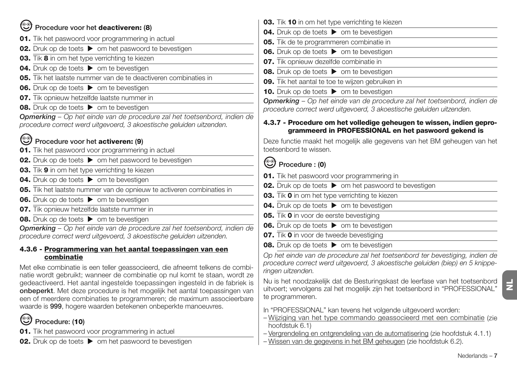| Procedure voor het deactiveren: (8)                                                                                                                                                                                                                                                                                                                                                                                                                                 |
|---------------------------------------------------------------------------------------------------------------------------------------------------------------------------------------------------------------------------------------------------------------------------------------------------------------------------------------------------------------------------------------------------------------------------------------------------------------------|
| 01. Tik het paswoord voor programmering in actuel                                                                                                                                                                                                                                                                                                                                                                                                                   |
| <b>02.</b> Druk op de toets ▶ om het paswoord te bevestigen                                                                                                                                                                                                                                                                                                                                                                                                         |
| 03. Tik 8 in om het type verrichting te kiezen                                                                                                                                                                                                                                                                                                                                                                                                                      |
| 04. Druk op de toets > om te bevestigen                                                                                                                                                                                                                                                                                                                                                                                                                             |
| 05. Tik het laatste nummer van de te deactiveren combinaties in                                                                                                                                                                                                                                                                                                                                                                                                     |
| <b>06.</b> Druk op de toets $\triangleright$ om te bevestigen                                                                                                                                                                                                                                                                                                                                                                                                       |
| 07. Tik opnieuw hetzelfde laatste nummer in                                                                                                                                                                                                                                                                                                                                                                                                                         |
| 08. Druk op de toets > om te bevestigen                                                                                                                                                                                                                                                                                                                                                                                                                             |
| <b>Opmerking</b> – Op het einde van de procedure zal het toetsenbord, indien de<br>procedure correct werd uitgevoerd, 3 akoestische geluiden uitzenden.                                                                                                                                                                                                                                                                                                             |
| Procedure voor het activeren: (9)                                                                                                                                                                                                                                                                                                                                                                                                                                   |
| 01. Tik het paswoord voor programmering in actuel                                                                                                                                                                                                                                                                                                                                                                                                                   |
| <b>02.</b> Druk op de toets ▶ om het paswoord te bevestigen                                                                                                                                                                                                                                                                                                                                                                                                         |
| 03. Tik 9 in om het type verrichting te kiezen                                                                                                                                                                                                                                                                                                                                                                                                                      |
| 04. Druk op de toets > om te bevestigen                                                                                                                                                                                                                                                                                                                                                                                                                             |
| 05. Tik het laatste nummer van de opnieuw te activeren combinaties in                                                                                                                                                                                                                                                                                                                                                                                               |
| <b>06.</b> Druk op de toets $\triangleright$ om te bevestigen                                                                                                                                                                                                                                                                                                                                                                                                       |
| 07. Tik opnieuw hetzelfde laatste nummer in                                                                                                                                                                                                                                                                                                                                                                                                                         |
| <b>08.</b> Druk op de toets $\triangleright$ om te bevestigen                                                                                                                                                                                                                                                                                                                                                                                                       |
| <b>Opmerking</b> – Op het einde van de procedure zal het toetsenbord, indien de<br>procedure correct werd uitgevoerd, 3 akoestische geluiden uitzenden.                                                                                                                                                                                                                                                                                                             |
| 4.3.6 - Programmering van het aantal toepassingen van een                                                                                                                                                                                                                                                                                                                                                                                                           |
| combinatie                                                                                                                                                                                                                                                                                                                                                                                                                                                          |
| Met elke combinatie is een teller geassocieerd, die afneemt telkens de combi-<br>natie wordt gebruikt; wanneer de combinatie op nul komt te staan, wordt ze<br>gedeactiveerd. Het aantal ingestelde toepassingen ingesteld in de fabriek is<br>onbeperkt. Met deze procedure is het mogelijk het aantal toepassingen van<br>een of meerdere combinaties te programmeren; de maximum associeerbare<br>waarde is 999, hogere waarden betekenen onbeperkte manoeuvres. |
| ၜၟၜ<br>Procedure: (10)                                                                                                                                                                                                                                                                                                                                                                                                                                              |

**01.** Tik het paswoord voor programmering in actuel

**02.** Druk op de toets  $\triangleright$  om het paswoord te bevestigen

**03.** Tik **10** in om het type verrichting te kiezen **04.** Druk op de toets  $\triangleright$  om te bevestigen **05.** Tik de te programmeren combinatie in **06.** Druk op de toets  $\triangleright$  om te bevestigen **07.** Tik opnieuw dezelfde combinatie in **08.** Druk op de toets  $\triangleright$  om te bevestigen **09.** Tik het aantal te toe te wijzen gebruiken in **10.** Druk op de toets  $\triangleright$  om te bevestigen *Opmerking – Op het einde van de procedure zal het toetsenbord, indien de procedure correct werd uitgevoerd, 3 akoestische geluiden uitzenden.* **4.3.7 - Procedure om het volledige geheugen te wissen, indien geprogrammeerd in PROFESSIONAL en het paswoord gekend is** Deze functie maakt het mogelijk alle gegevens van het BM geheugen van het toetsenbord te wissen. **Procedure : (0) 01.** Tik het paswoord voor programmering in **02.** Druk op de toets  $\triangleright$  om het paswoord te bevestigen **03.** Tik **0** in om het type verrichting te kiezen **04.** Druk op de toets  $\triangleright$  om te bevestigen  $\overline{\phantom{0}}$ **05.** Tik **0** in voor de eerste bevestiging **06.** Druk op de toets  $\triangleright$  om te bevestigen **07.** Tik **0** in voor de tweede bevestiging **08.** Druk op de toets  $\triangleright$  om te bevestigen *Op het einde van de procedure zal het toetsenbord ter bevestiging, indien de procedure correct werd uitgevoerd, 3 akoestische geluiden (biep) en 5 knipperingen uitzenden.* Nu is het noodzakelijk dat de Besturingskast de leerfase van het toetsenbord uitvoert; vervolgens zal het mogelijk zijn het toetsenbord in "PROFESSIONAL" te programmeren. In "PROFESSIONAL" kan tevens het volgende uitgevoerd worden: – Wijziging van het type commando geassocieerd met een combinatie (zie hoofdstuk 6.1) – Vergrendeling en ontgrendeling van de automatisering (zie hoofdstuk 4.1.1) – Wissen van de gegevens in het BM geheugen (zie hoofdstuk 6.2).

**NL**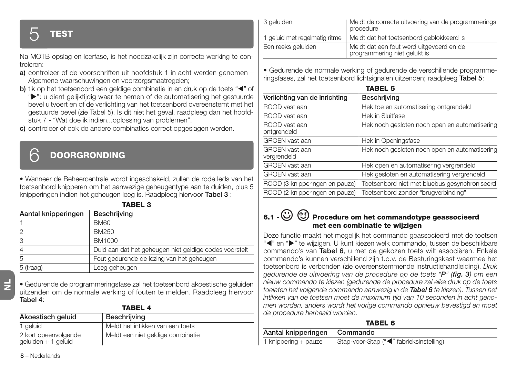## 5 **TEST**

Na MOTB opslag en leerfase, is het noodzakelijk zijn correcte werking te controleren:

- **a)** controleer of de voorschriften uit hoofdstuk 1 in acht werden genomen Algemene waarschuwingen en voorzorgsmaatregelen;
- **b)** tik op het toetsenbord een geldige combinatie in en druk op de toets "<" of
- ">": u dient gelijktijdig waar te nemen of de automatisering het gestuurde bevel uitvoert en of de verlichting van het toetsenbord overeenstemt met het gestuurde bevel (zie Tabel 5). Is dit niet het geval, raadpleeg dan het hoofdstuk 7 - "Wat doe ik indien...oplossing van problemen".
- **c)** controleer of ook de andere combinaties correct opgeslagen werden.

### 6 **DOORGRONDING**

• Wanneer de Beheercentrale wordt ingeschakeld, zullen de rode leds van het toetsenbord knipperen om het aanwezige geheugentype aan te duiden, plus 5 knipperingen indien het geheugen leeg is. Raadpleeg hiervoor **Tabel 3** :

| Aantal knipperingen | Beschrijving                                           |  |
|---------------------|--------------------------------------------------------|--|
|                     | <b>BM60</b>                                            |  |
| 2                   | BM250                                                  |  |
| 3                   | BM1000                                                 |  |
| $\overline{4}$      | Duid aan dat het geheugen niet geldige codes voorstelt |  |
| 5                   | Fout gedurende de lezing van het geheugen              |  |
| 5 (traag)           | Leeg geheugen                                          |  |

**TABEL 3**

• Gedurende de programmeringsfase zal het toetsenbord akoestische geluiden uitzenden om de normale werking of fouten te melden. Raadpleeg hiervoor **Tabel 4**:

| <b>TABEL 4</b>                              |                                   |  |
|---------------------------------------------|-----------------------------------|--|
| Akoestisch geluid                           | Beschrijving                      |  |
| 1 geluid                                    | Meldt het intikken van een toets  |  |
| 2 kort opeenvolgende<br>geluiden + 1 geluid | Meldt een niet geldige combinatie |  |

| 3 geluiden                    | Meldt de correcte uitvoering van de programmerings<br>procedure          |
|-------------------------------|--------------------------------------------------------------------------|
| 1 geluid met regelmatig ritme | Meldt dat het toetsenbord geblokkeerd is                                 |
| Een reeks geluiden            | Meldt dat een fout werd uitgevoerd en de<br>programmering niet gelukt is |

• Gedurende de normale werking of gedurende de verschillende programmeringsfases, zal het toetsenbord lichtsignalen uitzenden; raadpleeg **Tabel 5**:

| IADEL 3                              |                                               |  |  |
|--------------------------------------|-----------------------------------------------|--|--|
| Verlichting van de inrichting        | <b>Beschrijving</b>                           |  |  |
| ROOD vast aan                        | Hek toe en automatisering ontgrendeld         |  |  |
| ROOD vast aan                        | Hek in Sluitfase                              |  |  |
| ROOD vast aan<br>ontgrendeld         | Hek noch gesloten noch open en automatisering |  |  |
| <b>GROEN</b> vast aan                | Hek in Openingsfase                           |  |  |
| <b>GROEN</b> vast aan<br>vergrendeld | Hek noch gesloten noch open en automatisering |  |  |
| <b>GROEN</b> vast aan                | Hek open en automatisering vergrendeld        |  |  |
| <b>GROEN</b> vast aan                | Hek gesloten en automatisering vergrendeld    |  |  |
| ROOD (3 knipperingen en pauze)       | Toetsenbord niet met bluebus gesynchroniseerd |  |  |
| ROOD (2 knipperingen en pauze)       | Toetsenbord zonder "brugverbinding"           |  |  |

### **TABEL 5**

### **6.1 - Procedure om het commandotype geassocieerd met een combinatie te wijzigen**

Deze functie maakt het mogelijk het commando geassocieerd met de toetsen "4" en ">" te wijzigen. U kunt kiezen welk commando, tussen de beschikbare commando's van **Tabel 6**, u met de gekozen toets wilt associëren. Enkele commando's kunnen verschillend zijn t.o.v. de Besturingskast waarmee het toetsenbord is verbonden (zie overeenstemmende instructiehandleiding). *Druk gedurende de uitvoering van de procedure op de toets "P" (fig. 3) om een nieuw commando te kiezen (gedurende de procedure zal elke druk op de toets toelaten het volgende commando aanwezig in de Tabel 6 te kiezen). Tussen het intikken van de toetsen moet de maximum tijd van 10 seconden in acht genomen worden, anders wordt het vorige commando opnieuw bevestigd en moet de procedure herhaald worden.*

#### **TABEL 6**

| Aantal knipperingen   Commando |                                         |
|--------------------------------|-----------------------------------------|
| 1 knippering + pauze           | Stap-voor-Stap ("<" fabrieksinstelling) |

**NL**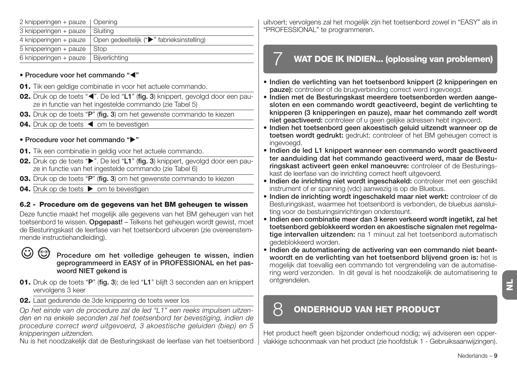| 2 knipperingen + pauze | Opening                                    |
|------------------------|--------------------------------------------|
| 3 knipperingen + pauze | Sluitina                                   |
| 4 knipperingen + pauze | Open gedeeltelijk (">" fabrieksinstelling) |
| 5 knipperingen + pauze | Stop                                       |
| 6 knipperingen + pauze | Bijverlichting                             |

#### **• Procedure voor het commando "**-**"**

- **01.** Tik een geldige combinatie in voor het actuele commando.
- **02.** Druk op de toets "<". De led "L1" (fig. 3) knippert, gevolgd door een pauze in functie van het ingestelde commando (zie Tabel 5)
- **03.** Druk op de toets "**P**" (**fig. 3**) om het gewenste commando te kiezen
- 04. Druk op de toets < om te bevestigen

#### **• Procedure voor het commando ""**

- **01.** Tik een combinatie in geldig voor het actuele commando.
- **02.** Druk op de toets " $\blacktriangleright$ ". De led "L1" (fig. 3) knippert, gevolgd door een pauze in functie van het ingestelde commando (zie Tabel 6)
- **03.** Druk op de toets "**P**" (**fig. 3**) om het gewenste commando te kiezen
- **04.** Druk op de toets  $\triangleright$  om te bevestigen

#### **6.2 - Procedure om de gegevens van het BM geheugen te wissen**

Deze functie maakt het mogelijk alle gegevens van het BM geheugen van het toetsenbord te wissen. **Opgepast!** – Telkens het geheugen wordt gewist, moet de Besturingskast de leerfase van het toetsenbord uitvoeren (zie overeenstemmende instructiehandleiding).

**Procedure om het volledige geheugen te wissen, indien geprogrammeerd in EASY of in PROFESSIONAL en het paswoord NIET gekend is**

- **01.** Druk op de toets "**P**" (**fig. 3**); de led "**L1**" blijft 3 seconden aan en knippert vervolgens 3 keer
- **02.** Laat gedurende de 3de knippering de toets weer los

*Op het einde van de procedure zal de led "L1" een reeks impulsen uitzenden en na enkele seconden zal het toetsenbord ter bevestiging, indien de procedure correct werd uitgevoerd, 3 akoestische geluiden (biep) en 5 knipperingen uitzenden.*

Nu is het noodzakelijk dat de Besturingskast de leerfase van het toetsenbord

uitvoert; vervolgens zal het mogelijk zijn het toetsenbord zowel in "EASY" als in "PROFESSIONAL" te programmeren.

### 7 **WAT DOE IK INDIEN... (oplossing van problemen)**

- **Indien de verlichting van het toetsenbord knippert (2 knipperingen en pauze):** controleer of de brugverbinding correct werd ingevoegd.
- **Indien met de Besturingskast meerdere toetsenborden werden aangesloten en een commando wordt geactiveerd, begint de verlichting te knipperen (3 knipperingen en pauze), maar het commando zelf wordt niet geactiveerd:** controleer of u geen gelijke adressen hebt ingevoerd.
- **Indien het toetsenbord geen akoestisch geluid uitzendt wanneer op de toetsen wordt gedrukt:** gedrukt: controleer of het BM geheugen correct is ingevoegd.
- **Indien de led L1 knippert wanneer een commando wordt geactiveerd ter aanduiding dat het commando geactiveerd werd, maar de Besturingskast activeert geen enkel manoeuvre:** controleer of de Besturingskast de leerfase van de inrichting correct heeft uitgevoerd.
- Indien de inrichting niet wordt ingeschakeld: controleer met een geschikt instrument of er spanning (vdc) aanwezig is op de Bluebus.
- **Indien de inrichting wordt ingeschakeld maar niet werkt:** controleer of de Besturingskast, waarmee het toetsenbord is verbonden, de bluebus aansluiting voor de besturingsinrichtingen ondersteunt.
- **Indien een combinatie meer dan 3 keren verkeerd wordt ingetikt, zal het toetsenbord geblokkeerd worden en akoestische signalen met regelmatige intervallen uitzenden:** na 1 minuut zal het toetsenbord automatisch gedeblokkeerd worden.
- **Indien de automatisering de activering van een commando niet beantwoordt en de verlichting van het toetsenbord blijvend groen is:** het is mogelijk dat toevallig een commando tot vergrendeling van de automatisering werd verzonden. In dit geval is het noodzakelijk de automatisering te ontgrendelen.

### 8 **ONDERHOUD VAN HET PRODUCT**

Het product heeft geen bijzonder onderhoud nodig; wij adviseren een oppervlakkige schoonmaak van het product (zie hoofdstuk 1 - Gebruiksaanwijzingen).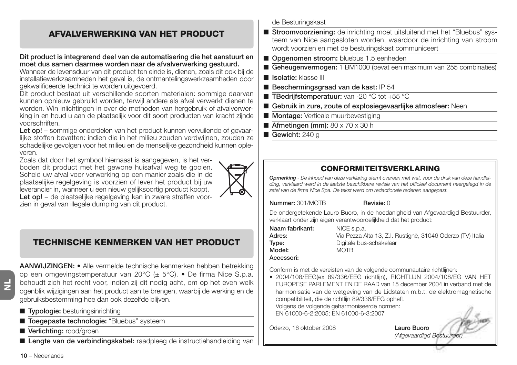### **AFVALVERWERKING VAN HET PRODUCT**

#### **Dit product is integrerend deel van de automatisering die het aanstuurt en moet dus samen daarmee worden naar de afvalverwerking gestuurd.**

Wanneer de levensduur van dit product ten einde is, dienen, zoals dit ook bij de installatiewerkzaamheden het geval is, de ontmantelingswerkzaamheden door gekwalificeerde technici te worden uitgevoerd.

Dit product bestaat uit verschillende soorten materialen: sommige daarvan kunnen opnieuw gebruikt worden, terwijl andere als afval verwerkt dienen te worden. Win inlichtingen in over de methoden van hergebruik of afvalverwerking in en houd u aan de plaatselijk voor dit soort producten van kracht zijnde voorschriften.

Let op! – sommige onderdelen van het product kunnen vervuilende of gevaarlijke stoffen bevatten: indien die in het milieu zouden verdwijnen, zouden ze schadelijke gevolgen voor het milieu en de menselijke gezondheid kunnen opleveren.

Zoals dat door het symbool hiernaast is aangegeven, is het verboden dit product met het gewone huisafval weg te gooien. Scheid uw afval voor verwerking op een manier zoals die in de plaatselijke regelgeving is voorzien of lever het product bij uw leverancier in, wanneer u een nieuw gelijksoortig product koopt. **Let op!** – de plaatselijke regelgeving kan in zware straffen voorzien in geval van illegale dumping van dit product.



### **TECHNISCHE KENMERKEN VAN HET PRODUCT**

**NL**

#### **AANWIJZINGEN: •** Alle vermelde technische kenmerken hebben betrekking op een omgevingstemperatuur van 20°C (± 5°C). • De firma Nice S.p.a. behoudt zich het recht voor, indien zij dit nodig acht, om op het even welk ogenblik wijzigingen aan het product aan te brengen, waarbij de werking en de gebruiksbestemming hoe dan ook dezelfde blijven.

- **Typologie:** besturingsinrichting
- **Toegepaste technologie:** "Bluebus" systeem
- Verlichting: rood/groen
- Lengte van de verbindingskabel: raadpleeg de instructiehandleiding van

de Besturingskast

- **Stroomvoorziening:** de inrichting moet uitsluitend met het "Bluebus" systeem van Nice aangesloten worden, waardoor de inrichting van stroom wordt voorzien en met de besturingskast communiceert
- **Opgenomen stroom:** bluebus 1,5 eenheden
- **Geheugenvermogen:** 1 BM1000 (bevat een maximum van 255 combinaties)
- **Isolatie:** klasse III
- **Beschermingsgraad van de kast:** IP 54
- **TBedrijfstemperatuur:** van -20 °C tot +55 °C
- **Gebruik in zure, zoute of explosiegevaarlijke atmosfeer:** Neen
- **Montage:** Verticale muurbevestiging
- **Afmetingen (mm):** 80 x 70 x 30 h
- **Gewicht:** 240 g

### **CONFORMITEITSVERKLARING**

*Opmerking - De inhoud van deze verklaring stemt overeen met wat, voor de druk van deze handleiding, verklaard werd in de laatste beschikbare revisie van het officieel document neergelegd in de zetel van de firma Nice Spa. De tekst werd om redactionele redenen aangepast.*

**Nummer:** 301/MOTB **Revisie:** 0

De ondergetekende Lauro Buoro, in de hoedanigheid van Afgevaardigd Bestuurder, verklaart onder zijn eigen verantwoordelijkheid dat het product:

| Naam fabrikant: |  |
|-----------------|--|
| Adres:          |  |
| Type:           |  |
| Model:          |  |
| Accessori:      |  |

**NICE** s.p.a. **Adres:** Via Pezza Alta 13, Z.I. Rustignè, 31046 Oderzo (TV) Italia **Type:** Digitale bus-schakelaar **Model:** MOTB

Conform is met de vereisten van de volgende communautaire richtlijnen:

• 2004/108/EEG(ex 89/336/EEG richtlijn), RICHTLIJN 2004/108/EG VAN HET EUROPESE PARLEMENT EN DE RAAD van 15 december 2004 in verband met de harmonisatie van de wetgeving van de Lidstaten m.b.t. de elektromagnetische compatibiliteit, die de richtlijn 89/336/EEG opheft. Volgens de volgende geharmoniseerde normen: EN 61000-6-2:2005; EN 61000-6-3:2007

Oderzo, 16 oktober 2008 **Lauro Buoro**

*(Afgevaardigd Bestuurder)*

**10** – Nederlands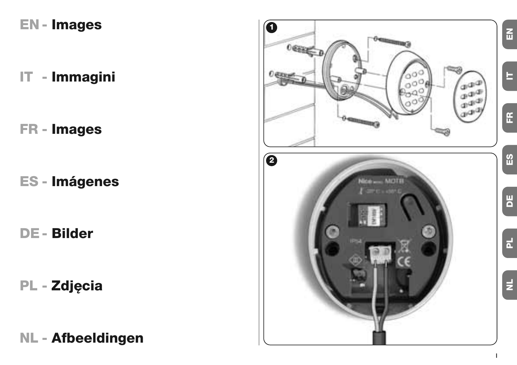# **EN - Images**

**IT - Immagini**

**FR - Images**

**ES - Imágenes**

**DE- Bilder**

**PL - Zdjęcia**

**NL - Afbeeldingen**

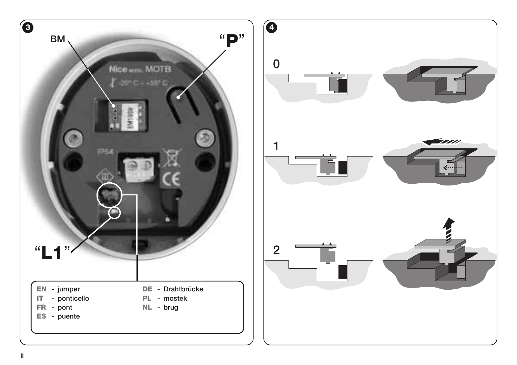